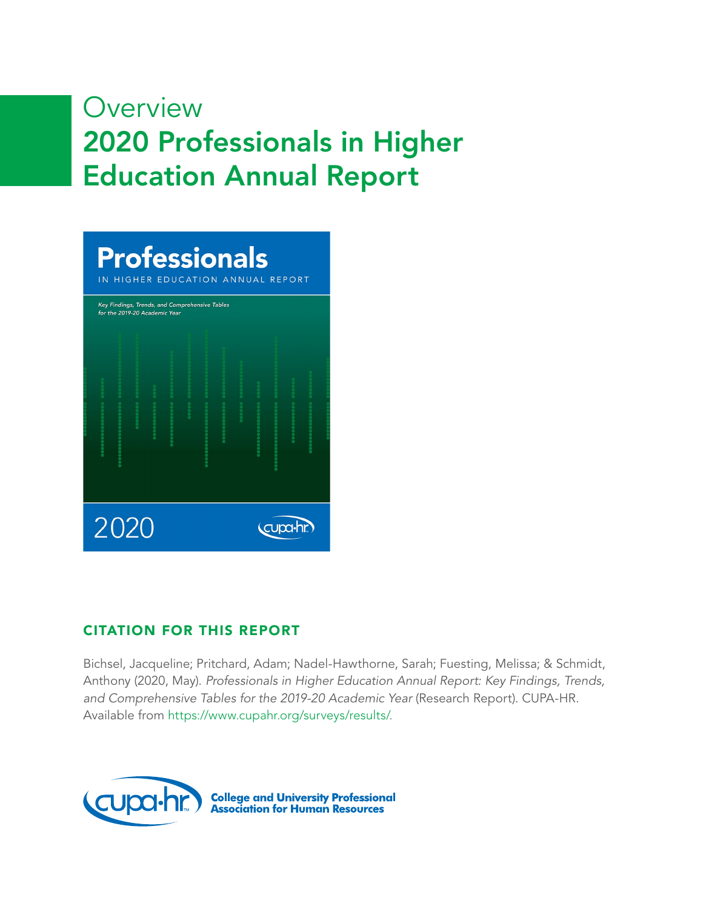# **Overview** 2020 Professionals in Higher Education Annual Report

|                 |  | <b>Professionals</b><br>IN HIGHER EDUCATION ANNUAL REPORT<br>Key Findings, Trends, and Comprehensive Tables<br>for the 2019-20 Academic Year |  |  |  |  |  |  |  |  |  |
|-----------------|--|----------------------------------------------------------------------------------------------------------------------------------------------|--|--|--|--|--|--|--|--|--|
|                 |  |                                                                                                                                              |  |  |  |  |  |  |  |  |  |
| 2020<br>cupa-hr |  |                                                                                                                                              |  |  |  |  |  |  |  |  |  |

### CITATION FOR THIS REPORT

Bichsel, Jacqueline; Pritchard, Adam; Nadel-Hawthorne, Sarah; Fuesting, Melissa; & Schmidt, Anthony (2020, May). *Professionals in Higher Education Annual Report: Key Findings, Trends, and Comprehensive Tables for the 2019-20 Academic Year* (Research Report). CUPA-HR. Available from <https://www.cupahr.org/surveys/results/>.

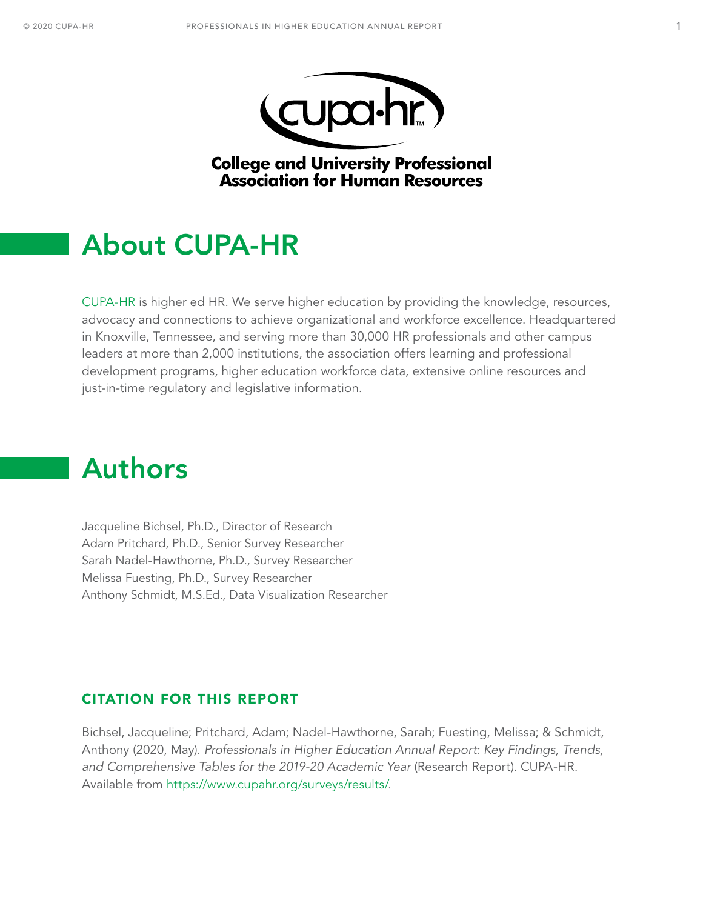



**College and University Professional Association for Human Resources** 

# <span id="page-1-0"></span>About CUPA-HR

[CUPA-HR](https://www.cupahr.org) is higher ed HR. We serve higher education by providing the knowledge, resources, advocacy and connections to achieve organizational and workforce excellence. Headquartered in Knoxville, Tennessee, and serving more than 30,000 HR professionals and other campus leaders at more than 2,000 institutions, the association offers learning and professional development programs, higher education workforce data, extensive online resources and just-in-time regulatory and legislative information.

# Authors

Jacqueline Bichsel, Ph.D., Director of Research Adam Pritchard, Ph.D., Senior Survey Researcher Sarah Nadel-Hawthorne, Ph.D., Survey Researcher Melissa Fuesting, Ph.D., Survey Researcher Anthony Schmidt, M.S.Ed., Data Visualization Researcher

### CITATION FOR THIS REPORT

Bichsel, Jacqueline; Pritchard, Adam; Nadel-Hawthorne, Sarah; Fuesting, Melissa; & Schmidt, Anthony (2020, May). *Professionals in Higher Education Annual Report: Key Findings, Trends, and Comprehensive Tables for the 2019-20 Academic Year* (Research Report). CUPA-HR. Available from [https://www.cupahr.org/surveys/results/.](https://www.cupahr.org/surveys/results/)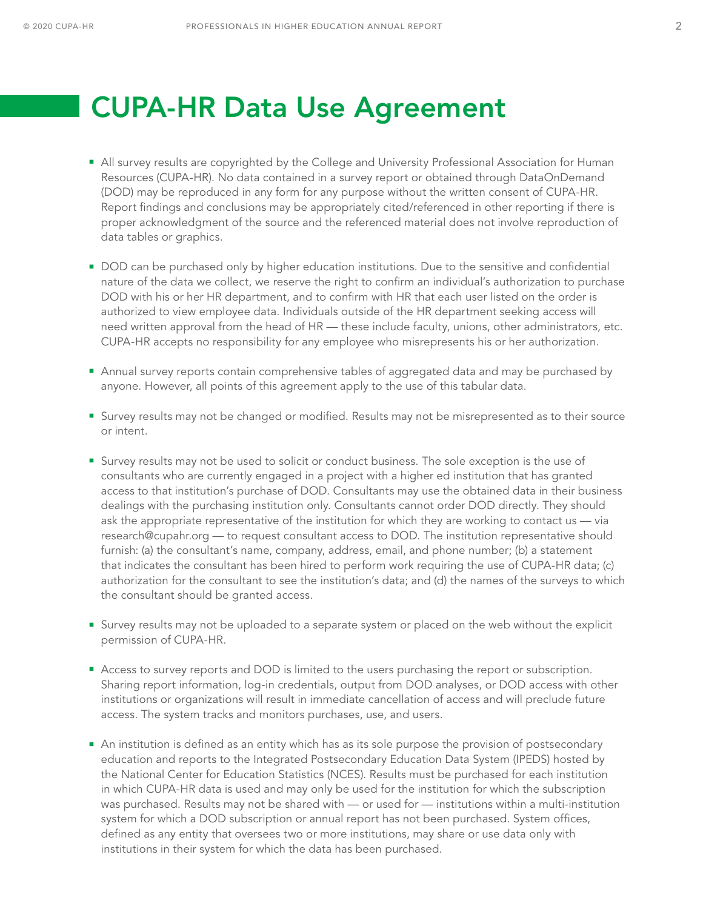# <span id="page-2-0"></span>CUPA-HR Data Use Agreement

- All survey results are copyrighted by the College and University Professional Association for Human Resources (CUPA-HR). No data contained in a survey report or obtained through DataOnDemand (DOD) may be reproduced in any form for any purpose without the written consent of CUPA-HR. Report findings and conclusions may be appropriately cited/referenced in other reporting if there is proper acknowledgment of the source and the referenced material does not involve reproduction of data tables or graphics.
- **DOD** can be purchased only by higher education institutions. Due to the sensitive and confidential nature of the data we collect, we reserve the right to confirm an individual's authorization to purchase DOD with his or her HR department, and to confirm with HR that each user listed on the order is authorized to view employee data. Individuals outside of the HR department seeking access will need written approval from the head of HR — these include faculty, unions, other administrators, etc. CUPA-HR accepts no responsibility for any employee who misrepresents his or her authorization.
- **Annual survey reports contain comprehensive tables of aggregated data and may be purchased by** anyone. However, all points of this agreement apply to the use of this tabular data.
- Survey results may not be changed or modified. Results may not be misrepresented as to their source or intent.
- Survey results may not be used to solicit or conduct business. The sole exception is the use of consultants who are currently engaged in a project with a higher ed institution that has granted access to that institution's purchase of DOD. Consultants may use the obtained data in their business dealings with the purchasing institution only. Consultants cannot order DOD directly. They should ask the appropriate representative of the institution for which they are working to contact us — via research@cupahr.org — to request consultant access to DOD. The institution representative should furnish: (a) the consultant's name, company, address, email, and phone number; (b) a statement that indicates the consultant has been hired to perform work requiring the use of CUPA-HR data; (c) authorization for the consultant to see the institution's data; and (d) the names of the surveys to which the consultant should be granted access.
- Survey results may not be uploaded to a separate system or placed on the web without the explicit permission of CUPA-HR.
- **Access to survey reports and DOD is limited to the users purchasing the report or subscription.** Sharing report information, log-in credentials, output from DOD analyses, or DOD access with other institutions or organizations will result in immediate cancellation of access and will preclude future access. The system tracks and monitors purchases, use, and users.
- An institution is defined as an entity which has as its sole purpose the provision of postsecondary education and reports to the Integrated Postsecondary Education Data System (IPEDS) hosted by the National Center for Education Statistics (NCES). Results must be purchased for each institution in which CUPA-HR data is used and may only be used for the institution for which the subscription was purchased. Results may not be shared with — or used for — institutions within a multi-institution system for which a DOD subscription or annual report has not been purchased. System offices, defined as any entity that oversees two or more institutions, may share or use data only with institutions in their system for which the data has been purchased.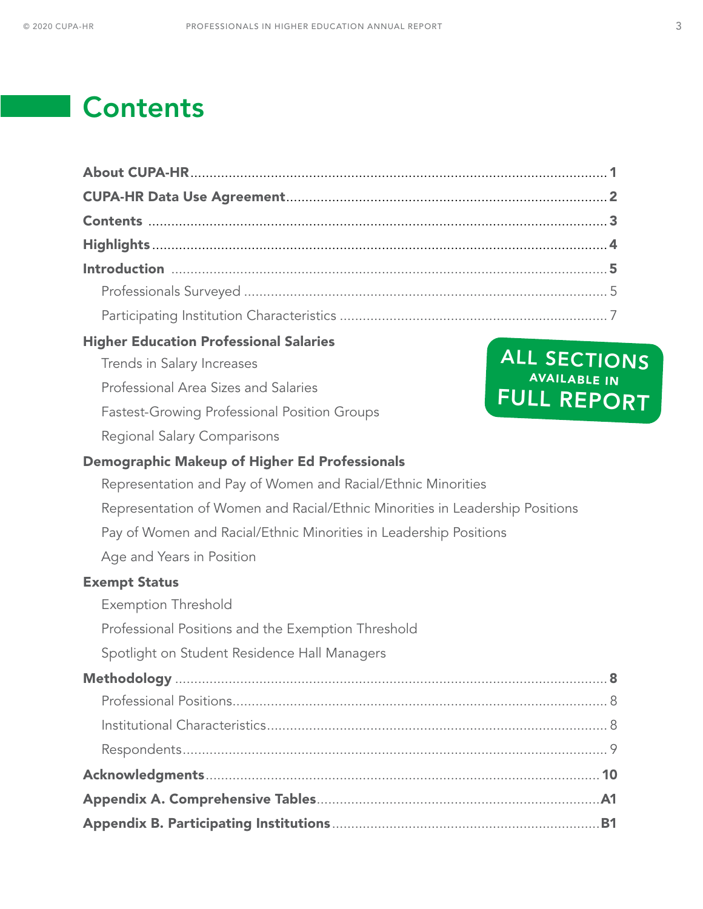# **Contents**

| <b>Higher Education Professional Salaries</b>                                |                                           |
|------------------------------------------------------------------------------|-------------------------------------------|
| Trends in Salary Increases                                                   | ALL SECTIONS                              |
| Professional Area Sizes and Salaries                                         | <b>AVAILABLE IN</b><br><b>FULL REPORT</b> |
| <b>Fastest-Growing Professional Position Groups</b>                          |                                           |
| <b>Regional Salary Comparisons</b>                                           |                                           |
| <b>Demographic Makeup of Higher Ed Professionals</b>                         |                                           |
| Representation and Pay of Women and Racial/Ethnic Minorities                 |                                           |
| Representation of Women and Racial/Ethnic Minorities in Leadership Positions |                                           |
| Pay of Women and Racial/Ethnic Minorities in Leadership Positions            |                                           |
| Age and Years in Position                                                    |                                           |
| <b>Exempt Status</b>                                                         |                                           |
| <b>Exemption Threshold</b>                                                   |                                           |
| Professional Positions and the Exemption Threshold                           |                                           |
| Spotlight on Student Residence Hall Managers                                 |                                           |
|                                                                              |                                           |
|                                                                              |                                           |
|                                                                              |                                           |
|                                                                              |                                           |
|                                                                              |                                           |
|                                                                              |                                           |
|                                                                              |                                           |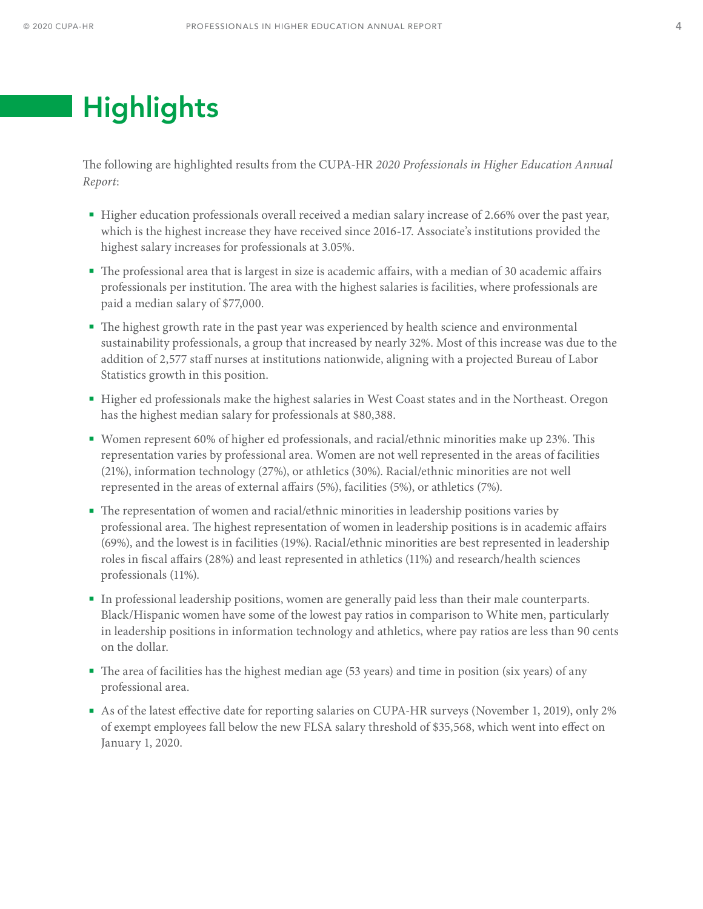# <span id="page-4-0"></span>**Highlights**

The following are highlighted results from the CUPA-HR *2020 Professionals in Higher Education Annual Report*:

- Higher education professionals overall received a median salary increase of 2.66% over the past year, which is the highest increase they have received since 2016-17. Associate's institutions provided the highest salary increases for professionals at 3.05%.
- The professional area that is largest in size is academic affairs, with a median of 30 academic affairs professionals per institution. The area with the highest salaries is facilities, where professionals are paid a median salary of \$77,000.
- The highest growth rate in the past year was experienced by health science and environmental sustainability professionals, a group that increased by nearly 32%. Most of this increase was due to the addition of 2,577 staff nurses at institutions nationwide, aligning with a projected Bureau of Labor Statistics growth in this position.
- Higher ed professionals make the highest salaries in West Coast states and in the Northeast. Oregon has the highest median salary for professionals at \$80,388.
- Women represent 60% of higher ed professionals, and racial/ethnic minorities make up 23%. This representation varies by professional area. Women are not well represented in the areas of facilities (21%), information technology (27%), or athletics (30%). Racial/ethnic minorities are not well represented in the areas of external affairs (5%), facilities (5%), or athletics (7%).
- The representation of women and racial/ethnic minorities in leadership positions varies by professional area. The highest representation of women in leadership positions is in academic affairs (69%), and the lowest is in facilities (19%). Racial/ethnic minorities are best represented in leadership roles in fiscal affairs (28%) and least represented in athletics (11%) and research/health sciences professionals (11%).
- In professional leadership positions, women are generally paid less than their male counterparts. Black/Hispanic women have some of the lowest pay ratios in comparison to White men, particularly in leadership positions in information technology and athletics, where pay ratios are less than 90 cents on the dollar.
- The area of facilities has the highest median age (53 years) and time in position (six years) of any professional area.
- As of the latest effective date for reporting salaries on CUPA-HR surveys (November 1, 2019), only 2% of exempt employees fall below the new FLSA salary threshold of \$35,568, which went into effect on January 1, 2020.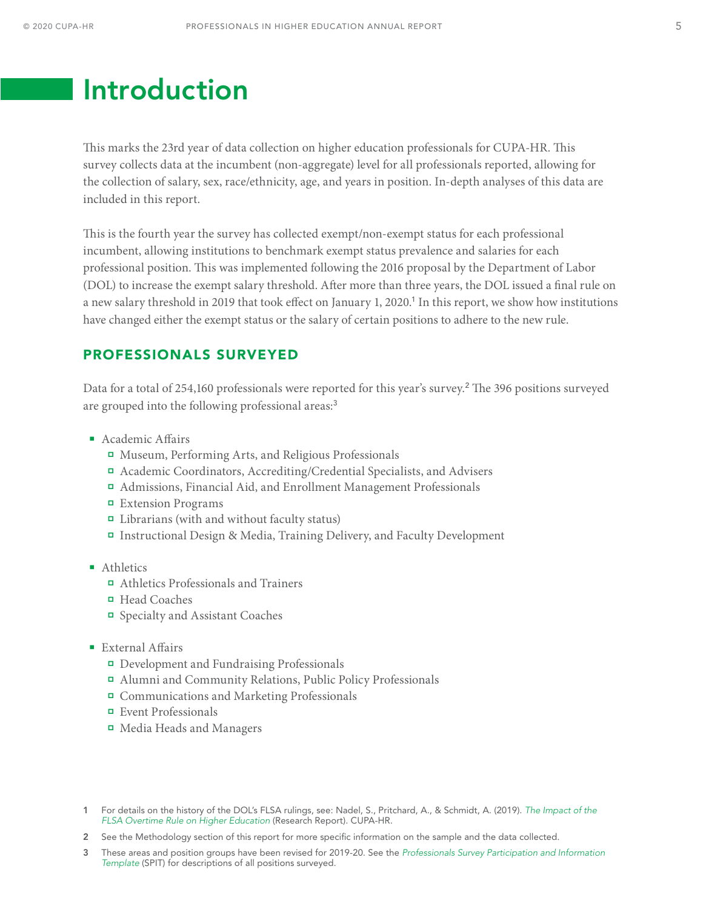# <span id="page-5-0"></span>Introduction

This marks the 23rd year of data collection on higher education professionals for CUPA-HR. This survey collects data at the incumbent (non-aggregate) level for all professionals reported, allowing for the collection of salary, sex, race/ethnicity, age, and years in position. In-depth analyses of this data are included in this report.

This is the fourth year the survey has collected exempt/non-exempt status for each professional incumbent, allowing institutions to benchmark exempt status prevalence and salaries for each professional position. This was implemented following the 2016 proposal by the Department of Labor (DOL) to increase the exempt salary threshold. After more than three years, the DOL issued a final rule on a new salary threshold in 2019 that took effect on January 1, 2020.<sup>1</sup> In this report, we show how institutions have changed either the exempt status or the salary of certain positions to adhere to the new rule.

### PROFESSIONALS SURVEYED

Data for a total of 254,160 professionals were reported for this year's survey.<sup>2</sup> The 396 positions surveyed are grouped into the following professional areas:<sup>3</sup>

- **Academic Affairs** 
	- Museum, Performing Arts, and Religious Professionals
	- Academic Coordinators, Accrediting/Credential Specialists, and Advisers
	- Admissions, Financial Aid, and Enrollment Management Professionals
	- Extension Programs
	- □ Librarians (with and without faculty status)
	- Instructional Design & Media, Training Delivery, and Faculty Development
- **Athletics** 
	- Athletics Professionals and Trainers
	- Head Coaches
	- Specialty and Assistant Coaches
- **External Affairs** 
	- Development and Fundraising Professionals
	- Alumni and Community Relations, Public Policy Professionals
	- Communications and Marketing Professionals
	- Event Professionals
	- Media Heads and Managers

3 These areas and position groups have been revised for 2019-20. See the *[Professionals Survey Participation and Information](https://www.cupahr.org/surveys/results/)  [Template](https://www.cupahr.org/surveys/results/)* (SPIT) for descriptions of all positions surveyed.

<sup>1</sup> For details on the history of the DOL's FLSA rulings, see: Nadel, S., Pritchard, A., & Schmidt, A. (2019). *[The Impact of the](https://www.cupahr.org/wp-content/uploads/CUPA-HR-Brief-OT-Rule-Change_Exempt.pdf)  [FLSA Overtime Rule on Higher Education](https://www.cupahr.org/wp-content/uploads/CUPA-HR-Brief-OT-Rule-Change_Exempt.pdf)* (Research Report). CUPA-HR.

<sup>2</sup> See the Methodology section of this report for more specific information on the sample and the data collected.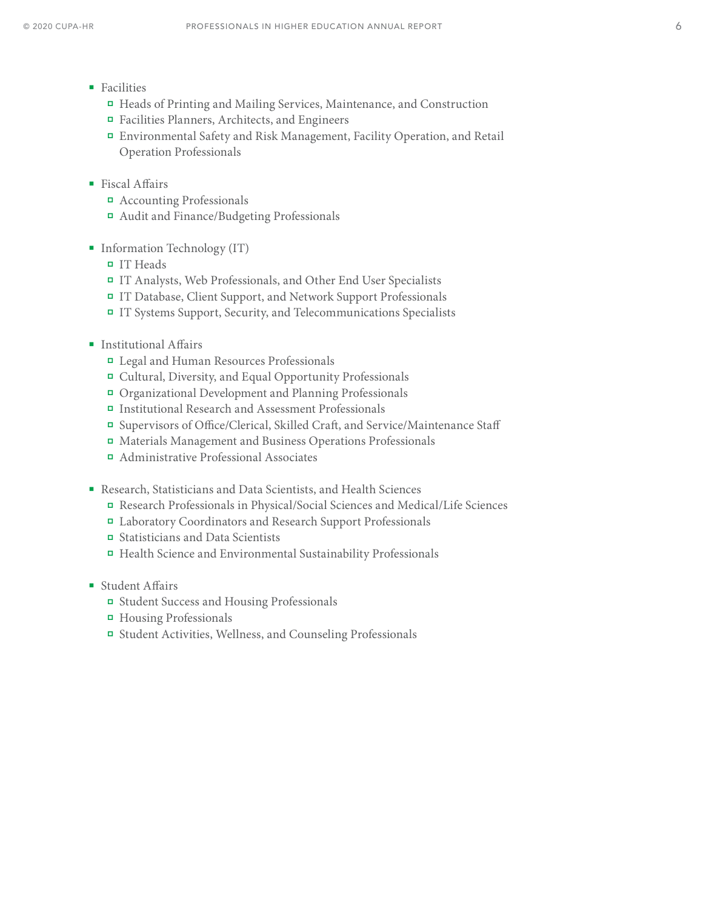- **Facilities** 
	- Heads of Printing and Mailing Services, Maintenance, and Construction
	- Facilities Planners, Architects, and Engineers
	- Environmental Safety and Risk Management, Facility Operation, and Retail Operation Professionals
- Fiscal Affairs
	- Accounting Professionals
	- Audit and Finance/Budgeting Professionals
- **Information Technology (IT)** 
	- IT Heads
	- IT Analysts, Web Professionals, and Other End User Specialists
	- IT Database, Client Support, and Network Support Professionals
	- IT Systems Support, Security, and Telecommunications Specialists
- **Institutional Affairs** 
	- Legal and Human Resources Professionals
	- Cultural, Diversity, and Equal Opportunity Professionals
	- Organizational Development and Planning Professionals
	- Institutional Research and Assessment Professionals
	- Supervisors of Office/Clerical, Skilled Craft, and Service/Maintenance Staff
	- Materials Management and Business Operations Professionals
	- Administrative Professional Associates
- Research, Statisticians and Data Scientists, and Health Sciences
	- Research Professionals in Physical/Social Sciences and Medical/Life Sciences
	- Laboratory Coordinators and Research Support Professionals
	- Statisticians and Data Scientists
	- Health Science and Environmental Sustainability Professionals
- Student Affairs
	- Student Success and Housing Professionals
	- Housing Professionals
	- Student Activities, Wellness, and Counseling Professionals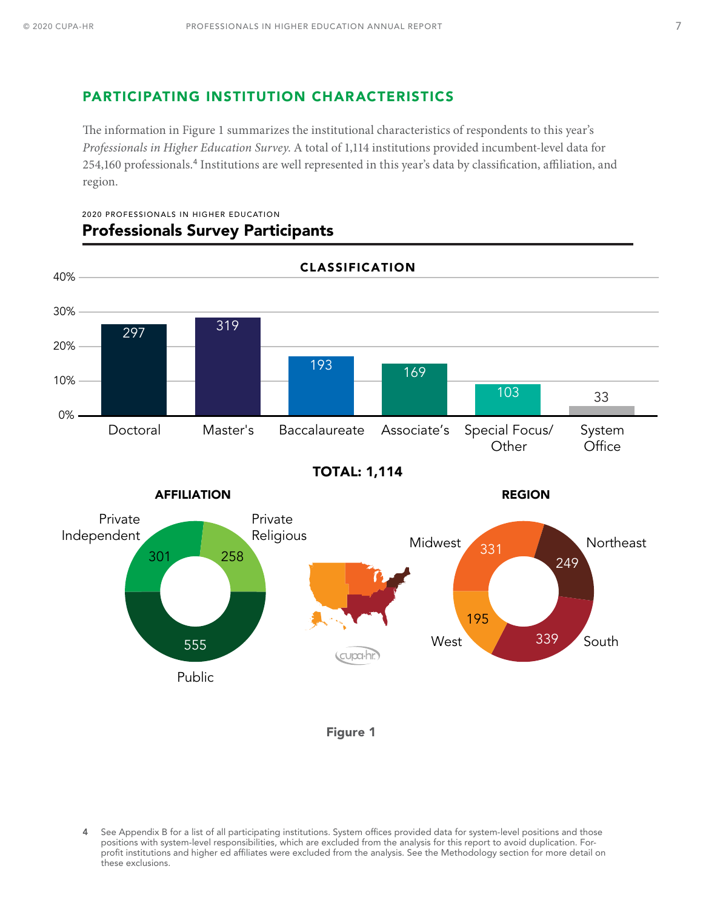### <span id="page-7-0"></span>PARTICIPATING INSTITUTION CHARACTERISTICS

The information in Figure 1 summarizes the institutional characteristics of respondents to this year's *Professionals in Higher Education Survey*. A total of 1,114 institutions provided incumbent-level data for 254,160 professionals.<sup>4</sup> Institutions are well represented in this year's data by classification, affiliation, and region.



#### 2020 PROFESSIONALS IN HIGHER EDUCATION Professionals Survey Participants



4 See Appendix B for a list of all participating institutions. System offices provided data for system-level positions and those positions with system-level responsibilities, which are excluded from the analysis for this report to avoid duplication. Forprofit institutions and higher ed affiliates were excluded from the analysis. See the Methodology section for more detail on these exclusions.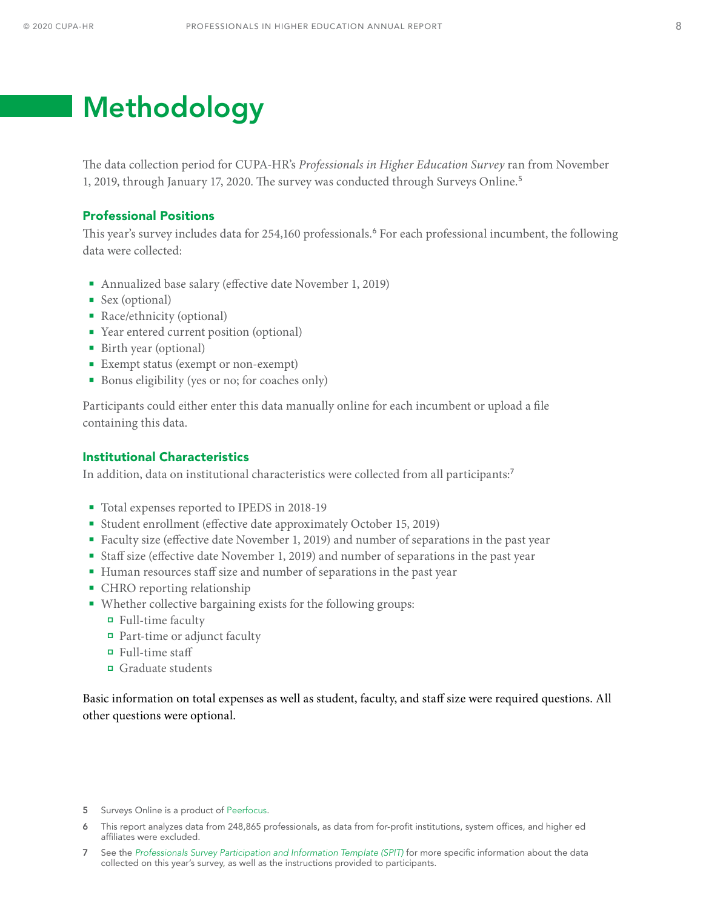# <span id="page-8-0"></span>Methodology

The data collection period for CUPA-HR's *Professionals in Higher Education Survey* ran from November 1, 2019, through January 17, 2020. The survey was conducted through Surveys Online.<sup>5</sup>

#### Professional Positions

This year's survey includes data for 254,160 professionals.<sup>6</sup> For each professional incumbent, the following data were collected:

- Annualized base salary (effective date November 1, 2019)
- Sex (optional)
- Race/ethnicity (optional)
- Year entered current position (optional)
- Birth year (optional)
- Exempt status (exempt or non-exempt)
- Bonus eligibility (yes or no; for coaches only)

Participants could either enter this data manually online for each incumbent or upload a file containing this data.

#### Institutional Characteristics

In addition, data on institutional characteristics were collected from all participants:<sup>7</sup>

- Total expenses reported to IPEDS in 2018-19
- Student enrollment (effective date approximately October 15, 2019)
- Faculty size (effective date November 1, 2019) and number of separations in the past year
- Staff size (effective date November 1, 2019) and number of separations in the past year
- Human resources staff size and number of separations in the past year
- CHRO reporting relationship
- Whether collective bargaining exists for the following groups:
	- Full-time faculty
	- Part-time or adjunct faculty
	- $\Box$  Full-time staff
	- Graduate students

Basic information on total expenses as well as student, faculty, and staff size were required questions. All other questions were optional.

- 5 Surveys Online is a product of [Peerfocus](http://www.peerfocus.com/).
- 6 This report analyzes data from 248,865 professionals, as data from for-profit institutions, system offices, and higher ed affiliates were excluded.
- 7 See the *[Professionals Survey Participation and Information Template](https://www.cupahr.org/surveys/results/) (SPIT)* for more specific information about the data collected on this year's survey, as well as the instructions provided to participants.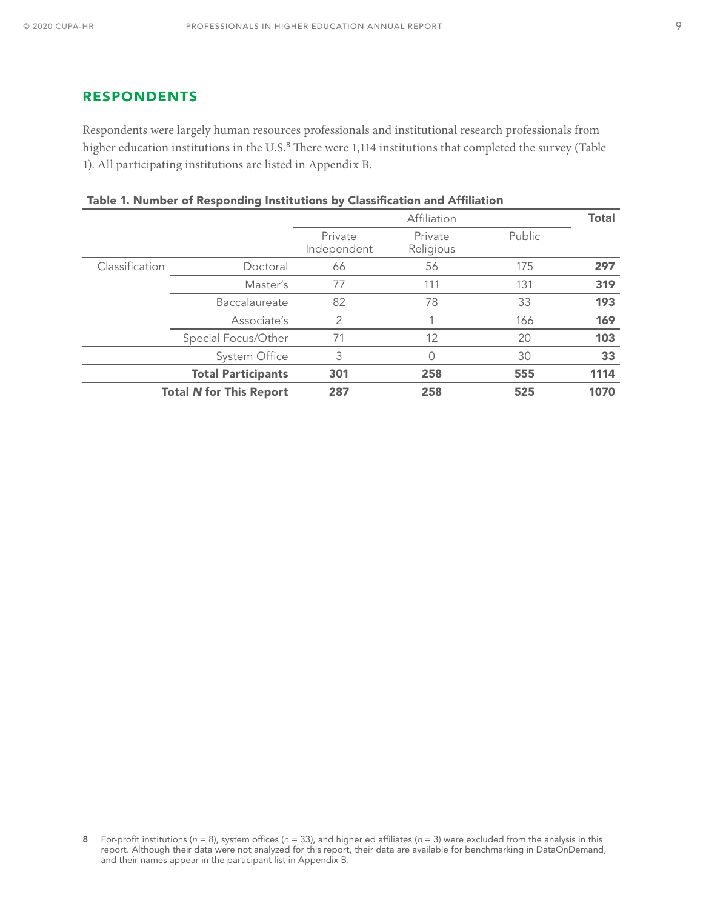#### <span id="page-9-0"></span>RESPONDENTS

Respondents were largely human resources professionals and institutional research professionals from higher education institutions in the U.S.<sup>8</sup> There were 1,114 institutions that completed the survey (Table 1). All participating institutions are listed in Appendix B.

|                |                                | Affiliation            |                      |        | <b>Total</b> |
|----------------|--------------------------------|------------------------|----------------------|--------|--------------|
|                |                                | Private<br>Independent | Private<br>Religious | Public |              |
| Classification | Doctoral                       | 66                     | 56                   | 175    | 297          |
|                | Master's                       | 77                     | 111                  | 131    | 319          |
|                | Baccalaureate                  | 82                     | 78                   | 33     | 193          |
|                | Associate's                    | 2                      |                      | 166    | 169          |
|                | Special Focus/Other            | 71                     | 12                   | 20     | 103          |
|                | System Office                  | 3                      | 0                    | 30     | 33           |
|                | <b>Total Participants</b>      | 301                    | 258                  | 555    | 1114         |
|                | <b>Total N for This Report</b> | 287                    | 258                  | 525    | 1070         |

|  |  | Table 1. Number of Responding Institutions by Classification and Affiliation |  |  |  |
|--|--|------------------------------------------------------------------------------|--|--|--|
|--|--|------------------------------------------------------------------------------|--|--|--|

<sup>8</sup> For-profit institutions (*n* = 8), system offices (*n* = 33), and higher ed affiliates (*n* = 3) were excluded from the analysis in this report. Although their data were not analyzed for this report, their data are available for benchmarking in DataOnDemand, and their names appear in the participant list in Appendix B.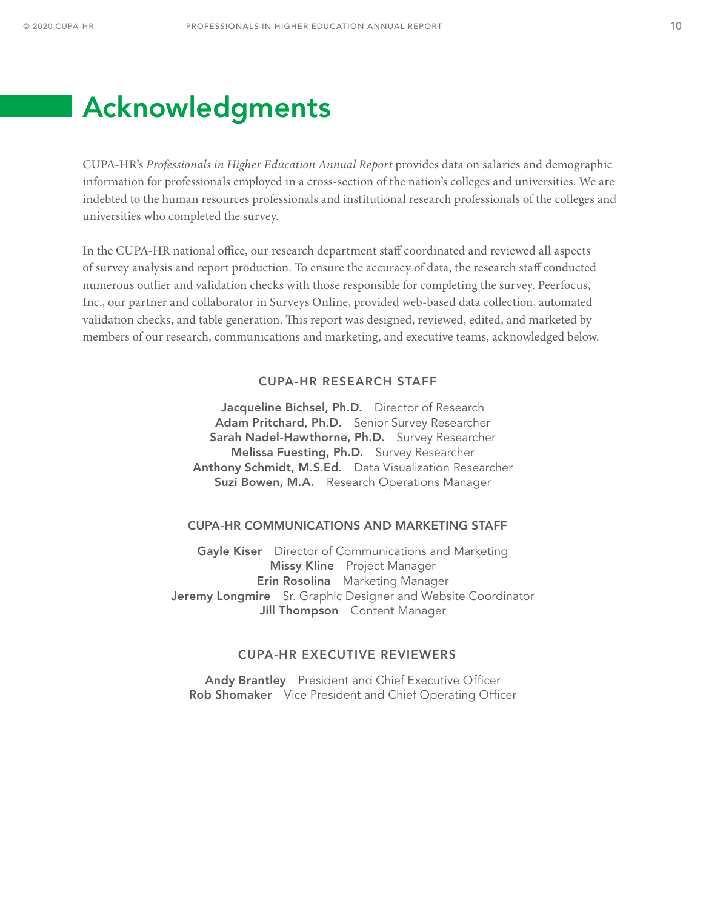# <span id="page-10-0"></span>Acknowledgments

CUPA-HR's *Professionals in Higher Education Annual Report* provides data on salaries and demographic information for professionals employed in a cross-section of the nation's colleges and universities. We are indebted to the human resources professionals and institutional research professionals of the colleges and universities who completed the survey.

In the CUPA-HR national office, our research department staff coordinated and reviewed all aspects of survey analysis and report production. To ensure the accuracy of data, the research staff conducted numerous outlier and validation checks with those responsible for completing the survey. Peerfocus, Inc., our partner and collaborator in Surveys Online, provided web-based data collection, automated validation checks, and table generation. This report was designed, reviewed, edited, and marketed by members of our research, communications and marketing, and executive teams, acknowledged below.

#### CUPA-HR RESEARCH STAFF

Jacqueline Bichsel, Ph.D. Director of Research Adam Pritchard, Ph.D. Senior Survey Researcher Sarah Nadel-Hawthorne, Ph.D. Survey Researcher Melissa Fuesting, Ph.D. Survey Researcher Anthony Schmidt, M.S.Ed. Data Visualization Researcher Suzi Bowen, M.A. Research Operations Manager

#### CUPA-HR COMMUNICATIONS AND MARKETING STAFF

Gayle Kiser Director of Communications and Marketing Missy Kline Project Manager **Erin Rosolina** Marketing Manager Jeremy Longmire Sr. Graphic Designer and Website Coordinator **Jill Thompson** Content Manager

#### CUPA-HR EXECUTIVE REVIEWERS

Andy Brantley President and Chief Executive Officer Rob Shomaker Vice President and Chief Operating Officer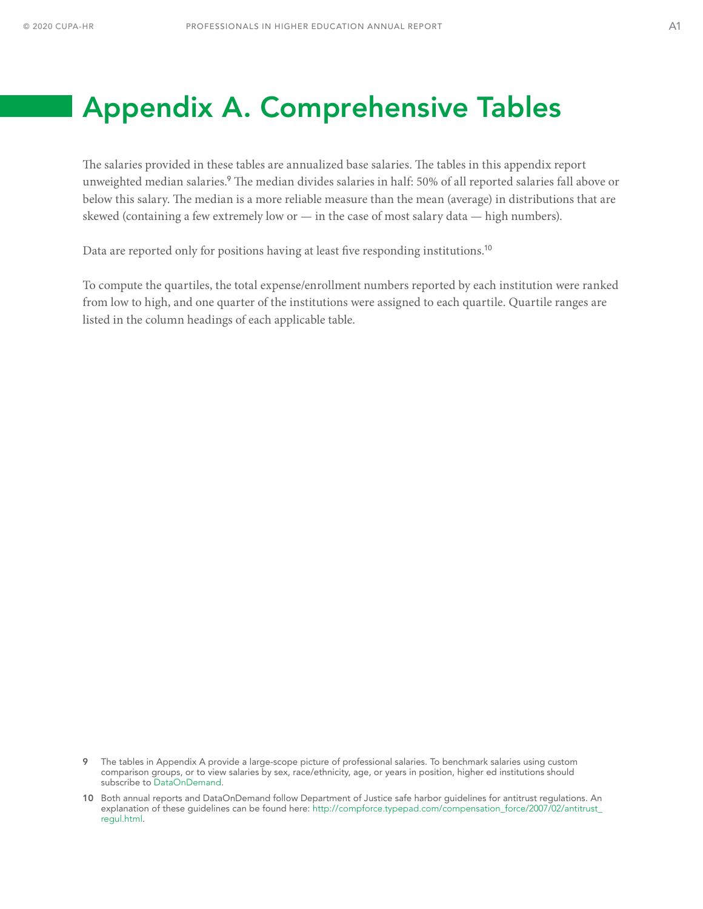# <span id="page-11-0"></span>Appendix A. Comprehensive Tables

The salaries provided in these tables are annualized base salaries. The tables in this appendix report unweighted median salaries.<sup>9</sup> The median divides salaries in half: 50% of all reported salaries fall above or below this salary. The median is a more reliable measure than the mean (average) in distributions that are skewed (containing a few extremely low or  $-$  in the case of most salary data  $-$  high numbers).

Data are reported only for positions having at least five responding institutions.<sup>10</sup>

To compute the quartiles, the total expense/enrollment numbers reported by each institution were ranked from low to high, and one quarter of the institutions were assigned to each quartile. Quartile ranges are listed in the column headings of each applicable table.

<sup>9</sup> The tables in Appendix A provide a large-scope picture of professional salaries. To benchmark salaries using custom comparison groups, or to view salaries by sex, race/ethnicity, age, or years in position, higher ed institutions should subscribe to [DataOnDemand](https://www.cupahr.org/surveys/dataondemand/).

<sup>10</sup> Both annual reports and DataOnDemand follow Department of Justice safe harbor guidelines for antitrust regulations. An explanation of these guidelines can be found here: [http://compforce.typepad.com/compensation\\_force/2007/02/antitrust\\_](http://compforce.typepad.com/compensation_force/2007/02/antitrust_regul.html) [regul.html](http://compforce.typepad.com/compensation_force/2007/02/antitrust_regul.html).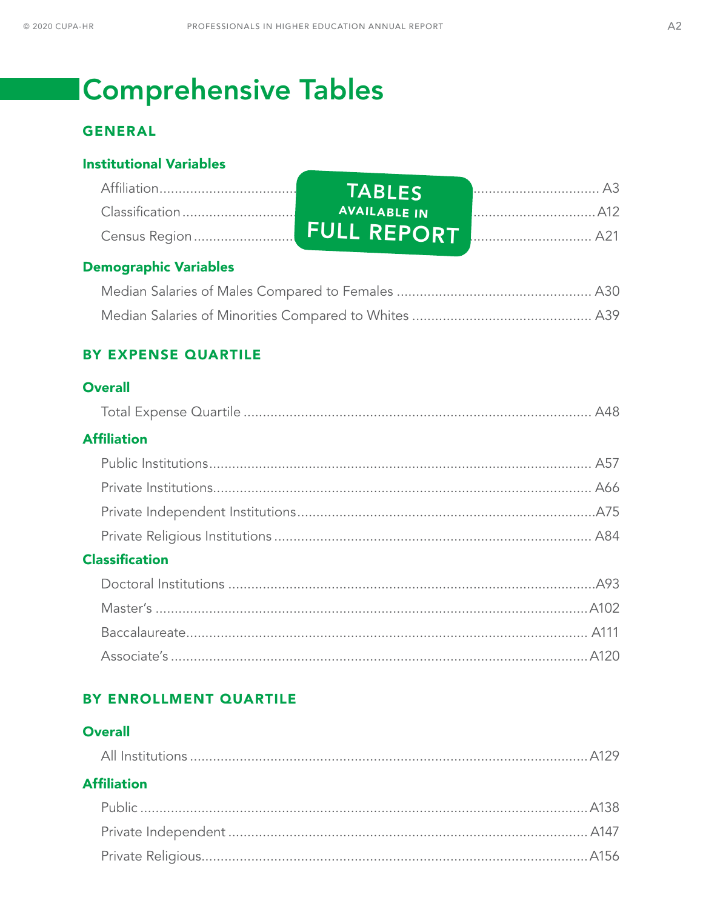# **Comprehensive Tables**

## **GENERAL**

### **Institutional Variables**

| <b>TABLES</b>       |  |
|---------------------|--|
| <b>AVAILABLE IN</b> |  |
|                     |  |

### **Demographic Variables**

### BY EXPENSE QUARTILE

### **Overall**

|--|--|

### **Affiliation**

### **Classification**

### BY ENROLLMENT QUARTILE

### **Overall**

## **Affiliation**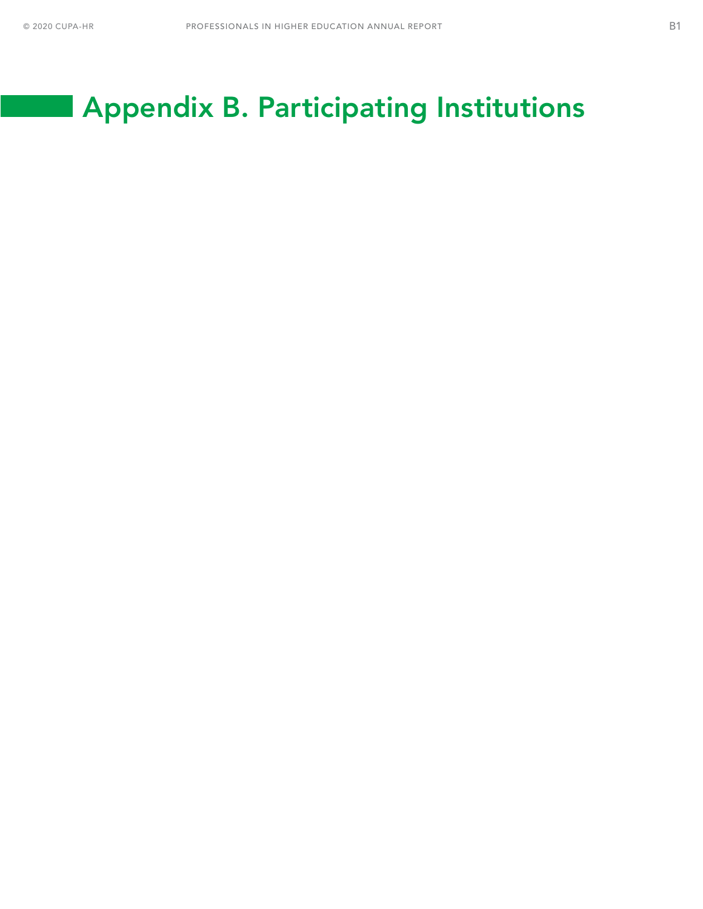# <span id="page-13-0"></span>Appendix B. Participating Institutions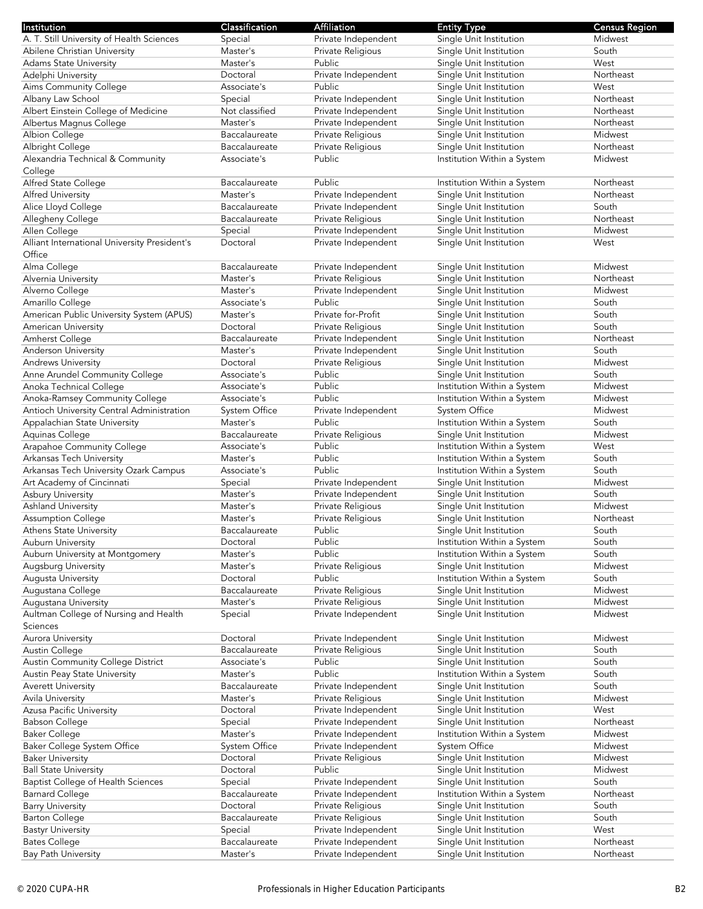| Institution                                  | Classification       | Affiliation         | <b>Entity Type</b>          | <b>Census Region</b> |
|----------------------------------------------|----------------------|---------------------|-----------------------------|----------------------|
| A. T. Still University of Health Sciences    | Special              | Private Independent | Single Unit Institution     | Midwest              |
|                                              |                      | Private Religious   |                             | South                |
| Abilene Christian University                 | Master's             |                     | Single Unit Institution     |                      |
| <b>Adams State University</b>                | Master's             | Public              | Single Unit Institution     | West                 |
| Adelphi University                           | Doctoral             | Private Independent | Single Unit Institution     | Northeast            |
| Aims Community College                       | Associate's          | Public              | Single Unit Institution     | West                 |
| Albany Law School                            | Special              | Private Independent | Single Unit Institution     | Northeast            |
|                                              |                      |                     |                             |                      |
| Albert Einstein College of Medicine          | Not classified       | Private Independent | Single Unit Institution     | Northeast            |
| Albertus Magnus College                      | Master's             | Private Independent | Single Unit Institution     | Northeast            |
| Albion College                               | Baccalaureate        | Private Religious   | Single Unit Institution     | Midwest              |
| Albright College                             | Baccalaureate        | Private Religious   | Single Unit Institution     | Northeast            |
|                                              | Associate's          | Public              | Institution Within a System | Midwest              |
| Alexandria Technical & Community             |                      |                     |                             |                      |
| College                                      |                      |                     |                             |                      |
| Alfred State College                         | Baccalaureate        | Public              | Institution Within a System | Northeast            |
| Alfred University                            | Master's             | Private Independent | Single Unit Institution     | Northeast            |
| Alice Lloyd College                          | Baccalaureate        | Private Independent | Single Unit Institution     | South                |
| Allegheny College                            | Baccalaureate        | Private Religious   | Single Unit Institution     | Northeast            |
|                                              |                      |                     |                             |                      |
| Allen College                                | Special              | Private Independent | Single Unit Institution     | Midwest              |
| Alliant International University President's | Doctoral             | Private Independent | Single Unit Institution     | West                 |
| Office                                       |                      |                     |                             |                      |
| Alma College                                 | Baccalaureate        | Private Independent | Single Unit Institution     | Midwest              |
| Alvernia University                          | Master's             | Private Religious   | Single Unit Institution     | Northeast            |
|                                              |                      |                     |                             | Midwest              |
| Alverno College                              | Master's             | Private Independent | Single Unit Institution     |                      |
| Amarillo College                             | Associate's          | Public              | Single Unit Institution     | South                |
| American Public University System (APUS)     | Master's             | Private for-Profit  | Single Unit Institution     | South                |
| American University                          | Doctoral             | Private Religious   | Single Unit Institution     | South                |
| Amherst College                              | Baccalaureate        | Private Independent | Single Unit Institution     | Northeast            |
|                                              |                      |                     |                             |                      |
| <b>Anderson University</b>                   | Master's             | Private Independent | Single Unit Institution     | South                |
| <b>Andrews University</b>                    | Doctoral             | Private Religious   | Single Unit Institution     | Midwest              |
| Anne Arundel Community College               | Associate's          | Public              | Single Unit Institution     | South                |
| Anoka Technical College                      | Associate's          | Public              | Institution Within a System | Midwest              |
| Anoka-Ramsey Community College               | Associate's          | Public              | Institution Within a System | Midwest              |
|                                              | <b>System Office</b> | Private Independent | System Office               | Midwest              |
| Antioch University Central Administration    |                      |                     |                             |                      |
| Appalachian State University                 | Master's             | Public              | Institution Within a System | South                |
| Aquinas College                              | Baccalaureate        | Private Religious   | Single Unit Institution     | Midwest              |
| Arapahoe Community College                   | Associate's          | Public              | Institution Within a System | West                 |
| Arkansas Tech University                     | Master's             | Public              | Institution Within a System | South                |
| Arkansas Tech University Ozark Campus        | Associate's          | Public              | Institution Within a System | South                |
|                                              |                      |                     |                             |                      |
| Art Academy of Cincinnati                    | Special              | Private Independent | Single Unit Institution     | Midwest              |
| Asbury University                            | Master's             | Private Independent | Single Unit Institution     | South                |
| Ashland University                           | Master's             | Private Religious   | Single Unit Institution     | Midwest              |
| <b>Assumption College</b>                    | Master's             | Private Religious   | Single Unit Institution     | Northeast            |
| Athens State University                      | Baccalaureate        | Public              | Single Unit Institution     | South                |
|                                              |                      | Public              |                             |                      |
| Auburn University                            | Doctoral             |                     | Institution Within a System | South                |
| Auburn University at Montgomery              | Master's             | Public              | Institution Within a System | South                |
| Augsburg University                          | Master's             | Private Religious   | Single Unit Institution     | Midwest              |
| Augusta University                           | Doctoral             | Public              | Institution Within a System | South                |
| Augustana College                            | Baccalaureate        | Private Religious   | Single Unit Institution     | Midwest              |
| Augustana University                         | Master's             | Private Religious   | Single Unit Institution     | Midwest              |
|                                              |                      |                     |                             |                      |
| Aultman College of Nursing and Health        | Special              | Private Independent | Single Unit Institution     | Midwest              |
| Sciences                                     |                      |                     |                             |                      |
| Aurora University                            | Doctoral             | Private Independent | Single Unit Institution     | Midwest              |
| Austin College                               | Baccalaureate        | Private Religious   | Single Unit Institution     | South                |
| Austin Community College District            | Associate's          | Public              | Single Unit Institution     | South                |
|                                              | Master's             | Public              |                             | South                |
| Austin Peay State University                 |                      |                     | Institution Within a System |                      |
| <b>Averett University</b>                    | Baccalaureate        | Private Independent | Single Unit Institution     | South                |
| Avila University                             | Master's             | Private Religious   | Single Unit Institution     | Midwest              |
| Azusa Pacific University                     | Doctoral             | Private Independent | Single Unit Institution     | West                 |
| <b>Babson College</b>                        | Special              | Private Independent | Single Unit Institution     | Northeast            |
| <b>Baker College</b>                         | Master's             | Private Independent | Institution Within a System | Midwest              |
|                                              |                      |                     |                             |                      |
| Baker College System Office                  | System Office        | Private Independent | System Office               | Midwest              |
| <b>Baker University</b>                      | Doctoral             | Private Religious   | Single Unit Institution     | Midwest              |
| <b>Ball State University</b>                 | Doctoral             | Public              | Single Unit Institution     | Midwest              |
| Baptist College of Health Sciences           | Special              | Private Independent | Single Unit Institution     | South                |
| <b>Barnard College</b>                       | Baccalaureate        | Private Independent | Institution Within a System | Northeast            |
|                                              |                      |                     |                             |                      |
| <b>Barry University</b>                      | Doctoral             | Private Religious   | Single Unit Institution     | South                |
| <b>Barton College</b>                        | Baccalaureate        | Private Religious   | Single Unit Institution     | South                |
| <b>Bastyr University</b>                     | Special              | Private Independent | Single Unit Institution     | West                 |
| <b>Bates College</b>                         | Baccalaureate        | Private Independent | Single Unit Institution     | Northeast            |
| Bay Path University                          | Master's             | Private Independent | Single Unit Institution     | Northeast            |
|                                              |                      |                     |                             |                      |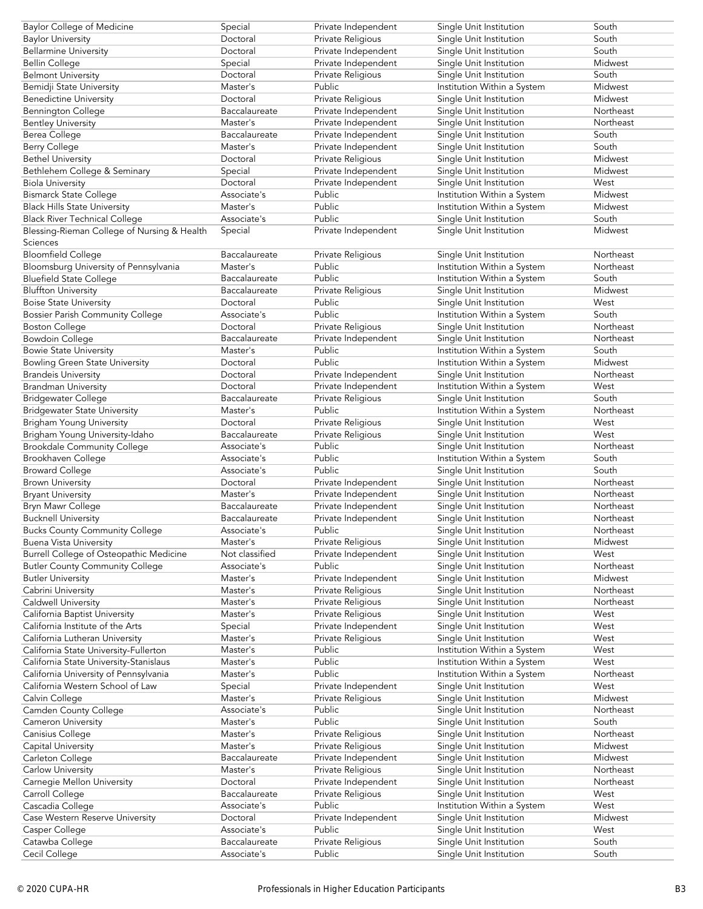| <b>Baylor College of Medicine</b>              | Special        | Private Independent | Single Unit Institution     | South     |
|------------------------------------------------|----------------|---------------------|-----------------------------|-----------|
| <b>Baylor University</b>                       | Doctoral       | Private Religious   | Single Unit Institution     | South     |
| <b>Bellarmine University</b>                   | Doctoral       | Private Independent | Single Unit Institution     | South     |
|                                                |                | Private Independent | Single Unit Institution     | Midwest   |
| <b>Bellin College</b>                          | Special        |                     |                             |           |
| <b>Belmont University</b>                      | Doctoral       | Private Religious   | Single Unit Institution     | South     |
| Bemidji State University                       | Master's       | Public              | Institution Within a System | Midwest   |
| <b>Benedictine University</b>                  | Doctoral       | Private Religious   | Single Unit Institution     | Midwest   |
|                                                | Baccalaureate  |                     |                             | Northeast |
| <b>Bennington College</b>                      |                | Private Independent | Single Unit Institution     |           |
| <b>Bentley University</b>                      | Master's       | Private Independent | Single Unit Institution     | Northeast |
| Berea College                                  | Baccalaureate  | Private Independent | Single Unit Institution     | South     |
| Berry College                                  | Master's       | Private Independent | Single Unit Institution     | South     |
|                                                |                |                     |                             |           |
| <b>Bethel University</b>                       | Doctoral       | Private Religious   | Single Unit Institution     | Midwest   |
| Bethlehem College & Seminary                   | Special        | Private Independent | Single Unit Institution     | Midwest   |
| <b>Biola University</b>                        | Doctoral       | Private Independent | Single Unit Institution     | West      |
| <b>Bismarck State College</b>                  | Associate's    | Public              | Institution Within a System | Midwest   |
|                                                |                |                     |                             |           |
| <b>Black Hills State University</b>            | Master's       | Public              | Institution Within a System | Midwest   |
| <b>Black River Technical College</b>           | Associate's    | Public              | Single Unit Institution     | South     |
| Blessing-Rieman College of Nursing & Health    | Special        | Private Independent | Single Unit Institution     | Midwest   |
| Sciences                                       |                |                     |                             |           |
|                                                |                |                     |                             |           |
| <b>Bloomfield College</b>                      | Baccalaureate  | Private Religious   | Single Unit Institution     | Northeast |
| Bloomsburg University of Pennsylvania          | Master's       | Public              | Institution Within a System | Northeast |
| <b>Bluefield State College</b>                 | Baccalaureate  | Public              | Institution Within a System | South     |
|                                                |                |                     |                             |           |
| <b>Bluffton University</b>                     | Baccalaureate  | Private Religious   | Single Unit Institution     | Midwest   |
| <b>Boise State University</b>                  | Doctoral       | Public              | Single Unit Institution     | West      |
| <b>Bossier Parish Community College</b>        | Associate's    | Public              | Institution Within a System | South     |
| <b>Boston College</b>                          | Doctoral       |                     |                             | Northeast |
|                                                |                | Private Religious   | Single Unit Institution     |           |
| <b>Bowdoin College</b>                         | Baccalaureate  | Private Independent | Single Unit Institution     | Northeast |
| <b>Bowie State University</b>                  | Master's       | Public              | Institution Within a System | South     |
| <b>Bowling Green State University</b>          | Doctoral       | Public              | Institution Within a System | Midwest   |
|                                                |                |                     |                             |           |
| <b>Brandeis University</b>                     | Doctoral       | Private Independent | Single Unit Institution     | Northeast |
| <b>Brandman University</b>                     | Doctoral       | Private Independent | Institution Within a System | West      |
| <b>Bridgewater College</b>                     | Baccalaureate  | Private Religious   | Single Unit Institution     | South     |
| <b>Bridgewater State University</b>            | Master's       | Public              | Institution Within a System | Northeast |
|                                                |                |                     |                             |           |
| <b>Brigham Young University</b>                | Doctoral       | Private Religious   | Single Unit Institution     | West      |
| Brigham Young University-Idaho                 | Baccalaureate  | Private Religious   | Single Unit Institution     | West      |
| <b>Brookdale Community College</b>             | Associate's    | Public              | Single Unit Institution     | Northeast |
|                                                |                |                     |                             |           |
|                                                |                |                     |                             |           |
| Brookhaven College                             | Associate's    | Public              | Institution Within a System | South     |
| <b>Broward College</b>                         | Associate's    | Public              | Single Unit Institution     | South     |
|                                                | Doctoral       |                     |                             | Northeast |
| <b>Brown University</b>                        |                | Private Independent | Single Unit Institution     |           |
| <b>Bryant University</b>                       | Master's       | Private Independent | Single Unit Institution     | Northeast |
| Bryn Mawr College                              | Baccalaureate  | Private Independent | Single Unit Institution     | Northeast |
| <b>Bucknell University</b>                     | Baccalaureate  | Private Independent | Single Unit Institution     | Northeast |
|                                                | Associate's    |                     |                             | Northeast |
| <b>Bucks County Community College</b>          |                | Public              | Single Unit Institution     |           |
| <b>Buena Vista University</b>                  | Master's       | Private Religious   | Single Unit Institution     | Midwest   |
| <b>Burrell College of Osteopathic Medicine</b> | Not classified | Private Independent | Single Unit Institution     | West      |
| <b>Butler County Community College</b>         | Associate's    | Public              | Single Unit Institution     | Northeast |
|                                                |                |                     |                             |           |
| <b>Butler University</b>                       | Master's       | Private Independent | Single Unit Institution     | Midwest   |
| Cabrini University                             | Master's       | Private Religious   | Single Unit Institution     | Northeast |
| Caldwell University                            | Master's       | Private Religious   | Single Unit Institution     | Northeast |
| California Baptist University                  | Master's       | Private Religious   | Single Unit Institution     | West      |
|                                                |                |                     |                             |           |
| California Institute of the Arts               | Special        | Private Independent | Single Unit Institution     | West      |
| California Lutheran University                 | Master's       | Private Religious   | Single Unit Institution     | West      |
| California State University-Fullerton          | Master's       | Public              | Institution Within a System | West      |
| California State University-Stanislaus         | Master's       | Public              | Institution Within a System | West      |
|                                                |                |                     |                             |           |
| California University of Pennsylvania          | Master's       | Public              | Institution Within a System | Northeast |
| California Western School of Law               | Special        | Private Independent | Single Unit Institution     | West      |
| Calvin College                                 | Master's       | Private Religious   | Single Unit Institution     | Midwest   |
| Camden County College                          | Associate's    | Public              | Single Unit Institution     | Northeast |
|                                                |                |                     |                             |           |
| Cameron University                             | Master's       | Public              | Single Unit Institution     | South     |
| Canisius College                               | Master's       | Private Religious   | Single Unit Institution     | Northeast |
| Capital University                             | Master's       | Private Religious   | Single Unit Institution     | Midwest   |
| Carleton College                               | Baccalaureate  | Private Independent | Single Unit Institution     | Midwest   |
|                                                |                |                     |                             |           |
| Carlow University                              | Master's       | Private Religious   | Single Unit Institution     | Northeast |
| Carnegie Mellon University                     | Doctoral       | Private Independent | Single Unit Institution     | Northeast |
| Carroll College                                | Baccalaureate  | Private Religious   | Single Unit Institution     | West      |
| Cascadia College                               | Associate's    | Public              |                             | West      |
|                                                |                |                     | Institution Within a System |           |
| Case Western Reserve University                | Doctoral       | Private Independent | Single Unit Institution     | Midwest   |
| Casper College                                 | Associate's    | Public              | Single Unit Institution     | West      |
| Catawba College<br>Cecil College               | Baccalaureate  | Private Religious   | Single Unit Institution     | South     |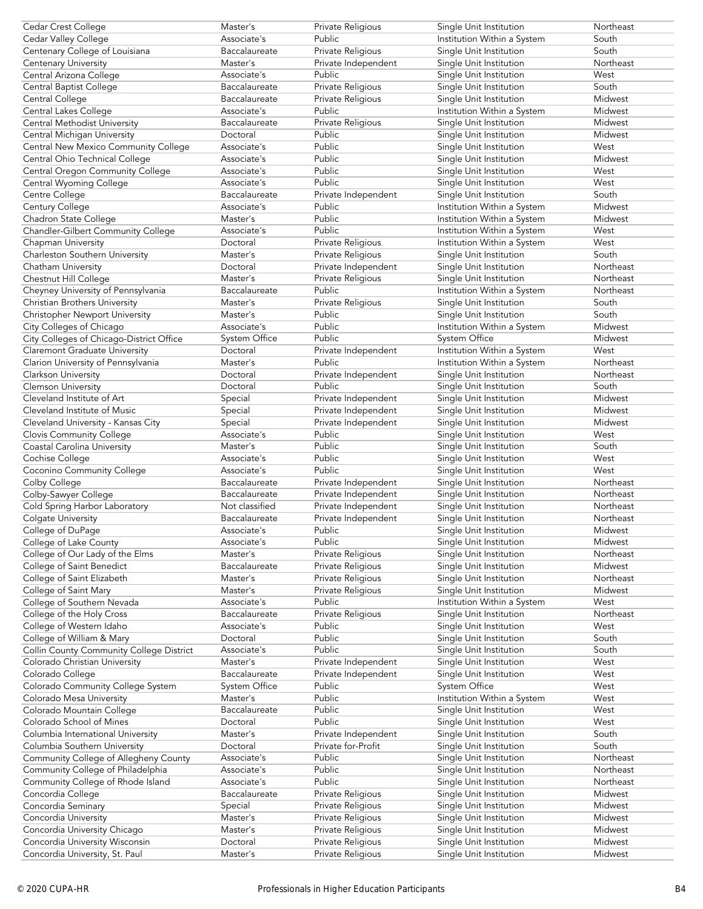| Cedar Crest College                      | Master's       | Private Religious   | Single Unit Institution     | Northeast |
|------------------------------------------|----------------|---------------------|-----------------------------|-----------|
| Cedar Valley College                     | Associate's    | Public              | Institution Within a System | South     |
|                                          | Baccalaureate  | Private Religious   |                             | South     |
| Centenary College of Louisiana           |                |                     | Single Unit Institution     |           |
| <b>Centenary University</b>              | Master's       | Private Independent | Single Unit Institution     | Northeast |
| Central Arizona College                  | Associate's    | Public              | Single Unit Institution     | West      |
| Central Baptist College                  | Baccalaureate  | Private Religious   | Single Unit Institution     | South     |
| Central College                          | Baccalaureate  | Private Religious   | Single Unit Institution     | Midwest   |
| Central Lakes College                    | Associate's    | Public              | Institution Within a System | Midwest   |
|                                          |                |                     |                             |           |
| Central Methodist University             | Baccalaureate  | Private Religious   | Single Unit Institution     | Midwest   |
| Central Michigan University              | Doctoral       | Public              | Single Unit Institution     | Midwest   |
| Central New Mexico Community College     | Associate's    | Public              | Single Unit Institution     | West      |
| Central Ohio Technical College           | Associate's    | Public              | Single Unit Institution     | Midwest   |
| Central Oregon Community College         | Associate's    | Public              | Single Unit Institution     | West      |
|                                          |                |                     |                             |           |
| Central Wyoming College                  | Associate's    | Public              | Single Unit Institution     | West      |
| Centre College                           | Baccalaureate  | Private Independent | Single Unit Institution     | South     |
| Century College                          | Associate's    | Public              | Institution Within a System | Midwest   |
| Chadron State College                    | Master's       | Public              | Institution Within a System | Midwest   |
| Chandler-Gilbert Community College       | Associate's    | Public              | Institution Within a System | West      |
|                                          |                |                     |                             |           |
| Chapman University                       | Doctoral       | Private Religious   | Institution Within a System | West      |
| Charleston Southern University           | Master's       | Private Religious   | Single Unit Institution     | South     |
| Chatham University                       | Doctoral       | Private Independent | Single Unit Institution     | Northeast |
| Chestnut Hill College                    | Master's       | Private Religious   | Single Unit Institution     | Northeast |
| Cheyney University of Pennsylvania       | Baccalaureate  | Public              | Institution Within a System | Northeast |
|                                          |                |                     |                             |           |
| Christian Brothers University            | Master's       | Private Religious   | Single Unit Institution     | South     |
| Christopher Newport University           | Master's       | Public              | Single Unit Institution     | South     |
| City Colleges of Chicago                 | Associate's    | Public              | Institution Within a System | Midwest   |
| City Colleges of Chicago-District Office | System Office  | Public              | System Office               | Midwest   |
| Claremont Graduate University            | Doctoral       | Private Independent | Institution Within a System | West      |
|                                          |                |                     |                             |           |
| Clarion University of Pennsylvania       | Master's       | Public              | Institution Within a System | Northeast |
| Clarkson University                      | Doctoral       | Private Independent | Single Unit Institution     | Northeast |
| <b>Clemson University</b>                | Doctoral       | Public              | Single Unit Institution     | South     |
| Cleveland Institute of Art               | Special        | Private Independent | Single Unit Institution     | Midwest   |
| Cleveland Institute of Music             | Special        | Private Independent | Single Unit Institution     | Midwest   |
|                                          |                |                     |                             |           |
| Cleveland University - Kansas City       | Special        | Private Independent | Single Unit Institution     | Midwest   |
| <b>Clovis Community College</b>          | Associate's    | Public              | Single Unit Institution     | West      |
| Coastal Carolina University              | Master's       | Public              | Single Unit Institution     | South     |
| Cochise College                          | Associate's    | Public              | Single Unit Institution     | West      |
| Coconino Community College               | Associate's    | Public              | Single Unit Institution     | West      |
|                                          | Baccalaureate  | Private Independent |                             | Northeast |
| Colby College                            |                |                     | Single Unit Institution     |           |
| Colby-Sawyer College                     | Baccalaureate  | Private Independent | Single Unit Institution     | Northeast |
| Cold Spring Harbor Laboratory            | Not classified | Private Independent | Single Unit Institution     | Northeast |
| Colgate University                       | Baccalaureate  | Private Independent | Single Unit Institution     | Northeast |
| College of DuPage                        | Associate's    | Public              | Single Unit Institution     | Midwest   |
|                                          | Associate's    | Public              |                             | Midwest   |
| College of Lake County                   |                |                     | Single Unit Institution     |           |
| College of Our Lady of the Elms          | Master's       | Private Religious   | Single Unit Institution     | Northeast |
| College of Saint Benedict                | Baccalaureate  | Private Religious   | Single Unit Institution     | Midwest   |
| College of Saint Elizabeth               | Master's       | Private Religious   | Single Unit Institution     | Northeast |
| College of Saint Mary                    | Master's       | Private Religious   | Single Unit Institution     | Midwest   |
| College of Southern Nevada               | Associate's    | Public              | Institution Within a System | West      |
|                                          |                |                     |                             |           |
| College of the Holy Cross                | Baccalaureate  | Private Religious   | Single Unit Institution     | Northeast |
| College of Western Idaho                 | Associate's    | Public              | Single Unit Institution     | West      |
| College of William & Mary                | Doctoral       | Public              | Single Unit Institution     | South     |
| Collin County Community College District | Associate's    | Public              | Single Unit Institution     | South     |
| Colorado Christian University            | Master's       | Private Independent | Single Unit Institution     | West      |
|                                          | Baccalaureate  | Private Independent |                             | West      |
| Colorado College                         |                |                     | Single Unit Institution     |           |
| Colorado Community College System        | System Office  | Public              | System Office               | West      |
| Colorado Mesa University                 | Master's       | Public              | Institution Within a System | West      |
| Colorado Mountain College                | Baccalaureate  | Public              | Single Unit Institution     | West      |
| Colorado School of Mines                 | Doctoral       | Public              | Single Unit Institution     | West      |
|                                          |                |                     |                             |           |
| Columbia International University        | Master's       | Private Independent | Single Unit Institution     | South     |
| Columbia Southern University             | Doctoral       | Private for-Profit  | Single Unit Institution     | South     |
| Community College of Allegheny County    | Associate's    | Public              | Single Unit Institution     | Northeast |
| Community College of Philadelphia        | Associate's    | Public              | Single Unit Institution     | Northeast |
| Community College of Rhode Island        | Associate's    | Public              | Single Unit Institution     | Northeast |
|                                          |                |                     |                             |           |
| Concordia College                        | Baccalaureate  | Private Religious   | Single Unit Institution     | Midwest   |
| Concordia Seminary                       | Special        | Private Religious   | Single Unit Institution     | Midwest   |
| Concordia University                     | Master's       | Private Religious   | Single Unit Institution     | Midwest   |
| Concordia University Chicago             | Master's       | Private Religious   | Single Unit Institution     | Midwest   |
| Concordia University Wisconsin           | Doctoral       | Private Religious   | Single Unit Institution     | Midwest   |
| Concordia University, St. Paul           | Master's       | Private Religious   | Single Unit Institution     | Midwest   |
|                                          |                |                     |                             |           |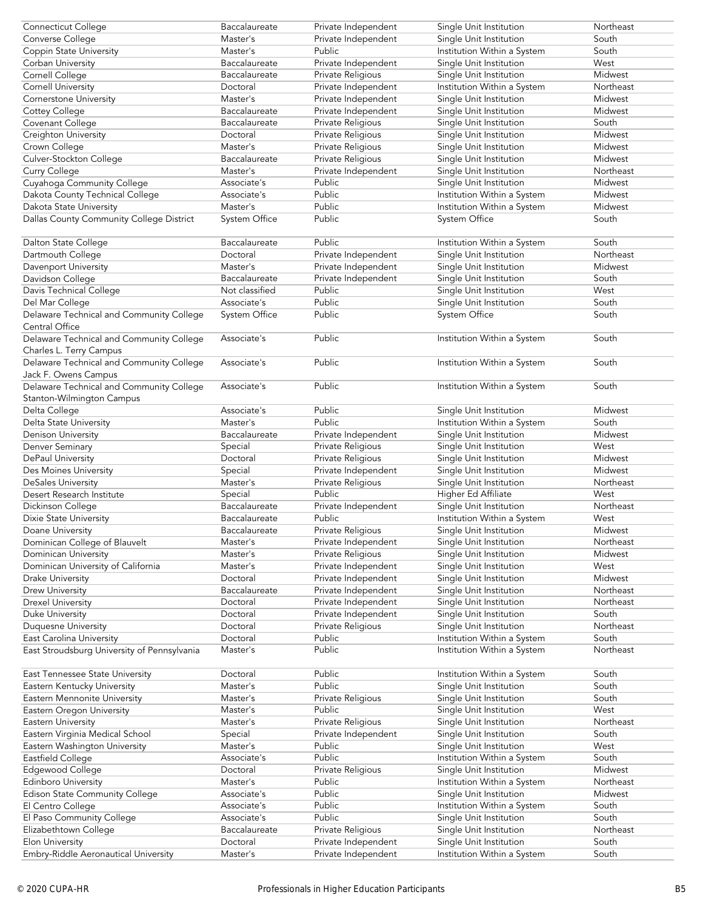|                                                                | Baccalaureate        | Private Independent                        | Single Unit Institution                                | Northeast      |
|----------------------------------------------------------------|----------------------|--------------------------------------------|--------------------------------------------------------|----------------|
| <b>Connecticut College</b>                                     |                      |                                            |                                                        |                |
| Converse College                                               | Master's             | Private Independent                        | Single Unit Institution                                | South          |
| Coppin State University                                        | Master's             | Public                                     | Institution Within a System                            | South          |
|                                                                |                      |                                            |                                                        |                |
| Corban University                                              | Baccalaureate        | Private Independent                        | Single Unit Institution                                | West           |
| Cornell College                                                | Baccalaureate        | Private Religious                          | Single Unit Institution                                | Midwest        |
|                                                                |                      | Private Independent                        |                                                        | Northeast      |
| <b>Cornell University</b>                                      | Doctoral             |                                            | Institution Within a System                            |                |
| Cornerstone University                                         | Master's             | Private Independent                        | Single Unit Institution                                | Midwest        |
| Cottey College                                                 | Baccalaureate        | Private Independent                        | Single Unit Institution                                | Midwest        |
|                                                                |                      |                                            |                                                        |                |
| Covenant College                                               | Baccalaureate        | Private Religious                          | Single Unit Institution                                | South          |
| Creighton University                                           | Doctoral             | Private Religious                          | Single Unit Institution                                | Midwest        |
|                                                                |                      |                                            |                                                        |                |
| Crown College                                                  | Master's             | Private Religious                          | Single Unit Institution                                | Midwest        |
| Culver-Stockton College                                        | Baccalaureate        | Private Religious                          | Single Unit Institution                                | Midwest        |
|                                                                |                      |                                            |                                                        |                |
| Curry College                                                  | Master's             | Private Independent                        | Single Unit Institution                                | Northeast      |
| Cuyahoga Community College                                     | Associate's          | Public                                     | Single Unit Institution                                | Midwest        |
|                                                                |                      |                                            |                                                        |                |
| Dakota County Technical College                                | Associate's          | Public                                     | Institution Within a System                            | Midwest        |
| Dakota State University                                        | Master's             | Public                                     | Institution Within a System                            | Midwest        |
|                                                                |                      |                                            |                                                        |                |
| Dallas County Community College District                       | System Office        | Public                                     | System Office                                          | South          |
|                                                                |                      |                                            |                                                        |                |
|                                                                |                      |                                            |                                                        |                |
| Dalton State College                                           | Baccalaureate        | Public                                     | Institution Within a System                            | South          |
| Dartmouth College                                              | Doctoral             | Private Independent                        | Single Unit Institution                                | Northeast      |
|                                                                |                      |                                            |                                                        |                |
| Davenport University                                           | Master's             | Private Independent                        | Single Unit Institution                                | Midwest        |
| Davidson College                                               | Baccalaureate        | Private Independent                        | Single Unit Institution                                | South          |
|                                                                |                      |                                            |                                                        |                |
| Davis Technical College                                        | Not classified       | Public                                     | Single Unit Institution                                | West           |
| Del Mar College                                                | Associate's          | Public                                     | Single Unit Institution                                | South          |
|                                                                |                      |                                            |                                                        |                |
| Delaware Technical and Community College                       | System Office        | Public                                     | System Office                                          | South          |
| Central Office                                                 |                      |                                            |                                                        |                |
|                                                                |                      |                                            |                                                        |                |
| Delaware Technical and Community College                       | Associate's          | Public                                     | Institution Within a System                            | South          |
| Charles L. Terry Campus                                        |                      |                                            |                                                        |                |
|                                                                |                      |                                            |                                                        |                |
| Delaware Technical and Community College                       | Associate's          | Public                                     | Institution Within a System                            | South          |
| Jack F. Owens Campus                                           |                      |                                            |                                                        |                |
|                                                                |                      |                                            |                                                        |                |
| Delaware Technical and Community College                       | Associate's          | Public                                     | Institution Within a System                            | South          |
| Stanton-Wilmington Campus                                      |                      |                                            |                                                        |                |
|                                                                |                      |                                            |                                                        |                |
| Delta College                                                  | Associate's          | Public                                     | Single Unit Institution                                | Midwest        |
| Delta State University                                         | Master's             | Public                                     | Institution Within a System                            | South          |
|                                                                |                      |                                            |                                                        |                |
| Denison University                                             | Baccalaureate        | Private Independent                        | Single Unit Institution                                | Midwest        |
| Denver Seminary                                                | Special              | Private Religious                          | Single Unit Institution                                | West           |
|                                                                |                      |                                            |                                                        |                |
| DePaul University                                              | Doctoral             | Private Religious                          | Single Unit Institution                                | Midwest        |
| Des Moines University                                          | Special              |                                            | Single Unit Institution                                | Midwest        |
|                                                                |                      |                                            |                                                        |                |
|                                                                |                      | Private Independent                        |                                                        |                |
| <b>DeSales University</b>                                      | Master's             | Private Religious                          | Single Unit Institution                                | Northeast      |
|                                                                |                      |                                            |                                                        |                |
| Desert Research Institute                                      | Special              | Public                                     | Higher Ed Affiliate                                    | West           |
| Dickinson College                                              | Baccalaureate        | Private Independent                        | Single Unit Institution                                | Northeast      |
|                                                                |                      |                                            |                                                        |                |
| Dixie State University                                         | Baccalaureate        | Public                                     | Institution Within a System                            | West           |
| Doane University                                               | Baccalaureate        | Private Religious                          | Single Unit Institution                                | Midwest        |
|                                                                |                      |                                            |                                                        |                |
| Dominican College of Blauvelt                                  | Master's             | Private Independent                        | Single Unit Institution                                | Northeast      |
| Dominican University                                           | Master's             | Private Religious                          | Single Unit Institution                                | Midwest        |
|                                                                |                      |                                            |                                                        |                |
| Dominican University of California                             | Master's             | Private Independent                        | Single Unit Institution                                | West           |
| Drake University                                               | Doctoral             | Private Independent                        | Single Unit Institution                                | Midwest        |
|                                                                |                      |                                            |                                                        | Northeast      |
| Drew University                                                | Baccalaureate        | Private Independent                        | Single Unit Institution                                |                |
| <b>Drexel University</b>                                       | Doctoral             | Private Independent                        | Single Unit Institution                                | Northeast      |
| Duke University                                                | Doctoral             | Private Independent                        | Single Unit Institution                                | South          |
|                                                                |                      |                                            |                                                        |                |
| Duquesne University                                            | Doctoral             | Private Religious                          | Single Unit Institution                                | Northeast      |
| East Carolina University                                       | Doctoral             | Public                                     | Institution Within a System                            | South          |
|                                                                |                      |                                            |                                                        |                |
| East Stroudsburg University of Pennsylvania                    | Master's             | Public                                     | Institution Within a System                            | Northeast      |
|                                                                |                      |                                            |                                                        |                |
|                                                                |                      |                                            |                                                        |                |
| East Tennessee State University                                | Doctoral             | Public                                     | Institution Within a System                            | South          |
| Eastern Kentucky University                                    | Master's             | Public                                     | Single Unit Institution                                | South          |
|                                                                |                      |                                            |                                                        |                |
| Eastern Mennonite University                                   | Master's             | Private Religious                          | Single Unit Institution                                | South          |
|                                                                | Master's             | Public                                     |                                                        | West           |
| Eastern Oregon University                                      |                      |                                            | Single Unit Institution                                |                |
| Eastern University                                             | Master's             | Private Religious                          | Single Unit Institution                                | Northeast      |
| Eastern Virginia Medical School                                | Special              | Private Independent                        | Single Unit Institution                                | South          |
|                                                                |                      |                                            |                                                        |                |
| Eastern Washington University                                  | Master's             | Public                                     | Single Unit Institution                                | West           |
| Eastfield College                                              | Associate's          | Public                                     | Institution Within a System                            | South          |
|                                                                |                      |                                            |                                                        |                |
| Edgewood College                                               | Doctoral             | Private Religious                          | Single Unit Institution                                | Midwest        |
| <b>Edinboro University</b>                                     | Master's             | Public                                     | Institution Within a System                            | Northeast      |
|                                                                |                      |                                            |                                                        |                |
| Edison State Community College                                 | Associate's          | Public                                     | Single Unit Institution                                | Midwest        |
| El Centro College                                              | Associate's          | Public                                     | Institution Within a System                            | South          |
|                                                                |                      |                                            |                                                        |                |
| El Paso Community College                                      | Associate's          | Public                                     | Single Unit Institution                                | South          |
| Elizabethtown College                                          | Baccalaureate        | Private Religious                          | Single Unit Institution                                | Northeast      |
|                                                                |                      |                                            |                                                        |                |
| <b>Elon University</b><br>Embry-Riddle Aeronautical University | Doctoral<br>Master's | Private Independent<br>Private Independent | Single Unit Institution<br>Institution Within a System | South<br>South |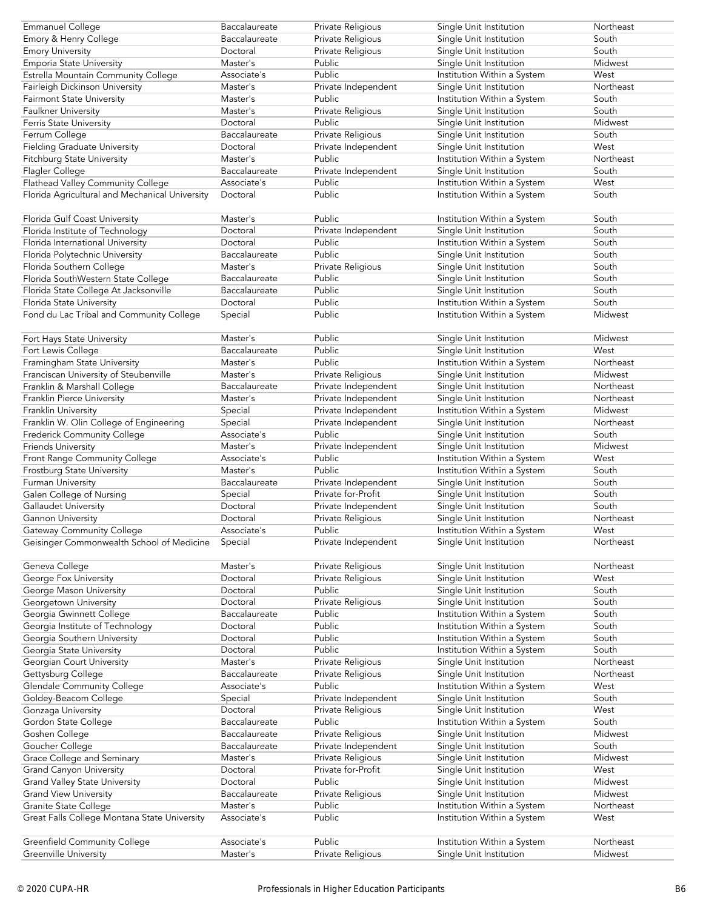| Emmanuel College                               | Baccalaureate | Private Religious   | Single Unit Institution     | Northeast |
|------------------------------------------------|---------------|---------------------|-----------------------------|-----------|
| Emory & Henry College                          | Baccalaureate | Private Religious   | Single Unit Institution     | South     |
| <b>Emory University</b>                        | Doctoral      | Private Religious   | Single Unit Institution     | South     |
| Emporia State University                       | Master's      | Public              | Single Unit Institution     | Midwest   |
|                                                | Associate's   | Public              |                             | West      |
| Estrella Mountain Community College            |               |                     | Institution Within a System |           |
| Fairleigh Dickinson University                 | Master's      | Private Independent | Single Unit Institution     | Northeast |
| <b>Fairmont State University</b>               | Master's      | Public              | Institution Within a System | South     |
| Faulkner University                            | Master's      | Private Religious   | Single Unit Institution     | South     |
| Ferris State University                        | Doctoral      | Public              | Single Unit Institution     | Midwest   |
|                                                |               |                     |                             |           |
| Ferrum College                                 | Baccalaureate | Private Religious   | Single Unit Institution     | South     |
| <b>Fielding Graduate University</b>            | Doctoral      | Private Independent | Single Unit Institution     | West      |
| Fitchburg State University                     | Master's      | Public              | Institution Within a System | Northeast |
| Flagler College                                | Baccalaureate | Private Independent | Single Unit Institution     | South     |
| Flathead Valley Community College              | Associate's   | Public              | Institution Within a System | West      |
|                                                |               |                     |                             |           |
| Florida Agricultural and Mechanical University | Doctoral      | Public              | Institution Within a System | South     |
|                                                |               |                     |                             |           |
| Florida Gulf Coast University                  | Master's      | Public              | Institution Within a System | South     |
| Florida Institute of Technology                | Doctoral      | Private Independent | Single Unit Institution     | South     |
|                                                |               |                     |                             |           |
| Florida International University               | Doctoral      | Public              | Institution Within a System | South     |
| Florida Polytechnic University                 | Baccalaureate | Public              | Single Unit Institution     | South     |
| Florida Southern College                       | Master's      | Private Religious   | Single Unit Institution     | South     |
| Florida SouthWestern State College             | Baccalaureate | Public              | Single Unit Institution     | South     |
| Florida State College At Jacksonville          | Baccalaureate | Public              | Single Unit Institution     | South     |
|                                                |               |                     |                             |           |
| Florida State University                       | Doctoral      | Public              | Institution Within a System | South     |
| Fond du Lac Tribal and Community College       | Special       | Public              | Institution Within a System | Midwest   |
|                                                |               |                     |                             |           |
| Fort Hays State University                     | Master's      | Public              | Single Unit Institution     | Midwest   |
|                                                | Baccalaureate | Public              | Single Unit Institution     | West      |
| Fort Lewis College                             |               |                     |                             |           |
| Framingham State University                    | Master's      | Public              | Institution Within a System | Northeast |
| Franciscan University of Steubenville          | Master's      | Private Religious   | Single Unit Institution     | Midwest   |
| Franklin & Marshall College                    | Baccalaureate | Private Independent | Single Unit Institution     | Northeast |
| Franklin Pierce University                     | Master's      | Private Independent | Single Unit Institution     | Northeast |
| Franklin University                            |               | Private Independent | Institution Within a System | Midwest   |
|                                                | Special       |                     |                             |           |
| Franklin W. Olin College of Engineering        | Special       | Private Independent | Single Unit Institution     | Northeast |
| Frederick Community College                    | Associate's   | Public              | Single Unit Institution     | South     |
| <b>Friends University</b>                      | Master's      | Private Independent | Single Unit Institution     | Midwest   |
| Front Range Community College                  | Associate's   | Public              | Institution Within a System | West      |
| Frostburg State University                     | Master's      | Public              | Institution Within a System | South     |
|                                                |               |                     |                             |           |
| Furman University                              | Baccalaureate | Private Independent | Single Unit Institution     | South     |
| Galen College of Nursing                       | Special       | Private for-Profit  | Single Unit Institution     | South     |
| Gallaudet University                           | Doctoral      | Private Independent | Single Unit Institution     | South     |
| Gannon University                              | Doctoral      | Private Religious   | Single Unit Institution     | Northeast |
| <b>Gateway Community College</b>               | Associate's   | Public              | Institution Within a System | West      |
|                                                |               |                     |                             |           |
| Geisinger Commonwealth School of Medicine      | Special       | Private Independent | Single Unit Institution     | Northeast |
|                                                |               |                     |                             |           |
| Geneva College                                 | Master's      | Private Religious   | Single Unit Institution     | Northeast |
| George Fox University                          | Doctoral      | Private Religious   | Single Unit Institution     | West      |
| George Mason University                        | Doctoral      | Public              | Single Unit Institution     | South     |
|                                                |               |                     |                             | South     |
| Georgetown University                          | Doctoral      | Private Religious   | Single Unit Institution     |           |
| Georgia Gwinnett College                       | Baccalaureate | Public              | Institution Within a System | South     |
| Georgia Institute of Technology                | Doctoral      | Public              | Institution Within a System | South     |
| Georgia Southern University                    | Doctoral      | Public              | Institution Within a System | South     |
| Georgia State University                       | Doctoral      | Public              | Institution Within a System | South     |
|                                                |               |                     |                             | Northeast |
| Georgian Court University                      | Master's      | Private Religious   | Single Unit Institution     |           |
| Gettysburg College                             | Baccalaureate | Private Religious   | Single Unit Institution     | Northeast |
| Glendale Community College                     | Associate's   | Public              | Institution Within a System | West      |
| Goldey-Beacom College                          | Special       | Private Independent | Single Unit Institution     | South     |
| Gonzaga University                             | Doctoral      | Private Religious   | Single Unit Institution     | West      |
|                                                |               |                     |                             | South     |
| Gordon State College                           | Baccalaureate | Public              | Institution Within a System |           |
| Goshen College                                 | Baccalaureate | Private Religious   | Single Unit Institution     | Midwest   |
| Goucher College                                | Baccalaureate | Private Independent | Single Unit Institution     | South     |
| Grace College and Seminary                     | Master's      | Private Religious   | Single Unit Institution     | Midwest   |
| <b>Grand Canyon University</b>                 | Doctoral      | Private for-Profit  | Single Unit Institution     | West      |
| <b>Grand Valley State University</b>           | Doctoral      | Public              | Single Unit Institution     | Midwest   |
|                                                |               |                     |                             |           |
| <b>Grand View University</b>                   | Baccalaureate | Private Religious   | Single Unit Institution     | Midwest   |
| Granite State College                          | Master's      | Public              | Institution Within a System | Northeast |
| Great Falls College Montana State University   | Associate's   | Public              | Institution Within a System | West      |
|                                                |               |                     |                             |           |
| <b>Greenfield Community College</b>            | Associate's   | Public              | Institution Within a System | Northeast |
|                                                |               |                     |                             |           |
| Greenville University                          | Master's      | Private Religious   | Single Unit Institution     | Midwest   |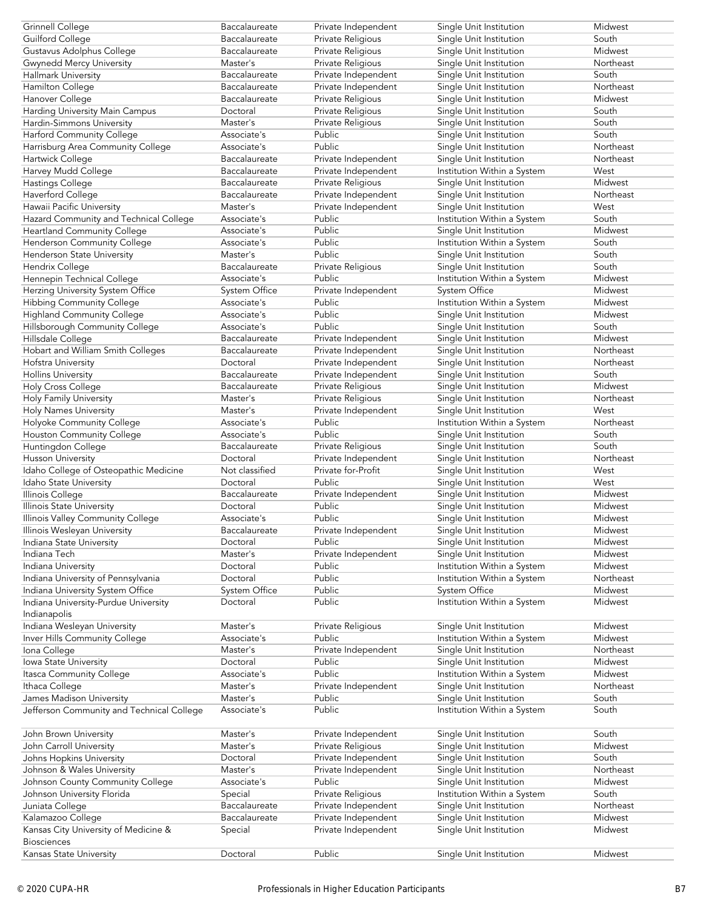| Grinnell College                              | Baccalaureate  | Private Independent | Single Unit Institution     | Midwest   |
|-----------------------------------------------|----------------|---------------------|-----------------------------|-----------|
| <b>Guilford College</b>                       | Baccalaureate  | Private Religious   | Single Unit Institution     | South     |
| Gustavus Adolphus College                     | Baccalaureate  | Private Religious   | Single Unit Institution     | Midwest   |
| <b>Gwynedd Mercy University</b>               | Master's       | Private Religious   | Single Unit Institution     | Northeast |
| Hallmark University                           | Baccalaureate  | Private Independent | Single Unit Institution     | South     |
| Hamilton College                              | Baccalaureate  | Private Independent | Single Unit Institution     | Northeast |
| Hanover College                               | Baccalaureate  | Private Religious   | Single Unit Institution     | Midwest   |
| Harding University Main Campus                | Doctoral       | Private Religious   | Single Unit Institution     | South     |
|                                               |                |                     |                             | South     |
| Hardin-Simmons University                     | Master's       | Private Religious   | Single Unit Institution     |           |
| Harford Community College                     | Associate's    | Public              | Single Unit Institution     | South     |
| Harrisburg Area Community College             | Associate's    | Public              | Single Unit Institution     | Northeast |
| Hartwick College                              | Baccalaureate  | Private Independent | Single Unit Institution     | Northeast |
| Harvey Mudd College                           | Baccalaureate  | Private Independent | Institution Within a System | West      |
| Hastings College                              | Baccalaureate  | Private Religious   | Single Unit Institution     | Midwest   |
| Haverford College                             | Baccalaureate  | Private Independent | Single Unit Institution     | Northeast |
| Hawaii Pacific University                     | Master's       | Private Independent | Single Unit Institution     | West      |
| Hazard Community and Technical College        | Associate's    | Public              | Institution Within a System | South     |
| <b>Heartland Community College</b>            | Associate's    | Public              | Single Unit Institution     | Midwest   |
| Henderson Community College                   | Associate's    | Public              | Institution Within a System | South     |
| Henderson State University                    | Master's       | Public              | Single Unit Institution     | South     |
| Hendrix College                               | Baccalaureate  | Private Religious   | Single Unit Institution     | South     |
| Hennepin Technical College                    |                | Public              |                             | Midwest   |
|                                               | Associate's    |                     | Institution Within a System |           |
| Herzing University System Office              | System Office  | Private Independent | System Office               | Midwest   |
| <b>Hibbing Community College</b>              | Associate's    | Public              | Institution Within a System | Midwest   |
| <b>Highland Community College</b>             | Associate's    | Public              | Single Unit Institution     | Midwest   |
| Hillsborough Community College                | Associate's    | Public              | Single Unit Institution     | South     |
| Hillsdale College                             | Baccalaureate  | Private Independent | Single Unit Institution     | Midwest   |
| Hobart and William Smith Colleges             | Baccalaureate  | Private Independent | Single Unit Institution     | Northeast |
| Hofstra University                            | Doctoral       | Private Independent | Single Unit Institution     | Northeast |
| <b>Hollins University</b>                     | Baccalaureate  | Private Independent | Single Unit Institution     | South     |
| Holy Cross College                            | Baccalaureate  | Private Religious   | Single Unit Institution     | Midwest   |
| Holy Family University                        | Master's       | Private Religious   | Single Unit Institution     | Northeast |
| <b>Holy Names University</b>                  | Master's       | Private Independent | Single Unit Institution     | West      |
| Holyoke Community College                     | Associate's    | Public              | Institution Within a System | Northeast |
|                                               | Associate's    | Public              | Single Unit Institution     | South     |
| Houston Community College                     |                |                     |                             | South     |
| Huntingdon College                            | Baccalaureate  | Private Religious   | Single Unit Institution     |           |
|                                               |                |                     |                             |           |
| Husson University                             | Doctoral       | Private Independent | Single Unit Institution     | Northeast |
| Idaho College of Osteopathic Medicine         | Not classified | Private for-Profit  | Single Unit Institution     | West      |
| Idaho State University                        | Doctoral       | Public              | Single Unit Institution     | West      |
| Illinois College                              | Baccalaureate  | Private Independent | Single Unit Institution     | Midwest   |
| Illinois State University                     | Doctoral       | Public              | Single Unit Institution     | Midwest   |
| Illinois Valley Community College             | Associate's    | Public              | Single Unit Institution     | Midwest   |
| Illinois Wesleyan University                  | Baccalaureate  | Private Independent | Single Unit Institution     | Midwest   |
|                                               | Doctoral       | Public              |                             |           |
| Indiana State University<br>Indiana Tech      |                |                     | Single Unit Institution     | Midwest   |
|                                               | Master's       | Private Independent | Single Unit Institution     | Midwest   |
| Indiana University                            | Doctoral       | Public              | Institution Within a System | Midwest   |
| Indiana University of Pennsylvania            | Doctoral       | Public              | Institution Within a System | Northeast |
| Indiana University System Office              | System Office  | Public              | System Office               | Midwest   |
| Indiana University-Purdue University          | Doctoral       | Public              | Institution Within a System | Midwest   |
| Indianapolis                                  |                |                     |                             |           |
| Indiana Wesleyan University                   | Master's       | Private Religious   | Single Unit Institution     | Midwest   |
| Inver Hills Community College                 | Associate's    | Public              | Institution Within a System | Midwest   |
| Iona College                                  | Master's       | Private Independent | Single Unit Institution     | Northeast |
| Iowa State University                         | Doctoral       | Public              | Single Unit Institution     | Midwest   |
| Itasca Community College                      | Associate's    | Public              | Institution Within a System | Midwest   |
| Ithaca College                                | Master's       | Private Independent | Single Unit Institution     | Northeast |
| James Madison University                      | Master's       | Public              | Single Unit Institution     | South     |
|                                               | Associate's    | Public              |                             | South     |
| Jefferson Community and Technical College     |                |                     | Institution Within a System |           |
|                                               | Master's       |                     |                             | South     |
| John Brown University                         |                | Private Independent | Single Unit Institution     |           |
| John Carroll University                       | Master's       | Private Religious   | Single Unit Institution     | Midwest   |
| Johns Hopkins University                      | Doctoral       | Private Independent | Single Unit Institution     | South     |
| Johnson & Wales University                    | Master's       | Private Independent | Single Unit Institution     | Northeast |
| Johnson County Community College              | Associate's    | Public              | Single Unit Institution     | Midwest   |
| Johnson University Florida                    | Special        | Private Religious   | Institution Within a System | South     |
| Juniata College                               | Baccalaureate  | Private Independent | Single Unit Institution     | Northeast |
| Kalamazoo College                             | Baccalaureate  | Private Independent | Single Unit Institution     | Midwest   |
| Kansas City University of Medicine &          | Special        | Private Independent | Single Unit Institution     | Midwest   |
| <b>Biosciences</b><br>Kansas State University | Doctoral       | Public              | Single Unit Institution     | Midwest   |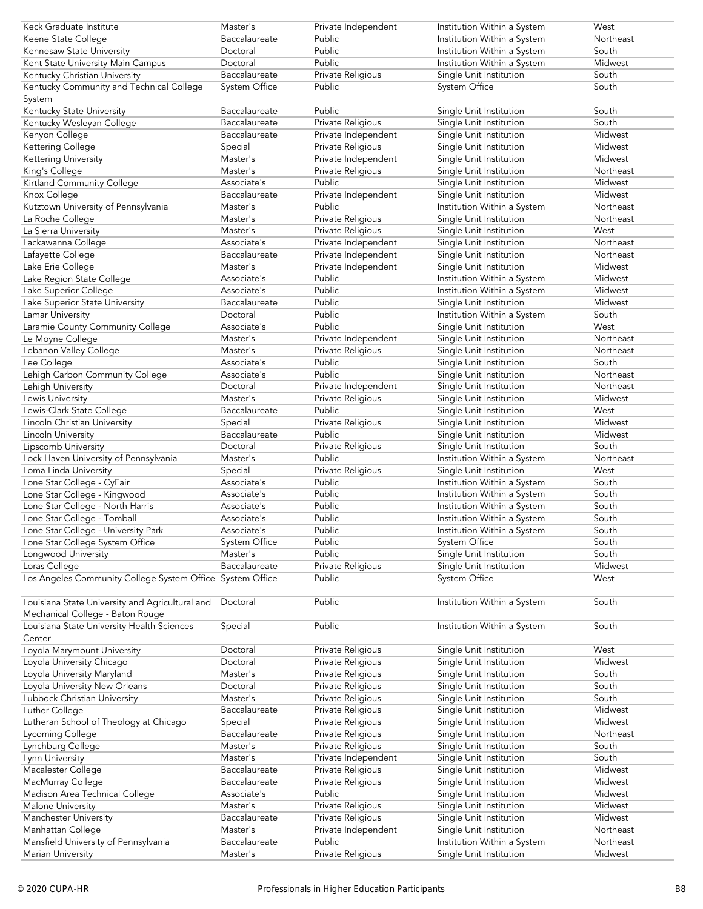| Keck Graduate Institute                                   | Master's      | Private Independent | Institution Within a System | West      |
|-----------------------------------------------------------|---------------|---------------------|-----------------------------|-----------|
| Keene State College                                       | Baccalaureate | Public              | Institution Within a System | Northeast |
|                                                           |               | Public              |                             |           |
| Kennesaw State University                                 | Doctoral      |                     | Institution Within a System | South     |
| Kent State University Main Campus                         | Doctoral      | Public              | Institution Within a System | Midwest   |
| Kentucky Christian University                             | Baccalaureate | Private Religious   | Single Unit Institution     | South     |
| Kentucky Community and Technical College                  | System Office | Public              | System Office               | South     |
| System                                                    |               |                     |                             |           |
| Kentucky State University                                 | Baccalaureate | Public              | Single Unit Institution     | South     |
|                                                           |               |                     |                             |           |
| Kentucky Wesleyan College                                 | Baccalaureate | Private Religious   | Single Unit Institution     | South     |
| Kenyon College                                            | Baccalaureate | Private Independent | Single Unit Institution     | Midwest   |
| Kettering College                                         | Special       | Private Religious   | Single Unit Institution     | Midwest   |
| Kettering University                                      | Master's      | Private Independent | Single Unit Institution     | Midwest   |
| King's College                                            | Master's      | Private Religious   | Single Unit Institution     | Northeast |
|                                                           |               | Public              |                             |           |
| Kirtland Community College                                | Associate's   |                     | Single Unit Institution     | Midwest   |
| Knox College                                              | Baccalaureate | Private Independent | Single Unit Institution     | Midwest   |
| Kutztown University of Pennsylvania                       | Master's      | Public              | Institution Within a System | Northeast |
| La Roche College                                          | Master's      | Private Religious   | Single Unit Institution     | Northeast |
| La Sierra University                                      | Master's      | Private Religious   | Single Unit Institution     | West      |
|                                                           | Associate's   | Private Independent | Single Unit Institution     | Northeast |
| Lackawanna College                                        |               |                     |                             |           |
| Lafayette College                                         | Baccalaureate | Private Independent | Single Unit Institution     | Northeast |
| Lake Erie College                                         | Master's      | Private Independent | Single Unit Institution     | Midwest   |
| Lake Region State College                                 | Associate's   | Public              | Institution Within a System | Midwest   |
| Lake Superior College                                     | Associate's   | Public              | Institution Within a System | Midwest   |
| Lake Superior State University                            | Baccalaureate | Public              | Single Unit Institution     | Midwest   |
|                                                           |               |                     |                             | South     |
| Lamar University                                          | Doctoral      | Public              | Institution Within a System |           |
| Laramie County Community College                          | Associate's   | Public              | Single Unit Institution     | West      |
| Le Moyne College                                          | Master's      | Private Independent | Single Unit Institution     | Northeast |
| Lebanon Valley College                                    | Master's      | Private Religious   | Single Unit Institution     | Northeast |
| Lee College                                               | Associate's   | Public              | Single Unit Institution     | South     |
|                                                           | Associate's   | Public              |                             | Northeast |
| Lehigh Carbon Community College                           |               |                     | Single Unit Institution     |           |
| Lehigh University                                         | Doctoral      | Private Independent | Single Unit Institution     | Northeast |
| Lewis University                                          | Master's      | Private Religious   | Single Unit Institution     | Midwest   |
| Lewis-Clark State College                                 | Baccalaureate | Public              | Single Unit Institution     | West      |
| Lincoln Christian University                              | Special       | Private Religious   | Single Unit Institution     | Midwest   |
| Lincoln University                                        | Baccalaureate | Public              | Single Unit Institution     | Midwest   |
|                                                           |               |                     |                             |           |
| Lipscomb University                                       | Doctoral      | Private Religious   | Single Unit Institution     | South     |
| Lock Haven University of Pennsylvania                     | Master's      | Public              | Institution Within a System | Northeast |
| Loma Linda University                                     | Special       | Private Religious   | Single Unit Institution     | West      |
| Lone Star College - CyFair                                | Associate's   | Public              | Institution Within a System | South     |
| Lone Star College - Kingwood                              | Associate's   | Public              | Institution Within a System | South     |
|                                                           |               | Public              |                             |           |
| Lone Star College - North Harris                          | Associate's   |                     | Institution Within a System | South     |
| Lone Star College - Tomball                               | Associate's   | Public              | Institution Within a System | South     |
| Lone Star College - University Park                       | Associate's   | Public              | Institution Within a System | South     |
| Lone Star College System Office                           | System Office | Public              | System Office               | South     |
| Longwood University                                       | Master's      | Public              | Single Unit Institution     | South     |
|                                                           | Baccalaureate |                     | Single Unit Institution     | Midwest   |
| Loras College                                             |               | Private Religious   |                             |           |
| Los Angeles Community College System Office System Office |               | Public              | System Office               | West      |
|                                                           |               |                     |                             |           |
| Louisiana State University and Agricultural and           | Doctoral      | Public              | Institution Within a System | South     |
| Mechanical College - Baton Rouge                          |               |                     |                             |           |
| Louisiana State University Health Sciences                | Special       | Public              | Institution Within a System | South     |
|                                                           |               |                     |                             |           |
| Center                                                    |               |                     |                             |           |
| Loyola Marymount University                               | Doctoral      | Private Religious   | Single Unit Institution     | West      |
| Loyola University Chicago                                 | Doctoral      | Private Religious   | Single Unit Institution     | Midwest   |
| Loyola University Maryland                                | Master's      | Private Religious   | Single Unit Institution     | South     |
| Loyola University New Orleans                             | Doctoral      | Private Religious   | Single Unit Institution     | South     |
|                                                           |               |                     |                             |           |
| Lubbock Christian University                              | Master's      | Private Religious   | Single Unit Institution     | South     |
| Luther College                                            |               |                     |                             |           |
| Lutheran School of Theology at Chicago                    | Baccalaureate | Private Religious   | Single Unit Institution     | Midwest   |
| Lycoming College                                          | Special       | Private Religious   | Single Unit Institution     | Midwest   |
|                                                           | Baccalaureate |                     |                             | Northeast |
|                                                           |               | Private Religious   | Single Unit Institution     |           |
| Lynchburg College                                         | Master's      | Private Religious   | Single Unit Institution     | South     |
| Lynn University                                           | Master's      | Private Independent | Single Unit Institution     | South     |
| Macalester College                                        | Baccalaureate | Private Religious   | Single Unit Institution     | Midwest   |
| MacMurray College                                         | Baccalaureate | Private Religious   | Single Unit Institution     | Midwest   |
|                                                           |               |                     |                             |           |
| Madison Area Technical College                            | Associate's   | Public              | Single Unit Institution     | Midwest   |
| Malone University                                         | Master's      | Private Religious   | Single Unit Institution     | Midwest   |
| Manchester University                                     | Baccalaureate | Private Religious   | Single Unit Institution     | Midwest   |
| Manhattan College                                         | Master's      | Private Independent | Single Unit Institution     | Northeast |
| Mansfield University of Pennsylvania                      | Baccalaureate | Public              | Institution Within a System | Northeast |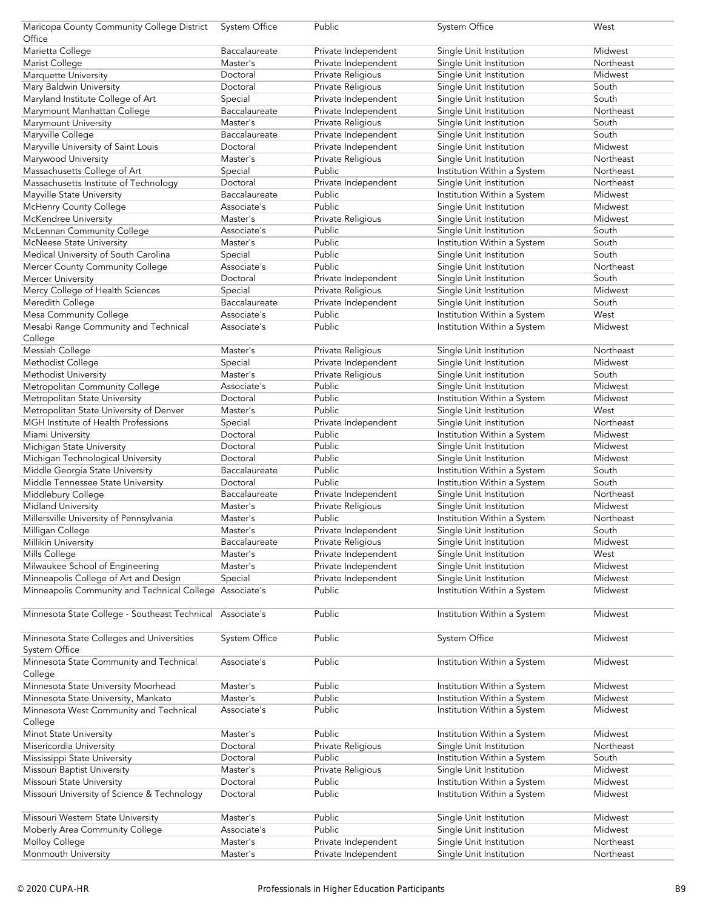| Maricopa County Community College District              | System Office | Public              | System Office               | West      |
|---------------------------------------------------------|---------------|---------------------|-----------------------------|-----------|
| Office                                                  |               |                     |                             |           |
|                                                         |               |                     |                             |           |
| Marietta College                                        | Baccalaureate | Private Independent | Single Unit Institution     | Midwest   |
| Marist College                                          | Master's      | Private Independent | Single Unit Institution     | Northeast |
| Marquette University                                    | Doctoral      | Private Religious   | Single Unit Institution     | Midwest   |
| Mary Baldwin University                                 | Doctoral      | Private Religious   | Single Unit Institution     | South     |
| Maryland Institute College of Art                       | Special       | Private Independent | Single Unit Institution     | South     |
| Marymount Manhattan College                             | Baccalaureate | Private Independent | Single Unit Institution     | Northeast |
|                                                         |               |                     |                             |           |
| Marymount University                                    | Master's      | Private Religious   | Single Unit Institution     | South     |
| Maryville College                                       | Baccalaureate | Private Independent | Single Unit Institution     | South     |
| Maryville University of Saint Louis                     | Doctoral      | Private Independent | Single Unit Institution     | Midwest   |
| Marywood University                                     | Master's      | Private Religious   | Single Unit Institution     | Northeast |
| Massachusetts College of Art                            | Special       | Public              | Institution Within a System | Northeast |
| Massachusetts Institute of Technology                   | Doctoral      | Private Independent | Single Unit Institution     | Northeast |
|                                                         |               | Public              |                             |           |
| Mayville State University                               | Baccalaureate |                     | Institution Within a System | Midwest   |
| McHenry County College                                  | Associate's   | Public              | Single Unit Institution     | Midwest   |
| McKendree University                                    | Master's      | Private Religious   | Single Unit Institution     | Midwest   |
| McLennan Community College                              | Associate's   | Public              | Single Unit Institution     | South     |
| McNeese State University                                | Master's      | Public              | Institution Within a System | South     |
| Medical University of South Carolina                    | Special       | Public              | Single Unit Institution     | South     |
|                                                         |               | Public              |                             | Northeast |
| Mercer County Community College                         | Associate's   |                     | Single Unit Institution     |           |
| Mercer University                                       | Doctoral      | Private Independent | Single Unit Institution     | South     |
| Mercy College of Health Sciences                        | Special       | Private Religious   | Single Unit Institution     | Midwest   |
| Meredith College                                        | Baccalaureate | Private Independent | Single Unit Institution     | South     |
| Mesa Community College                                  | Associate's   | Public              | Institution Within a System | West      |
| Mesabi Range Community and Technical                    | Associate's   | Public              | Institution Within a System | Midwest   |
|                                                         |               |                     |                             |           |
| College                                                 |               |                     |                             |           |
| Messiah College                                         | Master's      | Private Religious   | Single Unit Institution     | Northeast |
| Methodist College                                       | Special       | Private Independent | Single Unit Institution     | Midwest   |
| Methodist University                                    | Master's      | Private Religious   | Single Unit Institution     | South     |
| Metropolitan Community College                          | Associate's   | Public              | Single Unit Institution     | Midwest   |
| Metropolitan State University                           | Doctoral      | Public              | Institution Within a System | Midwest   |
|                                                         | Master's      | Public              |                             | West      |
| Metropolitan State University of Denver                 |               |                     | Single Unit Institution     |           |
| MGH Institute of Health Professions                     | Special       | Private Independent | Single Unit Institution     | Northeast |
| Miami University                                        | Doctoral      | Public              | Institution Within a System | Midwest   |
| Michigan State University                               | Doctoral      | Public              | Single Unit Institution     | Midwest   |
| Michigan Technological University                       | Doctoral      | Public              | Single Unit Institution     | Midwest   |
| Middle Georgia State University                         | Baccalaureate | Public              | Institution Within a System | South     |
| Middle Tennessee State University                       | Doctoral      | Public              | Institution Within a System | South     |
|                                                         |               |                     |                             |           |
| Middlebury College                                      | Baccalaureate | Private Independent | Single Unit Institution     | Northeast |
| <b>Midland University</b>                               | Master's      | Private Religious   | Single Unit Institution     | Midwest   |
| Millersville University of Pennsylvania                 | Master's      | Public              | Institution Within a System | Northeast |
| Milligan College                                        | Master's      | Private Independent | Single Unit Institution     | South     |
| Millikin University                                     | Baccalaureate | Private Religious   | Single Unit Institution     | Midwest   |
| Mills College                                           | Master's      | Private Independent | Single Unit Institution     | West      |
|                                                         |               |                     |                             |           |
| Milwaukee School of Engineering                         | Master's      | Private Independent | Single Unit Institution     | Midwest   |
| Minneapolis College of Art and Design                   | Special       | Private Independent | Single Unit Institution     | Midwest   |
| Minneapolis Community and Technical College Associate's |               | Public              | Institution Within a System | Midwest   |
|                                                         |               |                     |                             |           |
| Minnesota State College - Southeast Technical           | Associate's   | Public              | Institution Within a System | Midwest   |
|                                                         |               |                     |                             |           |
|                                                         | System Office | Public              | System Office               | Midwest   |
| Minnesota State Colleges and Universities               |               |                     |                             |           |
| System Office                                           |               |                     |                             |           |
| Minnesota State Community and Technical                 | Associate's   | Public              | Institution Within a System | Midwest   |
| College                                                 |               |                     |                             |           |
| Minnesota State University Moorhead                     | Master's      | Public              | Institution Within a System | Midwest   |
| Minnesota State University, Mankato                     | Master's      | Public              | Institution Within a System | Midwest   |
| Minnesota West Community and Technical                  | Associate's   | Public              |                             | Midwest   |
|                                                         |               |                     | Institution Within a System |           |
| College                                                 |               |                     |                             |           |
| Minot State University                                  | Master's      | Public              | Institution Within a System | Midwest   |
| Misericordia University                                 | Doctoral      | Private Religious   | Single Unit Institution     | Northeast |
| Mississippi State University                            | Doctoral      | Public              | Institution Within a System | South     |
| Missouri Baptist University                             | Master's      | Private Religious   | Single Unit Institution     | Midwest   |
| Missouri State University                               | Doctoral      | Public              | Institution Within a System | Midwest   |
|                                                         |               |                     |                             |           |
| Missouri University of Science & Technology             | Doctoral      | Public              | Institution Within a System | Midwest   |
|                                                         |               |                     |                             |           |
| Missouri Western State University                       | Master's      | Public              | Single Unit Institution     | Midwest   |
| Moberly Area Community College                          | Associate's   | Public              | Single Unit Institution     | Midwest   |
| Molloy College                                          | Master's      | Private Independent | Single Unit Institution     | Northeast |
| Monmouth University                                     | Master's      | Private Independent | Single Unit Institution     | Northeast |
|                                                         |               |                     |                             |           |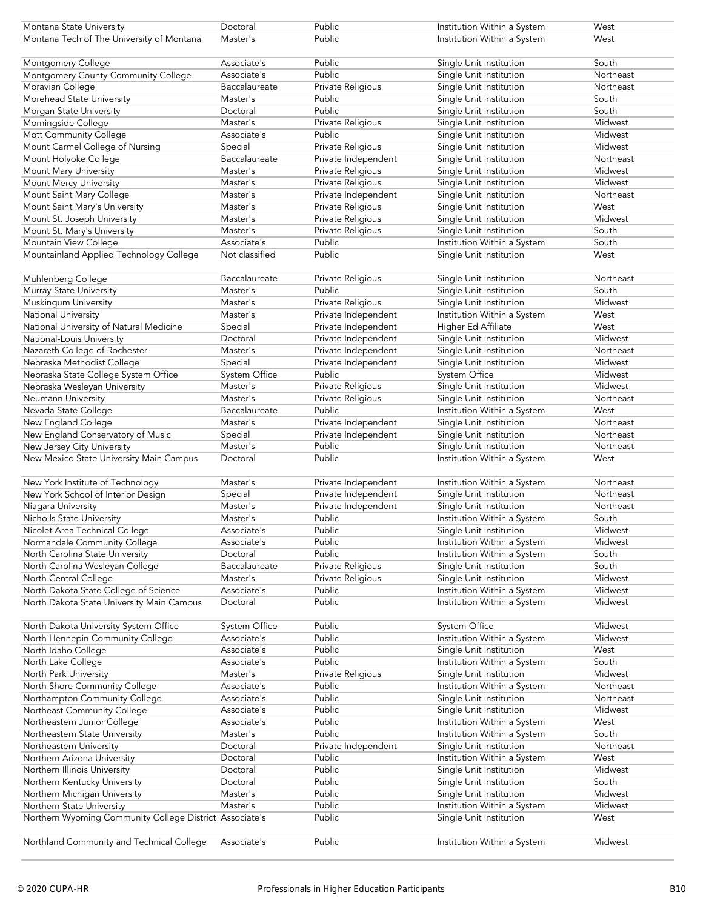| Montana State University                                | Doctoral             | Public              | Institution Within a System | West      |
|---------------------------------------------------------|----------------------|---------------------|-----------------------------|-----------|
| Montana Tech of The University of Montana               | Master's             | Public              | Institution Within a System | West      |
|                                                         |                      |                     |                             |           |
| Montgomery College                                      | Associate's          | Public              | Single Unit Institution     | South     |
| Montgomery County Community College                     | Associate's          | Public              | Single Unit Institution     | Northeast |
| Moravian College                                        | Baccalaureate        | Private Religious   | Single Unit Institution     | Northeast |
| Morehead State University                               | Master's             | Public              | Single Unit Institution     | South     |
| Morgan State University                                 | Doctoral             | Public              | Single Unit Institution     | South     |
| Morningside College                                     | Master's             | Private Religious   | Single Unit Institution     | Midwest   |
| Mott Community College                                  | Associate's          | Public              | Single Unit Institution     | Midwest   |
| Mount Carmel College of Nursing                         | Special              | Private Religious   | Single Unit Institution     | Midwest   |
| Mount Holyoke College                                   | Baccalaureate        |                     |                             | Northeast |
|                                                         |                      | Private Independent | Single Unit Institution     |           |
| Mount Mary University                                   | Master's             | Private Religious   | Single Unit Institution     | Midwest   |
| Mount Mercy University                                  | Master's             | Private Religious   | Single Unit Institution     | Midwest   |
| Mount Saint Mary College                                | Master's             | Private Independent | Single Unit Institution     | Northeast |
| Mount Saint Mary's University                           | Master's             | Private Religious   | Single Unit Institution     | West      |
| Mount St. Joseph University                             | Master's             | Private Religious   | Single Unit Institution     | Midwest   |
| Mount St. Mary's University                             | Master's             | Private Religious   | Single Unit Institution     | South     |
| Mountain View College                                   | Associate's          | Public              | Institution Within a System | South     |
| Mountainland Applied Technology College                 | Not classified       | Public              | Single Unit Institution     | West      |
|                                                         |                      |                     |                             |           |
| Muhlenberg College                                      | Baccalaureate        | Private Religious   | Single Unit Institution     | Northeast |
| Murray State University                                 | Master's             | Public              | Single Unit Institution     | South     |
| Muskingum University                                    | Master's             | Private Religious   | Single Unit Institution     | Midwest   |
| National University                                     | Master's             | Private Independent | Institution Within a System | West      |
| National University of Natural Medicine                 | Special              | Private Independent | Higher Ed Affiliate         | West      |
| National-Louis University                               | Doctoral             | Private Independent | Single Unit Institution     | Midwest   |
| Nazareth College of Rochester                           | Master's             | Private Independent | Single Unit Institution     | Northeast |
| Nebraska Methodist College                              | Special              | Private Independent | Single Unit Institution     | Midwest   |
| Nebraska State College System Office                    | <b>System Office</b> | Public              | System Office               | Midwest   |
| Nebraska Wesleyan University                            | Master's             | Private Religious   | Single Unit Institution     | Midwest   |
| Neumann University                                      | Master's             | Private Religious   | Single Unit Institution     | Northeast |
|                                                         |                      | Public              |                             | West      |
| Nevada State College                                    | Baccalaureate        |                     | Institution Within a System |           |
| New England College                                     | Master's             | Private Independent | Single Unit Institution     | Northeast |
| New England Conservatory of Music                       | Special              | Private Independent | Single Unit Institution     | Northeast |
| New Jersey City University                              | Master's             | Public              | Single Unit Institution     | Northeast |
| New Mexico State University Main Campus                 | Doctoral             | Public              | Institution Within a System | West      |
|                                                         |                      |                     |                             |           |
| New York Institute of Technology                        | Master's             | Private Independent | Institution Within a System | Northeast |
| New York School of Interior Design                      | Special              | Private Independent | Single Unit Institution     | Northeast |
| Niagara University                                      | Master's             | Private Independent | Single Unit Institution     | Northeast |
| Nicholls State University                               | Master's             | Public              | Institution Within a System | South     |
| Nicolet Area Technical College                          | Associate's          | Public              | Single Unit Institution     | Midwest   |
| Normandale Community College                            | Associate's          | Public              | Institution Within a System | Midwest   |
| North Carolina State University                         | Doctoral             | Public              | Institution Within a System | South     |
| North Carolina Wesleyan College                         | Baccalaureate        | Private Religious   | Single Unit Institution     | South     |
| North Central College                                   | Master's             | Private Religious   | Single Unit Institution     | Midwest   |
| North Dakota State College of Science                   | Associate's          | Public              | Institution Within a System | Midwest   |
| North Dakota State University Main Campus               | Doctoral             | Public              | Institution Within a System | Midwest   |
|                                                         |                      |                     |                             |           |
| North Dakota University System Office                   | System Office        | Public              | System Office               | Midwest   |
| North Hennepin Community College                        | Associate's          | Public              | Institution Within a System | Midwest   |
| North Idaho College                                     | Associate's          | Public              | Single Unit Institution     | West      |
| North Lake College                                      | Associate's          | Public              | Institution Within a System | South     |
|                                                         | Master's             | Private Religious   | Single Unit Institution     | Midwest   |
| North Park University                                   |                      |                     |                             |           |
| North Shore Community College                           | Associate's          | Public              | Institution Within a System | Northeast |
| Northampton Community College                           | Associate's          | Public              | Single Unit Institution     | Northeast |
| Northeast Community College                             | Associate's          | Public              | Single Unit Institution     | Midwest   |
| Northeastern Junior College                             | Associate's          | Public              | Institution Within a System | West      |
| Northeastern State University                           | Master's             | Public              | Institution Within a System | South     |
| Northeastern University                                 | Doctoral             | Private Independent | Single Unit Institution     | Northeast |
| Northern Arizona University                             | Doctoral             | Public              | Institution Within a System | West      |
| Northern Illinois University                            | Doctoral             | Public              | Single Unit Institution     | Midwest   |
| Northern Kentucky University                            | Doctoral             | Public              | Single Unit Institution     | South     |
| Northern Michigan University                            | Master's             | Public              | Single Unit Institution     | Midwest   |
| Northern State University                               | Master's             | Public              | Institution Within a System | Midwest   |
| Northern Wyoming Community College District Associate's |                      | Public              | Single Unit Institution     | West      |
|                                                         |                      |                     |                             |           |
| Northland Community and Technical College               | Associate's          | Public              | Institution Within a System | Midwest   |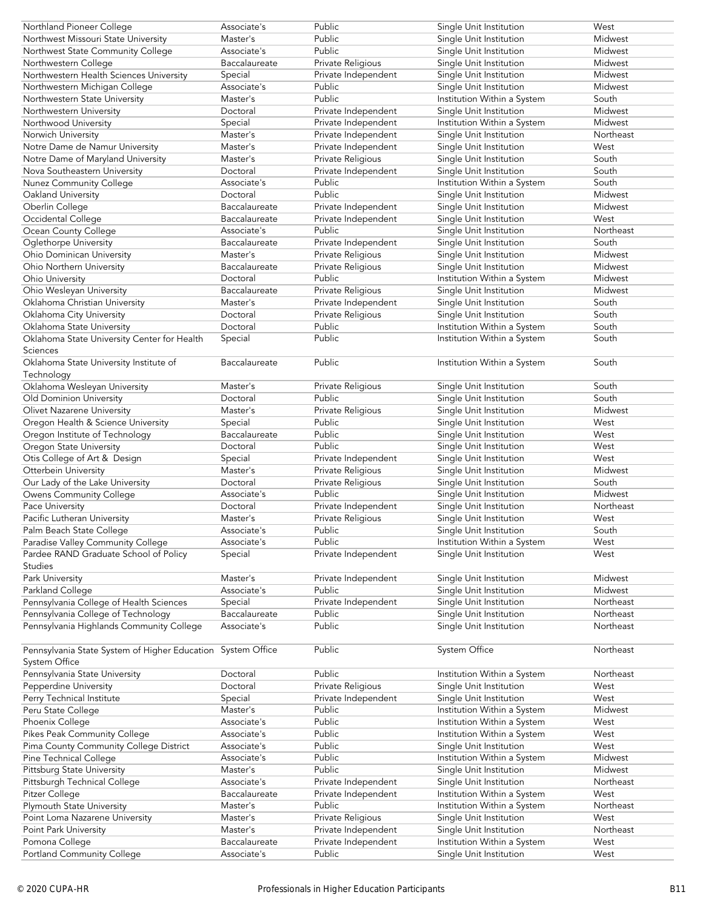| Northland Pioneer College                                   | Associate's                  | Public                        | Single Unit Institution                                | West         |
|-------------------------------------------------------------|------------------------------|-------------------------------|--------------------------------------------------------|--------------|
| Northwest Missouri State University                         | Master's                     | Public                        | Single Unit Institution                                | Midwest      |
| Northwest State Community College                           | Associate's                  | Public                        | Single Unit Institution                                | Midwest      |
| Northwestern College                                        | Baccalaureate                | Private Religious             | Single Unit Institution                                | Midwest      |
|                                                             |                              |                               |                                                        |              |
| Northwestern Health Sciences University                     | Special                      | Private Independent           | Single Unit Institution                                | Midwest      |
| Northwestern Michigan College                               | Associate's                  | Public                        | Single Unit Institution                                | Midwest      |
| Northwestern State University                               | Master's                     | Public                        | Institution Within a System                            | South        |
| Northwestern University                                     | Doctoral                     | Private Independent           | Single Unit Institution                                | Midwest      |
| Northwood University                                        | Special                      | Private Independent           | Institution Within a System                            | Midwest      |
| Norwich University                                          | Master's                     | Private Independent           | Single Unit Institution                                | Northeast    |
| Notre Dame de Namur University                              | Master's                     | Private Independent           | Single Unit Institution                                | West         |
|                                                             |                              | Private Religious             | Single Unit Institution                                | South        |
| Notre Dame of Maryland University                           | Master's                     |                               |                                                        |              |
| Nova Southeastern University                                | Doctoral                     | Private Independent           | Single Unit Institution                                | South        |
| Nunez Community College                                     | Associate's                  | Public                        | Institution Within a System                            | South        |
| Oakland University                                          | Doctoral                     | Public                        | Single Unit Institution                                | Midwest      |
| Oberlin College                                             | Baccalaureate                | Private Independent           | Single Unit Institution                                | Midwest      |
| Occidental College                                          | Baccalaureate                | Private Independent           | Single Unit Institution                                | West         |
| Ocean County College                                        | Associate's                  | Public                        | Single Unit Institution                                | Northeast    |
| Oglethorpe University                                       | Baccalaureate                | Private Independent           | Single Unit Institution                                | South        |
| <b>Ohio Dominican University</b>                            | Master's                     |                               |                                                        | Midwest      |
|                                                             |                              | Private Religious             | Single Unit Institution                                |              |
| Ohio Northern University                                    | Baccalaureate                | Private Religious             | Single Unit Institution                                | Midwest      |
| Ohio University                                             | Doctoral                     | Public                        | Institution Within a System                            | Midwest      |
| Ohio Wesleyan University                                    | Baccalaureate                | Private Religious             | Single Unit Institution                                | Midwest      |
| Oklahoma Christian University                               | Master's                     | Private Independent           | Single Unit Institution                                | South        |
| Oklahoma City University                                    | Doctoral                     | Private Religious             | Single Unit Institution                                | South        |
| Oklahoma State University                                   | Doctoral                     | Public                        | Institution Within a System                            | South        |
| Oklahoma State University Center for Health                 | Special                      | Public                        | Institution Within a System                            | South        |
| Sciences                                                    |                              |                               |                                                        |              |
|                                                             |                              | Public                        |                                                        | South        |
| Oklahoma State University Institute of                      | Baccalaureate                |                               | Institution Within a System                            |              |
| Technology                                                  |                              |                               |                                                        |              |
| Oklahoma Wesleyan University                                | Master's                     | Private Religious             | Single Unit Institution                                | South        |
| Old Dominion University                                     | Doctoral                     | Public                        | Single Unit Institution                                | South        |
| Olivet Nazarene University                                  | Master's                     | Private Religious             | Single Unit Institution                                | Midwest      |
| Oregon Health & Science University                          | Special                      | Public                        | Single Unit Institution                                | West         |
| Oregon Institute of Technology                              | Baccalaureate                | Public                        | Single Unit Institution                                | West         |
| Oregon State University                                     | Doctoral                     | Public                        | Single Unit Institution                                | West         |
| Otis College of Art & Design                                | Special                      | Private Independent           | Single Unit Institution                                | West         |
| Otterbein University                                        | Master's                     | Private Religious             | Single Unit Institution                                | Midwest      |
|                                                             |                              |                               |                                                        | South        |
| Our Lady of the Lake University                             | Doctoral                     | Private Religious             | Single Unit Institution                                |              |
| Owens Community College                                     | Associate's                  | Public                        | Single Unit Institution                                | Midwest      |
| Pace University                                             | Doctoral                     | Private Independent           | Single Unit Institution                                | Northeast    |
| Pacific Lutheran University                                 | Master's                     | Private Religious             | Single Unit Institution                                | West         |
|                                                             | Associate's                  | Public                        | Single Unit Institution                                | South        |
| Palm Beach State College                                    |                              |                               |                                                        |              |
| Paradise Valley Community College                           | Associate's                  | Public                        | Institution Within a System                            | West         |
|                                                             |                              |                               |                                                        | West         |
| Pardee RAND Graduate School of Policy                       | Special                      | Private Independent           | Single Unit Institution                                |              |
| <b>Studies</b>                                              |                              |                               |                                                        |              |
| Park University                                             | Master's                     | Private Independent           | Single Unit Institution                                | Midwest      |
| Parkland College                                            | Associate's                  | Public                        | Single Unit Institution                                | Midwest      |
| Pennsylvania College of Health Sciences                     | Special                      | Private Independent           | Single Unit Institution                                | Northeast    |
| Pennsylvania College of Technology                          | Baccalaureate                | Public                        | Single Unit Institution                                | Northeast    |
| Pennsylvania Highlands Community College                    | Associate's                  | Public                        | Single Unit Institution                                | Northeast    |
|                                                             |                              |                               |                                                        |              |
|                                                             |                              | Public                        | <b>System Office</b>                                   | Northeast    |
| Pennsylvania State System of Higher Education System Office |                              |                               |                                                        |              |
| System Office                                               |                              |                               |                                                        |              |
| Pennsylvania State University                               | Doctoral                     | Public                        | Institution Within a System                            | Northeast    |
| Pepperdine University                                       | Doctoral                     | Private Religious             | Single Unit Institution                                | West         |
| Perry Technical Institute                                   | Special                      | Private Independent           | Single Unit Institution                                | West         |
| Peru State College                                          | Master's                     | Public                        | Institution Within a System                            | Midwest      |
| Phoenix College                                             | Associate's                  | Public                        | Institution Within a System                            | West         |
| Pikes Peak Community College                                | Associate's                  | Public                        | Institution Within a System                            | West         |
| Pima County Community College District                      | Associate's                  | Public                        | Single Unit Institution                                | West         |
| Pine Technical College                                      | Associate's                  | Public                        | Institution Within a System                            | Midwest      |
|                                                             | Master's                     | Public                        | Single Unit Institution                                | Midwest      |
| <b>Pittsburg State University</b>                           | Associate's                  |                               |                                                        |              |
| Pittsburgh Technical College                                |                              | Private Independent           | Single Unit Institution                                | Northeast    |
| Pitzer College                                              | Baccalaureate                | Private Independent           | Institution Within a System                            | West         |
| Plymouth State University                                   | Master's                     | Public                        | Institution Within a System                            | Northeast    |
| Point Loma Nazarene University                              | Master's                     | Private Religious             | Single Unit Institution                                | West         |
| Point Park University                                       | Master's                     | Private Independent           | Single Unit Institution                                | Northeast    |
| Pomona College<br>Portland Community College                | Baccalaureate<br>Associate's | Private Independent<br>Public | Institution Within a System<br>Single Unit Institution | West<br>West |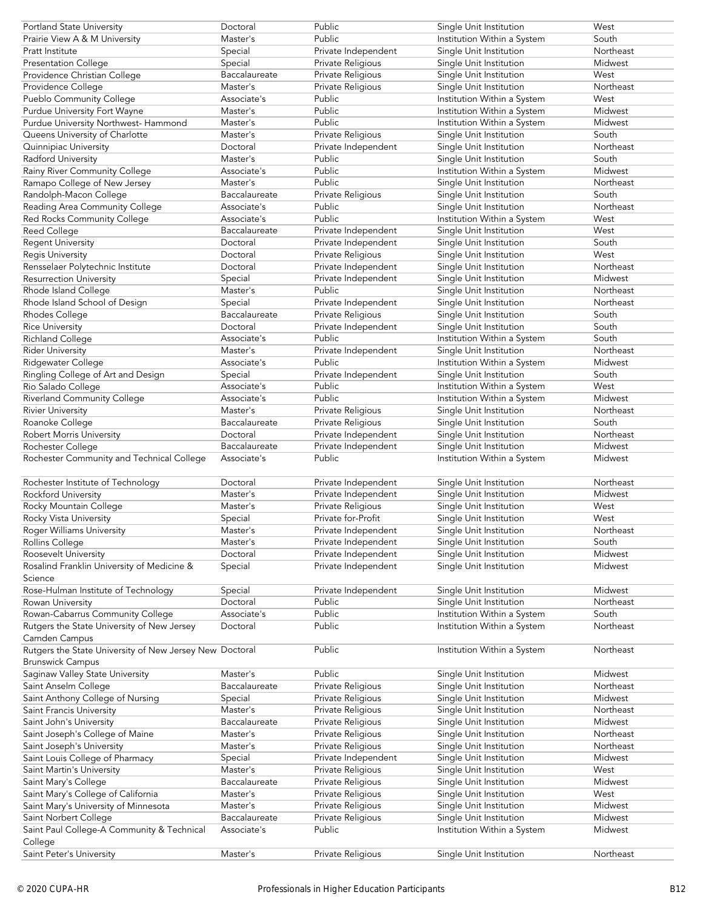| Public<br>South<br>Prairie View A & M University<br>Master's<br>Institution Within a System<br>Private Independent<br>Single Unit Institution<br>Pratt Institute<br>Special<br>Northeast<br>Midwest<br><b>Presentation College</b><br>Special<br>Private Religious<br>Single Unit Institution<br>Baccalaureate<br>Private Religious<br>Single Unit Institution<br>West<br>Providence Christian College<br>Master's<br>Private Religious<br>Northeast<br>Providence College<br>Single Unit Institution<br>Pueblo Community College<br>Public<br>Institution Within a System<br>West<br>Associate's<br>Public<br>Purdue University Fort Wayne<br>Master's<br>Institution Within a System<br>Midwest<br>Public<br>Institution Within a System<br>Midwest<br>Purdue University Northwest- Hammond<br>Master's<br>Private Religious<br>South<br>Queens University of Charlotte<br>Master's<br>Single Unit Institution<br>Private Independent<br>Single Unit Institution<br>Northeast<br>Quinnipiac University<br>Doctoral<br>Public<br>South<br>Radford University<br>Master's<br>Single Unit Institution<br>Public<br>Midwest<br>Rainy River Community College<br>Institution Within a System<br>Associate's<br>Public<br>Single Unit Institution<br>Ramapo College of New Jersey<br>Master's<br>Northeast<br>Randolph-Macon College<br>Private Religious<br>Single Unit Institution<br>South<br>Baccalaureate<br>Reading Area Community College<br>Public<br>Northeast<br>Associate's<br>Single Unit Institution<br>Public<br>West<br>Red Rocks Community College<br>Associate's<br>Institution Within a System<br>Reed College<br>Baccalaureate<br>Private Independent<br>Single Unit Institution<br>West<br>Private Independent<br>Single Unit Institution<br>South<br><b>Regent University</b><br>Doctoral<br>Private Religious<br>Regis University<br>Single Unit Institution<br>West<br>Doctoral<br>Private Independent<br>Northeast<br>Rensselaer Polytechnic Institute<br>Single Unit Institution<br>Doctoral<br>Midwest<br><b>Resurrection University</b><br>Special<br>Private Independent<br>Single Unit Institution<br>Public<br>Rhode Island College<br>Master's<br>Single Unit Institution<br>Northeast<br>Northeast<br>Special<br>Private Independent<br>Rhode Island School of Design<br>Single Unit Institution<br>Baccalaureate<br>Private Religious<br>Single Unit Institution<br>South<br>Rhodes College<br>South<br><b>Rice University</b><br>Doctoral<br>Private Independent<br>Single Unit Institution<br>Public<br>South<br><b>Richland College</b><br>Associate's<br>Institution Within a System<br>Single Unit Institution<br>Northeast<br><b>Rider University</b><br>Private Independent<br>Master's<br>Public<br>Institution Within a System<br>Midwest<br>Ridgewater College<br>Associate's<br>Ringling College of Art and Design<br>Private Independent<br>Single Unit Institution<br>South<br>Special<br>Public<br>Institution Within a System<br>West<br>Rio Salado College<br>Associate's<br>Public<br>Midwest<br>Riverland Community College<br>Institution Within a System<br>Associate's<br><b>Rivier University</b><br>Private Religious<br>Single Unit Institution<br>Northeast<br>Master's<br>Private Religious<br>Roanoke College<br>Single Unit Institution<br>South<br>Baccalaureate<br>Private Independent<br>Robert Morris University<br>Doctoral<br>Single Unit Institution<br>Northeast<br>Midwest<br>Baccalaureate<br>Private Independent<br>Single Unit Institution<br>Rochester College<br>Public<br>Rochester Community and Technical College<br>Associate's<br>Institution Within a System<br>Midwest<br>Rochester Institute of Technology<br>Private Independent<br>Northeast<br>Doctoral<br>Single Unit Institution<br>Rockford University<br>Master's<br>Private Independent<br>Midwest<br>Single Unit Institution<br>Rocky Mountain College<br>Private Religious<br>Single Unit Institution<br>West<br>Master's<br>Private for-Profit<br>Rocky Vista University<br>West<br>Special<br>Single Unit Institution<br>Master's<br>Private Independent<br>Northeast<br>Roger Williams University<br>Single Unit Institution<br>South<br>Master's<br><b>Rollins College</b><br>Private Independent<br>Single Unit Institution<br>Midwest<br>Roosevelt University<br>Doctoral<br>Private Independent<br>Single Unit Institution<br>Rosalind Franklin University of Medicine &<br>Special<br>Private Independent<br>Single Unit Institution<br>Midwest<br>Science<br>Rose-Hulman Institute of Technology<br>Special<br>Private Independent<br>Single Unit Institution<br>Midwest<br>Doctoral<br>Public<br>Single Unit Institution<br>Northeast<br>Rowan University<br>Public<br>Rowan-Cabarrus Community College<br>Associate's<br>Institution Within a System<br>South<br>Public<br>Northeast<br>Rutgers the State University of New Jersey<br>Institution Within a System<br>Doctoral<br>Camden Campus<br>Public<br>Rutgers the State University of New Jersey New Doctoral<br>Institution Within a System<br>Northeast<br><b>Brunswick Campus</b><br>Public<br>Single Unit Institution<br>Midwest<br>Saginaw Valley State University<br>Master's<br>Private Religious<br>Single Unit Institution<br>Northeast<br>Saint Anselm College<br>Baccalaureate<br>Saint Anthony College of Nursing<br>Private Religious<br>Single Unit Institution<br>Midwest<br>Special<br>Master's<br>Private Religious<br>Single Unit Institution<br>Northeast<br>Saint Francis University<br>Midwest<br>Saint John's University<br>Baccalaureate<br>Private Religious<br>Single Unit Institution<br>Saint Joseph's College of Maine<br>Private Religious<br>Single Unit Institution<br>Northeast<br>Master's<br>Private Religious<br>Northeast<br>Saint Joseph's University<br>Master's<br>Single Unit Institution<br>Saint Louis College of Pharmacy<br>Special<br>Private Independent<br>Midwest<br>Single Unit Institution<br>Saint Martin's University<br>Master's<br>West<br>Private Religious<br>Single Unit Institution<br>Saint Mary's College<br>Baccalaureate<br>Private Religious<br>Single Unit Institution<br>Midwest<br>Saint Mary's College of California<br>Private Religious<br>Single Unit Institution<br>West<br>Master's<br>Midwest<br>Saint Mary's University of Minnesota<br>Master's<br>Private Religious<br>Single Unit Institution<br>Baccalaureate<br>Single Unit Institution<br>Midwest<br>Saint Norbert College<br>Private Religious<br>Public<br>Institution Within a System<br>Midwest<br>Saint Paul College-A Community & Technical<br>Associate's<br>College<br>Saint Peter's University<br>Northeast<br>Master's<br>Private Religious<br>Single Unit Institution | Portland State University | Doctoral | Public | Single Unit Institution | West |
|----------------------------------------------------------------------------------------------------------------------------------------------------------------------------------------------------------------------------------------------------------------------------------------------------------------------------------------------------------------------------------------------------------------------------------------------------------------------------------------------------------------------------------------------------------------------------------------------------------------------------------------------------------------------------------------------------------------------------------------------------------------------------------------------------------------------------------------------------------------------------------------------------------------------------------------------------------------------------------------------------------------------------------------------------------------------------------------------------------------------------------------------------------------------------------------------------------------------------------------------------------------------------------------------------------------------------------------------------------------------------------------------------------------------------------------------------------------------------------------------------------------------------------------------------------------------------------------------------------------------------------------------------------------------------------------------------------------------------------------------------------------------------------------------------------------------------------------------------------------------------------------------------------------------------------------------------------------------------------------------------------------------------------------------------------------------------------------------------------------------------------------------------------------------------------------------------------------------------------------------------------------------------------------------------------------------------------------------------------------------------------------------------------------------------------------------------------------------------------------------------------------------------------------------------------------------------------------------------------------------------------------------------------------------------------------------------------------------------------------------------------------------------------------------------------------------------------------------------------------------------------------------------------------------------------------------------------------------------------------------------------------------------------------------------------------------------------------------------------------------------------------------------------------------------------------------------------------------------------------------------------------------------------------------------------------------------------------------------------------------------------------------------------------------------------------------------------------------------------------------------------------------------------------------------------------------------------------------------------------------------------------------------------------------------------------------------------------------------------------------------------------------------------------------------------------------------------------------------------------------------------------------------------------------------------------------------------------------------------------------------------------------------------------------------------------------------------------------------------------------------------------------------------------------------------------------------------------------------------------------------------------------------------------------------------------------------------------------------------------------------------------------------------------------------------------------------------------------------------------------------------------------------------------------------------------------------------------------------------------------------------------------------------------------------------------------------------------------------------------------------------------------------------------------------------------------------------------------------------------------------------------------------------------------------------------------------------------------------------------------------------------------------------------------------------------------------------------------------------------------------------------------------------------------------------------------------------------------------------------------------------------------------------------------------------------------------------------------------------------------------------------------------------------------------------------------------------------------------------------------------------------------------------------------------------------------------------------------------------------------------------------------------------------------------------------------------------------------------------------------------------------------------------------------------------------------------------------------------------------------------------------------------------------------------------------------------------------------------------------------------------------------------------------------------------------------------------------------------------------------------------------------------------------------------------------------------------------------------------------------------------------------------------------------------------------------------------------------------------------------------------------------------------------------------------------------------------------------------------------------------------------------------------------------------------------------------------------------------------------------------------------------------------------------------------------------------------------------------|---------------------------|----------|--------|-------------------------|------|
|                                                                                                                                                                                                                                                                                                                                                                                                                                                                                                                                                                                                                                                                                                                                                                                                                                                                                                                                                                                                                                                                                                                                                                                                                                                                                                                                                                                                                                                                                                                                                                                                                                                                                                                                                                                                                                                                                                                                                                                                                                                                                                                                                                                                                                                                                                                                                                                                                                                                                                                                                                                                                                                                                                                                                                                                                                                                                                                                                                                                                                                                                                                                                                                                                                                                                                                                                                                                                                                                                                                                                                                                                                                                                                                                                                                                                                                                                                                                                                                                                                                                                                                                                                                                                                                                                                                                                                                                                                                                                                                                                                                                                                                                                                                                                                                                                                                                                                                                                                                                                                                                                                                                                                                                                                                                                                                                                                                                                                                                                                                                                                                                                                                                                                                                                                                                                                                                                                                                                                                                                                                                                                                                                                                                                                                                                                                                                                                                                                                                                                                                                                                                                                                                                                                            |                           |          |        |                         |      |
|                                                                                                                                                                                                                                                                                                                                                                                                                                                                                                                                                                                                                                                                                                                                                                                                                                                                                                                                                                                                                                                                                                                                                                                                                                                                                                                                                                                                                                                                                                                                                                                                                                                                                                                                                                                                                                                                                                                                                                                                                                                                                                                                                                                                                                                                                                                                                                                                                                                                                                                                                                                                                                                                                                                                                                                                                                                                                                                                                                                                                                                                                                                                                                                                                                                                                                                                                                                                                                                                                                                                                                                                                                                                                                                                                                                                                                                                                                                                                                                                                                                                                                                                                                                                                                                                                                                                                                                                                                                                                                                                                                                                                                                                                                                                                                                                                                                                                                                                                                                                                                                                                                                                                                                                                                                                                                                                                                                                                                                                                                                                                                                                                                                                                                                                                                                                                                                                                                                                                                                                                                                                                                                                                                                                                                                                                                                                                                                                                                                                                                                                                                                                                                                                                                                            |                           |          |        |                         |      |
|                                                                                                                                                                                                                                                                                                                                                                                                                                                                                                                                                                                                                                                                                                                                                                                                                                                                                                                                                                                                                                                                                                                                                                                                                                                                                                                                                                                                                                                                                                                                                                                                                                                                                                                                                                                                                                                                                                                                                                                                                                                                                                                                                                                                                                                                                                                                                                                                                                                                                                                                                                                                                                                                                                                                                                                                                                                                                                                                                                                                                                                                                                                                                                                                                                                                                                                                                                                                                                                                                                                                                                                                                                                                                                                                                                                                                                                                                                                                                                                                                                                                                                                                                                                                                                                                                                                                                                                                                                                                                                                                                                                                                                                                                                                                                                                                                                                                                                                                                                                                                                                                                                                                                                                                                                                                                                                                                                                                                                                                                                                                                                                                                                                                                                                                                                                                                                                                                                                                                                                                                                                                                                                                                                                                                                                                                                                                                                                                                                                                                                                                                                                                                                                                                                                            |                           |          |        |                         |      |
|                                                                                                                                                                                                                                                                                                                                                                                                                                                                                                                                                                                                                                                                                                                                                                                                                                                                                                                                                                                                                                                                                                                                                                                                                                                                                                                                                                                                                                                                                                                                                                                                                                                                                                                                                                                                                                                                                                                                                                                                                                                                                                                                                                                                                                                                                                                                                                                                                                                                                                                                                                                                                                                                                                                                                                                                                                                                                                                                                                                                                                                                                                                                                                                                                                                                                                                                                                                                                                                                                                                                                                                                                                                                                                                                                                                                                                                                                                                                                                                                                                                                                                                                                                                                                                                                                                                                                                                                                                                                                                                                                                                                                                                                                                                                                                                                                                                                                                                                                                                                                                                                                                                                                                                                                                                                                                                                                                                                                                                                                                                                                                                                                                                                                                                                                                                                                                                                                                                                                                                                                                                                                                                                                                                                                                                                                                                                                                                                                                                                                                                                                                                                                                                                                                                            |                           |          |        |                         |      |
|                                                                                                                                                                                                                                                                                                                                                                                                                                                                                                                                                                                                                                                                                                                                                                                                                                                                                                                                                                                                                                                                                                                                                                                                                                                                                                                                                                                                                                                                                                                                                                                                                                                                                                                                                                                                                                                                                                                                                                                                                                                                                                                                                                                                                                                                                                                                                                                                                                                                                                                                                                                                                                                                                                                                                                                                                                                                                                                                                                                                                                                                                                                                                                                                                                                                                                                                                                                                                                                                                                                                                                                                                                                                                                                                                                                                                                                                                                                                                                                                                                                                                                                                                                                                                                                                                                                                                                                                                                                                                                                                                                                                                                                                                                                                                                                                                                                                                                                                                                                                                                                                                                                                                                                                                                                                                                                                                                                                                                                                                                                                                                                                                                                                                                                                                                                                                                                                                                                                                                                                                                                                                                                                                                                                                                                                                                                                                                                                                                                                                                                                                                                                                                                                                                                            |                           |          |        |                         |      |
|                                                                                                                                                                                                                                                                                                                                                                                                                                                                                                                                                                                                                                                                                                                                                                                                                                                                                                                                                                                                                                                                                                                                                                                                                                                                                                                                                                                                                                                                                                                                                                                                                                                                                                                                                                                                                                                                                                                                                                                                                                                                                                                                                                                                                                                                                                                                                                                                                                                                                                                                                                                                                                                                                                                                                                                                                                                                                                                                                                                                                                                                                                                                                                                                                                                                                                                                                                                                                                                                                                                                                                                                                                                                                                                                                                                                                                                                                                                                                                                                                                                                                                                                                                                                                                                                                                                                                                                                                                                                                                                                                                                                                                                                                                                                                                                                                                                                                                                                                                                                                                                                                                                                                                                                                                                                                                                                                                                                                                                                                                                                                                                                                                                                                                                                                                                                                                                                                                                                                                                                                                                                                                                                                                                                                                                                                                                                                                                                                                                                                                                                                                                                                                                                                                                            |                           |          |        |                         |      |
|                                                                                                                                                                                                                                                                                                                                                                                                                                                                                                                                                                                                                                                                                                                                                                                                                                                                                                                                                                                                                                                                                                                                                                                                                                                                                                                                                                                                                                                                                                                                                                                                                                                                                                                                                                                                                                                                                                                                                                                                                                                                                                                                                                                                                                                                                                                                                                                                                                                                                                                                                                                                                                                                                                                                                                                                                                                                                                                                                                                                                                                                                                                                                                                                                                                                                                                                                                                                                                                                                                                                                                                                                                                                                                                                                                                                                                                                                                                                                                                                                                                                                                                                                                                                                                                                                                                                                                                                                                                                                                                                                                                                                                                                                                                                                                                                                                                                                                                                                                                                                                                                                                                                                                                                                                                                                                                                                                                                                                                                                                                                                                                                                                                                                                                                                                                                                                                                                                                                                                                                                                                                                                                                                                                                                                                                                                                                                                                                                                                                                                                                                                                                                                                                                                                            |                           |          |        |                         |      |
|                                                                                                                                                                                                                                                                                                                                                                                                                                                                                                                                                                                                                                                                                                                                                                                                                                                                                                                                                                                                                                                                                                                                                                                                                                                                                                                                                                                                                                                                                                                                                                                                                                                                                                                                                                                                                                                                                                                                                                                                                                                                                                                                                                                                                                                                                                                                                                                                                                                                                                                                                                                                                                                                                                                                                                                                                                                                                                                                                                                                                                                                                                                                                                                                                                                                                                                                                                                                                                                                                                                                                                                                                                                                                                                                                                                                                                                                                                                                                                                                                                                                                                                                                                                                                                                                                                                                                                                                                                                                                                                                                                                                                                                                                                                                                                                                                                                                                                                                                                                                                                                                                                                                                                                                                                                                                                                                                                                                                                                                                                                                                                                                                                                                                                                                                                                                                                                                                                                                                                                                                                                                                                                                                                                                                                                                                                                                                                                                                                                                                                                                                                                                                                                                                                                            |                           |          |        |                         |      |
|                                                                                                                                                                                                                                                                                                                                                                                                                                                                                                                                                                                                                                                                                                                                                                                                                                                                                                                                                                                                                                                                                                                                                                                                                                                                                                                                                                                                                                                                                                                                                                                                                                                                                                                                                                                                                                                                                                                                                                                                                                                                                                                                                                                                                                                                                                                                                                                                                                                                                                                                                                                                                                                                                                                                                                                                                                                                                                                                                                                                                                                                                                                                                                                                                                                                                                                                                                                                                                                                                                                                                                                                                                                                                                                                                                                                                                                                                                                                                                                                                                                                                                                                                                                                                                                                                                                                                                                                                                                                                                                                                                                                                                                                                                                                                                                                                                                                                                                                                                                                                                                                                                                                                                                                                                                                                                                                                                                                                                                                                                                                                                                                                                                                                                                                                                                                                                                                                                                                                                                                                                                                                                                                                                                                                                                                                                                                                                                                                                                                                                                                                                                                                                                                                                                            |                           |          |        |                         |      |
|                                                                                                                                                                                                                                                                                                                                                                                                                                                                                                                                                                                                                                                                                                                                                                                                                                                                                                                                                                                                                                                                                                                                                                                                                                                                                                                                                                                                                                                                                                                                                                                                                                                                                                                                                                                                                                                                                                                                                                                                                                                                                                                                                                                                                                                                                                                                                                                                                                                                                                                                                                                                                                                                                                                                                                                                                                                                                                                                                                                                                                                                                                                                                                                                                                                                                                                                                                                                                                                                                                                                                                                                                                                                                                                                                                                                                                                                                                                                                                                                                                                                                                                                                                                                                                                                                                                                                                                                                                                                                                                                                                                                                                                                                                                                                                                                                                                                                                                                                                                                                                                                                                                                                                                                                                                                                                                                                                                                                                                                                                                                                                                                                                                                                                                                                                                                                                                                                                                                                                                                                                                                                                                                                                                                                                                                                                                                                                                                                                                                                                                                                                                                                                                                                                                            |                           |          |        |                         |      |
|                                                                                                                                                                                                                                                                                                                                                                                                                                                                                                                                                                                                                                                                                                                                                                                                                                                                                                                                                                                                                                                                                                                                                                                                                                                                                                                                                                                                                                                                                                                                                                                                                                                                                                                                                                                                                                                                                                                                                                                                                                                                                                                                                                                                                                                                                                                                                                                                                                                                                                                                                                                                                                                                                                                                                                                                                                                                                                                                                                                                                                                                                                                                                                                                                                                                                                                                                                                                                                                                                                                                                                                                                                                                                                                                                                                                                                                                                                                                                                                                                                                                                                                                                                                                                                                                                                                                                                                                                                                                                                                                                                                                                                                                                                                                                                                                                                                                                                                                                                                                                                                                                                                                                                                                                                                                                                                                                                                                                                                                                                                                                                                                                                                                                                                                                                                                                                                                                                                                                                                                                                                                                                                                                                                                                                                                                                                                                                                                                                                                                                                                                                                                                                                                                                                            |                           |          |        |                         |      |
|                                                                                                                                                                                                                                                                                                                                                                                                                                                                                                                                                                                                                                                                                                                                                                                                                                                                                                                                                                                                                                                                                                                                                                                                                                                                                                                                                                                                                                                                                                                                                                                                                                                                                                                                                                                                                                                                                                                                                                                                                                                                                                                                                                                                                                                                                                                                                                                                                                                                                                                                                                                                                                                                                                                                                                                                                                                                                                                                                                                                                                                                                                                                                                                                                                                                                                                                                                                                                                                                                                                                                                                                                                                                                                                                                                                                                                                                                                                                                                                                                                                                                                                                                                                                                                                                                                                                                                                                                                                                                                                                                                                                                                                                                                                                                                                                                                                                                                                                                                                                                                                                                                                                                                                                                                                                                                                                                                                                                                                                                                                                                                                                                                                                                                                                                                                                                                                                                                                                                                                                                                                                                                                                                                                                                                                                                                                                                                                                                                                                                                                                                                                                                                                                                                                            |                           |          |        |                         |      |
|                                                                                                                                                                                                                                                                                                                                                                                                                                                                                                                                                                                                                                                                                                                                                                                                                                                                                                                                                                                                                                                                                                                                                                                                                                                                                                                                                                                                                                                                                                                                                                                                                                                                                                                                                                                                                                                                                                                                                                                                                                                                                                                                                                                                                                                                                                                                                                                                                                                                                                                                                                                                                                                                                                                                                                                                                                                                                                                                                                                                                                                                                                                                                                                                                                                                                                                                                                                                                                                                                                                                                                                                                                                                                                                                                                                                                                                                                                                                                                                                                                                                                                                                                                                                                                                                                                                                                                                                                                                                                                                                                                                                                                                                                                                                                                                                                                                                                                                                                                                                                                                                                                                                                                                                                                                                                                                                                                                                                                                                                                                                                                                                                                                                                                                                                                                                                                                                                                                                                                                                                                                                                                                                                                                                                                                                                                                                                                                                                                                                                                                                                                                                                                                                                                                            |                           |          |        |                         |      |
|                                                                                                                                                                                                                                                                                                                                                                                                                                                                                                                                                                                                                                                                                                                                                                                                                                                                                                                                                                                                                                                                                                                                                                                                                                                                                                                                                                                                                                                                                                                                                                                                                                                                                                                                                                                                                                                                                                                                                                                                                                                                                                                                                                                                                                                                                                                                                                                                                                                                                                                                                                                                                                                                                                                                                                                                                                                                                                                                                                                                                                                                                                                                                                                                                                                                                                                                                                                                                                                                                                                                                                                                                                                                                                                                                                                                                                                                                                                                                                                                                                                                                                                                                                                                                                                                                                                                                                                                                                                                                                                                                                                                                                                                                                                                                                                                                                                                                                                                                                                                                                                                                                                                                                                                                                                                                                                                                                                                                                                                                                                                                                                                                                                                                                                                                                                                                                                                                                                                                                                                                                                                                                                                                                                                                                                                                                                                                                                                                                                                                                                                                                                                                                                                                                                            |                           |          |        |                         |      |
|                                                                                                                                                                                                                                                                                                                                                                                                                                                                                                                                                                                                                                                                                                                                                                                                                                                                                                                                                                                                                                                                                                                                                                                                                                                                                                                                                                                                                                                                                                                                                                                                                                                                                                                                                                                                                                                                                                                                                                                                                                                                                                                                                                                                                                                                                                                                                                                                                                                                                                                                                                                                                                                                                                                                                                                                                                                                                                                                                                                                                                                                                                                                                                                                                                                                                                                                                                                                                                                                                                                                                                                                                                                                                                                                                                                                                                                                                                                                                                                                                                                                                                                                                                                                                                                                                                                                                                                                                                                                                                                                                                                                                                                                                                                                                                                                                                                                                                                                                                                                                                                                                                                                                                                                                                                                                                                                                                                                                                                                                                                                                                                                                                                                                                                                                                                                                                                                                                                                                                                                                                                                                                                                                                                                                                                                                                                                                                                                                                                                                                                                                                                                                                                                                                                            |                           |          |        |                         |      |
|                                                                                                                                                                                                                                                                                                                                                                                                                                                                                                                                                                                                                                                                                                                                                                                                                                                                                                                                                                                                                                                                                                                                                                                                                                                                                                                                                                                                                                                                                                                                                                                                                                                                                                                                                                                                                                                                                                                                                                                                                                                                                                                                                                                                                                                                                                                                                                                                                                                                                                                                                                                                                                                                                                                                                                                                                                                                                                                                                                                                                                                                                                                                                                                                                                                                                                                                                                                                                                                                                                                                                                                                                                                                                                                                                                                                                                                                                                                                                                                                                                                                                                                                                                                                                                                                                                                                                                                                                                                                                                                                                                                                                                                                                                                                                                                                                                                                                                                                                                                                                                                                                                                                                                                                                                                                                                                                                                                                                                                                                                                                                                                                                                                                                                                                                                                                                                                                                                                                                                                                                                                                                                                                                                                                                                                                                                                                                                                                                                                                                                                                                                                                                                                                                                                            |                           |          |        |                         |      |
|                                                                                                                                                                                                                                                                                                                                                                                                                                                                                                                                                                                                                                                                                                                                                                                                                                                                                                                                                                                                                                                                                                                                                                                                                                                                                                                                                                                                                                                                                                                                                                                                                                                                                                                                                                                                                                                                                                                                                                                                                                                                                                                                                                                                                                                                                                                                                                                                                                                                                                                                                                                                                                                                                                                                                                                                                                                                                                                                                                                                                                                                                                                                                                                                                                                                                                                                                                                                                                                                                                                                                                                                                                                                                                                                                                                                                                                                                                                                                                                                                                                                                                                                                                                                                                                                                                                                                                                                                                                                                                                                                                                                                                                                                                                                                                                                                                                                                                                                                                                                                                                                                                                                                                                                                                                                                                                                                                                                                                                                                                                                                                                                                                                                                                                                                                                                                                                                                                                                                                                                                                                                                                                                                                                                                                                                                                                                                                                                                                                                                                                                                                                                                                                                                                                            |                           |          |        |                         |      |
|                                                                                                                                                                                                                                                                                                                                                                                                                                                                                                                                                                                                                                                                                                                                                                                                                                                                                                                                                                                                                                                                                                                                                                                                                                                                                                                                                                                                                                                                                                                                                                                                                                                                                                                                                                                                                                                                                                                                                                                                                                                                                                                                                                                                                                                                                                                                                                                                                                                                                                                                                                                                                                                                                                                                                                                                                                                                                                                                                                                                                                                                                                                                                                                                                                                                                                                                                                                                                                                                                                                                                                                                                                                                                                                                                                                                                                                                                                                                                                                                                                                                                                                                                                                                                                                                                                                                                                                                                                                                                                                                                                                                                                                                                                                                                                                                                                                                                                                                                                                                                                                                                                                                                                                                                                                                                                                                                                                                                                                                                                                                                                                                                                                                                                                                                                                                                                                                                                                                                                                                                                                                                                                                                                                                                                                                                                                                                                                                                                                                                                                                                                                                                                                                                                                            |                           |          |        |                         |      |
|                                                                                                                                                                                                                                                                                                                                                                                                                                                                                                                                                                                                                                                                                                                                                                                                                                                                                                                                                                                                                                                                                                                                                                                                                                                                                                                                                                                                                                                                                                                                                                                                                                                                                                                                                                                                                                                                                                                                                                                                                                                                                                                                                                                                                                                                                                                                                                                                                                                                                                                                                                                                                                                                                                                                                                                                                                                                                                                                                                                                                                                                                                                                                                                                                                                                                                                                                                                                                                                                                                                                                                                                                                                                                                                                                                                                                                                                                                                                                                                                                                                                                                                                                                                                                                                                                                                                                                                                                                                                                                                                                                                                                                                                                                                                                                                                                                                                                                                                                                                                                                                                                                                                                                                                                                                                                                                                                                                                                                                                                                                                                                                                                                                                                                                                                                                                                                                                                                                                                                                                                                                                                                                                                                                                                                                                                                                                                                                                                                                                                                                                                                                                                                                                                                                            |                           |          |        |                         |      |
|                                                                                                                                                                                                                                                                                                                                                                                                                                                                                                                                                                                                                                                                                                                                                                                                                                                                                                                                                                                                                                                                                                                                                                                                                                                                                                                                                                                                                                                                                                                                                                                                                                                                                                                                                                                                                                                                                                                                                                                                                                                                                                                                                                                                                                                                                                                                                                                                                                                                                                                                                                                                                                                                                                                                                                                                                                                                                                                                                                                                                                                                                                                                                                                                                                                                                                                                                                                                                                                                                                                                                                                                                                                                                                                                                                                                                                                                                                                                                                                                                                                                                                                                                                                                                                                                                                                                                                                                                                                                                                                                                                                                                                                                                                                                                                                                                                                                                                                                                                                                                                                                                                                                                                                                                                                                                                                                                                                                                                                                                                                                                                                                                                                                                                                                                                                                                                                                                                                                                                                                                                                                                                                                                                                                                                                                                                                                                                                                                                                                                                                                                                                                                                                                                                                            |                           |          |        |                         |      |
|                                                                                                                                                                                                                                                                                                                                                                                                                                                                                                                                                                                                                                                                                                                                                                                                                                                                                                                                                                                                                                                                                                                                                                                                                                                                                                                                                                                                                                                                                                                                                                                                                                                                                                                                                                                                                                                                                                                                                                                                                                                                                                                                                                                                                                                                                                                                                                                                                                                                                                                                                                                                                                                                                                                                                                                                                                                                                                                                                                                                                                                                                                                                                                                                                                                                                                                                                                                                                                                                                                                                                                                                                                                                                                                                                                                                                                                                                                                                                                                                                                                                                                                                                                                                                                                                                                                                                                                                                                                                                                                                                                                                                                                                                                                                                                                                                                                                                                                                                                                                                                                                                                                                                                                                                                                                                                                                                                                                                                                                                                                                                                                                                                                                                                                                                                                                                                                                                                                                                                                                                                                                                                                                                                                                                                                                                                                                                                                                                                                                                                                                                                                                                                                                                                                            |                           |          |        |                         |      |
|                                                                                                                                                                                                                                                                                                                                                                                                                                                                                                                                                                                                                                                                                                                                                                                                                                                                                                                                                                                                                                                                                                                                                                                                                                                                                                                                                                                                                                                                                                                                                                                                                                                                                                                                                                                                                                                                                                                                                                                                                                                                                                                                                                                                                                                                                                                                                                                                                                                                                                                                                                                                                                                                                                                                                                                                                                                                                                                                                                                                                                                                                                                                                                                                                                                                                                                                                                                                                                                                                                                                                                                                                                                                                                                                                                                                                                                                                                                                                                                                                                                                                                                                                                                                                                                                                                                                                                                                                                                                                                                                                                                                                                                                                                                                                                                                                                                                                                                                                                                                                                                                                                                                                                                                                                                                                                                                                                                                                                                                                                                                                                                                                                                                                                                                                                                                                                                                                                                                                                                                                                                                                                                                                                                                                                                                                                                                                                                                                                                                                                                                                                                                                                                                                                                            |                           |          |        |                         |      |
|                                                                                                                                                                                                                                                                                                                                                                                                                                                                                                                                                                                                                                                                                                                                                                                                                                                                                                                                                                                                                                                                                                                                                                                                                                                                                                                                                                                                                                                                                                                                                                                                                                                                                                                                                                                                                                                                                                                                                                                                                                                                                                                                                                                                                                                                                                                                                                                                                                                                                                                                                                                                                                                                                                                                                                                                                                                                                                                                                                                                                                                                                                                                                                                                                                                                                                                                                                                                                                                                                                                                                                                                                                                                                                                                                                                                                                                                                                                                                                                                                                                                                                                                                                                                                                                                                                                                                                                                                                                                                                                                                                                                                                                                                                                                                                                                                                                                                                                                                                                                                                                                                                                                                                                                                                                                                                                                                                                                                                                                                                                                                                                                                                                                                                                                                                                                                                                                                                                                                                                                                                                                                                                                                                                                                                                                                                                                                                                                                                                                                                                                                                                                                                                                                                                            |                           |          |        |                         |      |
|                                                                                                                                                                                                                                                                                                                                                                                                                                                                                                                                                                                                                                                                                                                                                                                                                                                                                                                                                                                                                                                                                                                                                                                                                                                                                                                                                                                                                                                                                                                                                                                                                                                                                                                                                                                                                                                                                                                                                                                                                                                                                                                                                                                                                                                                                                                                                                                                                                                                                                                                                                                                                                                                                                                                                                                                                                                                                                                                                                                                                                                                                                                                                                                                                                                                                                                                                                                                                                                                                                                                                                                                                                                                                                                                                                                                                                                                                                                                                                                                                                                                                                                                                                                                                                                                                                                                                                                                                                                                                                                                                                                                                                                                                                                                                                                                                                                                                                                                                                                                                                                                                                                                                                                                                                                                                                                                                                                                                                                                                                                                                                                                                                                                                                                                                                                                                                                                                                                                                                                                                                                                                                                                                                                                                                                                                                                                                                                                                                                                                                                                                                                                                                                                                                                            |                           |          |        |                         |      |
|                                                                                                                                                                                                                                                                                                                                                                                                                                                                                                                                                                                                                                                                                                                                                                                                                                                                                                                                                                                                                                                                                                                                                                                                                                                                                                                                                                                                                                                                                                                                                                                                                                                                                                                                                                                                                                                                                                                                                                                                                                                                                                                                                                                                                                                                                                                                                                                                                                                                                                                                                                                                                                                                                                                                                                                                                                                                                                                                                                                                                                                                                                                                                                                                                                                                                                                                                                                                                                                                                                                                                                                                                                                                                                                                                                                                                                                                                                                                                                                                                                                                                                                                                                                                                                                                                                                                                                                                                                                                                                                                                                                                                                                                                                                                                                                                                                                                                                                                                                                                                                                                                                                                                                                                                                                                                                                                                                                                                                                                                                                                                                                                                                                                                                                                                                                                                                                                                                                                                                                                                                                                                                                                                                                                                                                                                                                                                                                                                                                                                                                                                                                                                                                                                                                            |                           |          |        |                         |      |
|                                                                                                                                                                                                                                                                                                                                                                                                                                                                                                                                                                                                                                                                                                                                                                                                                                                                                                                                                                                                                                                                                                                                                                                                                                                                                                                                                                                                                                                                                                                                                                                                                                                                                                                                                                                                                                                                                                                                                                                                                                                                                                                                                                                                                                                                                                                                                                                                                                                                                                                                                                                                                                                                                                                                                                                                                                                                                                                                                                                                                                                                                                                                                                                                                                                                                                                                                                                                                                                                                                                                                                                                                                                                                                                                                                                                                                                                                                                                                                                                                                                                                                                                                                                                                                                                                                                                                                                                                                                                                                                                                                                                                                                                                                                                                                                                                                                                                                                                                                                                                                                                                                                                                                                                                                                                                                                                                                                                                                                                                                                                                                                                                                                                                                                                                                                                                                                                                                                                                                                                                                                                                                                                                                                                                                                                                                                                                                                                                                                                                                                                                                                                                                                                                                                            |                           |          |        |                         |      |
|                                                                                                                                                                                                                                                                                                                                                                                                                                                                                                                                                                                                                                                                                                                                                                                                                                                                                                                                                                                                                                                                                                                                                                                                                                                                                                                                                                                                                                                                                                                                                                                                                                                                                                                                                                                                                                                                                                                                                                                                                                                                                                                                                                                                                                                                                                                                                                                                                                                                                                                                                                                                                                                                                                                                                                                                                                                                                                                                                                                                                                                                                                                                                                                                                                                                                                                                                                                                                                                                                                                                                                                                                                                                                                                                                                                                                                                                                                                                                                                                                                                                                                                                                                                                                                                                                                                                                                                                                                                                                                                                                                                                                                                                                                                                                                                                                                                                                                                                                                                                                                                                                                                                                                                                                                                                                                                                                                                                                                                                                                                                                                                                                                                                                                                                                                                                                                                                                                                                                                                                                                                                                                                                                                                                                                                                                                                                                                                                                                                                                                                                                                                                                                                                                                                            |                           |          |        |                         |      |
|                                                                                                                                                                                                                                                                                                                                                                                                                                                                                                                                                                                                                                                                                                                                                                                                                                                                                                                                                                                                                                                                                                                                                                                                                                                                                                                                                                                                                                                                                                                                                                                                                                                                                                                                                                                                                                                                                                                                                                                                                                                                                                                                                                                                                                                                                                                                                                                                                                                                                                                                                                                                                                                                                                                                                                                                                                                                                                                                                                                                                                                                                                                                                                                                                                                                                                                                                                                                                                                                                                                                                                                                                                                                                                                                                                                                                                                                                                                                                                                                                                                                                                                                                                                                                                                                                                                                                                                                                                                                                                                                                                                                                                                                                                                                                                                                                                                                                                                                                                                                                                                                                                                                                                                                                                                                                                                                                                                                                                                                                                                                                                                                                                                                                                                                                                                                                                                                                                                                                                                                                                                                                                                                                                                                                                                                                                                                                                                                                                                                                                                                                                                                                                                                                                                            |                           |          |        |                         |      |
|                                                                                                                                                                                                                                                                                                                                                                                                                                                                                                                                                                                                                                                                                                                                                                                                                                                                                                                                                                                                                                                                                                                                                                                                                                                                                                                                                                                                                                                                                                                                                                                                                                                                                                                                                                                                                                                                                                                                                                                                                                                                                                                                                                                                                                                                                                                                                                                                                                                                                                                                                                                                                                                                                                                                                                                                                                                                                                                                                                                                                                                                                                                                                                                                                                                                                                                                                                                                                                                                                                                                                                                                                                                                                                                                                                                                                                                                                                                                                                                                                                                                                                                                                                                                                                                                                                                                                                                                                                                                                                                                                                                                                                                                                                                                                                                                                                                                                                                                                                                                                                                                                                                                                                                                                                                                                                                                                                                                                                                                                                                                                                                                                                                                                                                                                                                                                                                                                                                                                                                                                                                                                                                                                                                                                                                                                                                                                                                                                                                                                                                                                                                                                                                                                                                            |                           |          |        |                         |      |
|                                                                                                                                                                                                                                                                                                                                                                                                                                                                                                                                                                                                                                                                                                                                                                                                                                                                                                                                                                                                                                                                                                                                                                                                                                                                                                                                                                                                                                                                                                                                                                                                                                                                                                                                                                                                                                                                                                                                                                                                                                                                                                                                                                                                                                                                                                                                                                                                                                                                                                                                                                                                                                                                                                                                                                                                                                                                                                                                                                                                                                                                                                                                                                                                                                                                                                                                                                                                                                                                                                                                                                                                                                                                                                                                                                                                                                                                                                                                                                                                                                                                                                                                                                                                                                                                                                                                                                                                                                                                                                                                                                                                                                                                                                                                                                                                                                                                                                                                                                                                                                                                                                                                                                                                                                                                                                                                                                                                                                                                                                                                                                                                                                                                                                                                                                                                                                                                                                                                                                                                                                                                                                                                                                                                                                                                                                                                                                                                                                                                                                                                                                                                                                                                                                                            |                           |          |        |                         |      |
|                                                                                                                                                                                                                                                                                                                                                                                                                                                                                                                                                                                                                                                                                                                                                                                                                                                                                                                                                                                                                                                                                                                                                                                                                                                                                                                                                                                                                                                                                                                                                                                                                                                                                                                                                                                                                                                                                                                                                                                                                                                                                                                                                                                                                                                                                                                                                                                                                                                                                                                                                                                                                                                                                                                                                                                                                                                                                                                                                                                                                                                                                                                                                                                                                                                                                                                                                                                                                                                                                                                                                                                                                                                                                                                                                                                                                                                                                                                                                                                                                                                                                                                                                                                                                                                                                                                                                                                                                                                                                                                                                                                                                                                                                                                                                                                                                                                                                                                                                                                                                                                                                                                                                                                                                                                                                                                                                                                                                                                                                                                                                                                                                                                                                                                                                                                                                                                                                                                                                                                                                                                                                                                                                                                                                                                                                                                                                                                                                                                                                                                                                                                                                                                                                                                            |                           |          |        |                         |      |
|                                                                                                                                                                                                                                                                                                                                                                                                                                                                                                                                                                                                                                                                                                                                                                                                                                                                                                                                                                                                                                                                                                                                                                                                                                                                                                                                                                                                                                                                                                                                                                                                                                                                                                                                                                                                                                                                                                                                                                                                                                                                                                                                                                                                                                                                                                                                                                                                                                                                                                                                                                                                                                                                                                                                                                                                                                                                                                                                                                                                                                                                                                                                                                                                                                                                                                                                                                                                                                                                                                                                                                                                                                                                                                                                                                                                                                                                                                                                                                                                                                                                                                                                                                                                                                                                                                                                                                                                                                                                                                                                                                                                                                                                                                                                                                                                                                                                                                                                                                                                                                                                                                                                                                                                                                                                                                                                                                                                                                                                                                                                                                                                                                                                                                                                                                                                                                                                                                                                                                                                                                                                                                                                                                                                                                                                                                                                                                                                                                                                                                                                                                                                                                                                                                                            |                           |          |        |                         |      |
|                                                                                                                                                                                                                                                                                                                                                                                                                                                                                                                                                                                                                                                                                                                                                                                                                                                                                                                                                                                                                                                                                                                                                                                                                                                                                                                                                                                                                                                                                                                                                                                                                                                                                                                                                                                                                                                                                                                                                                                                                                                                                                                                                                                                                                                                                                                                                                                                                                                                                                                                                                                                                                                                                                                                                                                                                                                                                                                                                                                                                                                                                                                                                                                                                                                                                                                                                                                                                                                                                                                                                                                                                                                                                                                                                                                                                                                                                                                                                                                                                                                                                                                                                                                                                                                                                                                                                                                                                                                                                                                                                                                                                                                                                                                                                                                                                                                                                                                                                                                                                                                                                                                                                                                                                                                                                                                                                                                                                                                                                                                                                                                                                                                                                                                                                                                                                                                                                                                                                                                                                                                                                                                                                                                                                                                                                                                                                                                                                                                                                                                                                                                                                                                                                                                            |                           |          |        |                         |      |
|                                                                                                                                                                                                                                                                                                                                                                                                                                                                                                                                                                                                                                                                                                                                                                                                                                                                                                                                                                                                                                                                                                                                                                                                                                                                                                                                                                                                                                                                                                                                                                                                                                                                                                                                                                                                                                                                                                                                                                                                                                                                                                                                                                                                                                                                                                                                                                                                                                                                                                                                                                                                                                                                                                                                                                                                                                                                                                                                                                                                                                                                                                                                                                                                                                                                                                                                                                                                                                                                                                                                                                                                                                                                                                                                                                                                                                                                                                                                                                                                                                                                                                                                                                                                                                                                                                                                                                                                                                                                                                                                                                                                                                                                                                                                                                                                                                                                                                                                                                                                                                                                                                                                                                                                                                                                                                                                                                                                                                                                                                                                                                                                                                                                                                                                                                                                                                                                                                                                                                                                                                                                                                                                                                                                                                                                                                                                                                                                                                                                                                                                                                                                                                                                                                                            |                           |          |        |                         |      |
|                                                                                                                                                                                                                                                                                                                                                                                                                                                                                                                                                                                                                                                                                                                                                                                                                                                                                                                                                                                                                                                                                                                                                                                                                                                                                                                                                                                                                                                                                                                                                                                                                                                                                                                                                                                                                                                                                                                                                                                                                                                                                                                                                                                                                                                                                                                                                                                                                                                                                                                                                                                                                                                                                                                                                                                                                                                                                                                                                                                                                                                                                                                                                                                                                                                                                                                                                                                                                                                                                                                                                                                                                                                                                                                                                                                                                                                                                                                                                                                                                                                                                                                                                                                                                                                                                                                                                                                                                                                                                                                                                                                                                                                                                                                                                                                                                                                                                                                                                                                                                                                                                                                                                                                                                                                                                                                                                                                                                                                                                                                                                                                                                                                                                                                                                                                                                                                                                                                                                                                                                                                                                                                                                                                                                                                                                                                                                                                                                                                                                                                                                                                                                                                                                                                            |                           |          |        |                         |      |
|                                                                                                                                                                                                                                                                                                                                                                                                                                                                                                                                                                                                                                                                                                                                                                                                                                                                                                                                                                                                                                                                                                                                                                                                                                                                                                                                                                                                                                                                                                                                                                                                                                                                                                                                                                                                                                                                                                                                                                                                                                                                                                                                                                                                                                                                                                                                                                                                                                                                                                                                                                                                                                                                                                                                                                                                                                                                                                                                                                                                                                                                                                                                                                                                                                                                                                                                                                                                                                                                                                                                                                                                                                                                                                                                                                                                                                                                                                                                                                                                                                                                                                                                                                                                                                                                                                                                                                                                                                                                                                                                                                                                                                                                                                                                                                                                                                                                                                                                                                                                                                                                                                                                                                                                                                                                                                                                                                                                                                                                                                                                                                                                                                                                                                                                                                                                                                                                                                                                                                                                                                                                                                                                                                                                                                                                                                                                                                                                                                                                                                                                                                                                                                                                                                                            |                           |          |        |                         |      |
|                                                                                                                                                                                                                                                                                                                                                                                                                                                                                                                                                                                                                                                                                                                                                                                                                                                                                                                                                                                                                                                                                                                                                                                                                                                                                                                                                                                                                                                                                                                                                                                                                                                                                                                                                                                                                                                                                                                                                                                                                                                                                                                                                                                                                                                                                                                                                                                                                                                                                                                                                                                                                                                                                                                                                                                                                                                                                                                                                                                                                                                                                                                                                                                                                                                                                                                                                                                                                                                                                                                                                                                                                                                                                                                                                                                                                                                                                                                                                                                                                                                                                                                                                                                                                                                                                                                                                                                                                                                                                                                                                                                                                                                                                                                                                                                                                                                                                                                                                                                                                                                                                                                                                                                                                                                                                                                                                                                                                                                                                                                                                                                                                                                                                                                                                                                                                                                                                                                                                                                                                                                                                                                                                                                                                                                                                                                                                                                                                                                                                                                                                                                                                                                                                                                            |                           |          |        |                         |      |
|                                                                                                                                                                                                                                                                                                                                                                                                                                                                                                                                                                                                                                                                                                                                                                                                                                                                                                                                                                                                                                                                                                                                                                                                                                                                                                                                                                                                                                                                                                                                                                                                                                                                                                                                                                                                                                                                                                                                                                                                                                                                                                                                                                                                                                                                                                                                                                                                                                                                                                                                                                                                                                                                                                                                                                                                                                                                                                                                                                                                                                                                                                                                                                                                                                                                                                                                                                                                                                                                                                                                                                                                                                                                                                                                                                                                                                                                                                                                                                                                                                                                                                                                                                                                                                                                                                                                                                                                                                                                                                                                                                                                                                                                                                                                                                                                                                                                                                                                                                                                                                                                                                                                                                                                                                                                                                                                                                                                                                                                                                                                                                                                                                                                                                                                                                                                                                                                                                                                                                                                                                                                                                                                                                                                                                                                                                                                                                                                                                                                                                                                                                                                                                                                                                                            |                           |          |        |                         |      |
|                                                                                                                                                                                                                                                                                                                                                                                                                                                                                                                                                                                                                                                                                                                                                                                                                                                                                                                                                                                                                                                                                                                                                                                                                                                                                                                                                                                                                                                                                                                                                                                                                                                                                                                                                                                                                                                                                                                                                                                                                                                                                                                                                                                                                                                                                                                                                                                                                                                                                                                                                                                                                                                                                                                                                                                                                                                                                                                                                                                                                                                                                                                                                                                                                                                                                                                                                                                                                                                                                                                                                                                                                                                                                                                                                                                                                                                                                                                                                                                                                                                                                                                                                                                                                                                                                                                                                                                                                                                                                                                                                                                                                                                                                                                                                                                                                                                                                                                                                                                                                                                                                                                                                                                                                                                                                                                                                                                                                                                                                                                                                                                                                                                                                                                                                                                                                                                                                                                                                                                                                                                                                                                                                                                                                                                                                                                                                                                                                                                                                                                                                                                                                                                                                                                            |                           |          |        |                         |      |
|                                                                                                                                                                                                                                                                                                                                                                                                                                                                                                                                                                                                                                                                                                                                                                                                                                                                                                                                                                                                                                                                                                                                                                                                                                                                                                                                                                                                                                                                                                                                                                                                                                                                                                                                                                                                                                                                                                                                                                                                                                                                                                                                                                                                                                                                                                                                                                                                                                                                                                                                                                                                                                                                                                                                                                                                                                                                                                                                                                                                                                                                                                                                                                                                                                                                                                                                                                                                                                                                                                                                                                                                                                                                                                                                                                                                                                                                                                                                                                                                                                                                                                                                                                                                                                                                                                                                                                                                                                                                                                                                                                                                                                                                                                                                                                                                                                                                                                                                                                                                                                                                                                                                                                                                                                                                                                                                                                                                                                                                                                                                                                                                                                                                                                                                                                                                                                                                                                                                                                                                                                                                                                                                                                                                                                                                                                                                                                                                                                                                                                                                                                                                                                                                                                                            |                           |          |        |                         |      |
|                                                                                                                                                                                                                                                                                                                                                                                                                                                                                                                                                                                                                                                                                                                                                                                                                                                                                                                                                                                                                                                                                                                                                                                                                                                                                                                                                                                                                                                                                                                                                                                                                                                                                                                                                                                                                                                                                                                                                                                                                                                                                                                                                                                                                                                                                                                                                                                                                                                                                                                                                                                                                                                                                                                                                                                                                                                                                                                                                                                                                                                                                                                                                                                                                                                                                                                                                                                                                                                                                                                                                                                                                                                                                                                                                                                                                                                                                                                                                                                                                                                                                                                                                                                                                                                                                                                                                                                                                                                                                                                                                                                                                                                                                                                                                                                                                                                                                                                                                                                                                                                                                                                                                                                                                                                                                                                                                                                                                                                                                                                                                                                                                                                                                                                                                                                                                                                                                                                                                                                                                                                                                                                                                                                                                                                                                                                                                                                                                                                                                                                                                                                                                                                                                                                            |                           |          |        |                         |      |
|                                                                                                                                                                                                                                                                                                                                                                                                                                                                                                                                                                                                                                                                                                                                                                                                                                                                                                                                                                                                                                                                                                                                                                                                                                                                                                                                                                                                                                                                                                                                                                                                                                                                                                                                                                                                                                                                                                                                                                                                                                                                                                                                                                                                                                                                                                                                                                                                                                                                                                                                                                                                                                                                                                                                                                                                                                                                                                                                                                                                                                                                                                                                                                                                                                                                                                                                                                                                                                                                                                                                                                                                                                                                                                                                                                                                                                                                                                                                                                                                                                                                                                                                                                                                                                                                                                                                                                                                                                                                                                                                                                                                                                                                                                                                                                                                                                                                                                                                                                                                                                                                                                                                                                                                                                                                                                                                                                                                                                                                                                                                                                                                                                                                                                                                                                                                                                                                                                                                                                                                                                                                                                                                                                                                                                                                                                                                                                                                                                                                                                                                                                                                                                                                                                                            |                           |          |        |                         |      |
|                                                                                                                                                                                                                                                                                                                                                                                                                                                                                                                                                                                                                                                                                                                                                                                                                                                                                                                                                                                                                                                                                                                                                                                                                                                                                                                                                                                                                                                                                                                                                                                                                                                                                                                                                                                                                                                                                                                                                                                                                                                                                                                                                                                                                                                                                                                                                                                                                                                                                                                                                                                                                                                                                                                                                                                                                                                                                                                                                                                                                                                                                                                                                                                                                                                                                                                                                                                                                                                                                                                                                                                                                                                                                                                                                                                                                                                                                                                                                                                                                                                                                                                                                                                                                                                                                                                                                                                                                                                                                                                                                                                                                                                                                                                                                                                                                                                                                                                                                                                                                                                                                                                                                                                                                                                                                                                                                                                                                                                                                                                                                                                                                                                                                                                                                                                                                                                                                                                                                                                                                                                                                                                                                                                                                                                                                                                                                                                                                                                                                                                                                                                                                                                                                                                            |                           |          |        |                         |      |
|                                                                                                                                                                                                                                                                                                                                                                                                                                                                                                                                                                                                                                                                                                                                                                                                                                                                                                                                                                                                                                                                                                                                                                                                                                                                                                                                                                                                                                                                                                                                                                                                                                                                                                                                                                                                                                                                                                                                                                                                                                                                                                                                                                                                                                                                                                                                                                                                                                                                                                                                                                                                                                                                                                                                                                                                                                                                                                                                                                                                                                                                                                                                                                                                                                                                                                                                                                                                                                                                                                                                                                                                                                                                                                                                                                                                                                                                                                                                                                                                                                                                                                                                                                                                                                                                                                                                                                                                                                                                                                                                                                                                                                                                                                                                                                                                                                                                                                                                                                                                                                                                                                                                                                                                                                                                                                                                                                                                                                                                                                                                                                                                                                                                                                                                                                                                                                                                                                                                                                                                                                                                                                                                                                                                                                                                                                                                                                                                                                                                                                                                                                                                                                                                                                                            |                           |          |        |                         |      |
|                                                                                                                                                                                                                                                                                                                                                                                                                                                                                                                                                                                                                                                                                                                                                                                                                                                                                                                                                                                                                                                                                                                                                                                                                                                                                                                                                                                                                                                                                                                                                                                                                                                                                                                                                                                                                                                                                                                                                                                                                                                                                                                                                                                                                                                                                                                                                                                                                                                                                                                                                                                                                                                                                                                                                                                                                                                                                                                                                                                                                                                                                                                                                                                                                                                                                                                                                                                                                                                                                                                                                                                                                                                                                                                                                                                                                                                                                                                                                                                                                                                                                                                                                                                                                                                                                                                                                                                                                                                                                                                                                                                                                                                                                                                                                                                                                                                                                                                                                                                                                                                                                                                                                                                                                                                                                                                                                                                                                                                                                                                                                                                                                                                                                                                                                                                                                                                                                                                                                                                                                                                                                                                                                                                                                                                                                                                                                                                                                                                                                                                                                                                                                                                                                                                            |                           |          |        |                         |      |
|                                                                                                                                                                                                                                                                                                                                                                                                                                                                                                                                                                                                                                                                                                                                                                                                                                                                                                                                                                                                                                                                                                                                                                                                                                                                                                                                                                                                                                                                                                                                                                                                                                                                                                                                                                                                                                                                                                                                                                                                                                                                                                                                                                                                                                                                                                                                                                                                                                                                                                                                                                                                                                                                                                                                                                                                                                                                                                                                                                                                                                                                                                                                                                                                                                                                                                                                                                                                                                                                                                                                                                                                                                                                                                                                                                                                                                                                                                                                                                                                                                                                                                                                                                                                                                                                                                                                                                                                                                                                                                                                                                                                                                                                                                                                                                                                                                                                                                                                                                                                                                                                                                                                                                                                                                                                                                                                                                                                                                                                                                                                                                                                                                                                                                                                                                                                                                                                                                                                                                                                                                                                                                                                                                                                                                                                                                                                                                                                                                                                                                                                                                                                                                                                                                                            |                           |          |        |                         |      |
|                                                                                                                                                                                                                                                                                                                                                                                                                                                                                                                                                                                                                                                                                                                                                                                                                                                                                                                                                                                                                                                                                                                                                                                                                                                                                                                                                                                                                                                                                                                                                                                                                                                                                                                                                                                                                                                                                                                                                                                                                                                                                                                                                                                                                                                                                                                                                                                                                                                                                                                                                                                                                                                                                                                                                                                                                                                                                                                                                                                                                                                                                                                                                                                                                                                                                                                                                                                                                                                                                                                                                                                                                                                                                                                                                                                                                                                                                                                                                                                                                                                                                                                                                                                                                                                                                                                                                                                                                                                                                                                                                                                                                                                                                                                                                                                                                                                                                                                                                                                                                                                                                                                                                                                                                                                                                                                                                                                                                                                                                                                                                                                                                                                                                                                                                                                                                                                                                                                                                                                                                                                                                                                                                                                                                                                                                                                                                                                                                                                                                                                                                                                                                                                                                                                            |                           |          |        |                         |      |
|                                                                                                                                                                                                                                                                                                                                                                                                                                                                                                                                                                                                                                                                                                                                                                                                                                                                                                                                                                                                                                                                                                                                                                                                                                                                                                                                                                                                                                                                                                                                                                                                                                                                                                                                                                                                                                                                                                                                                                                                                                                                                                                                                                                                                                                                                                                                                                                                                                                                                                                                                                                                                                                                                                                                                                                                                                                                                                                                                                                                                                                                                                                                                                                                                                                                                                                                                                                                                                                                                                                                                                                                                                                                                                                                                                                                                                                                                                                                                                                                                                                                                                                                                                                                                                                                                                                                                                                                                                                                                                                                                                                                                                                                                                                                                                                                                                                                                                                                                                                                                                                                                                                                                                                                                                                                                                                                                                                                                                                                                                                                                                                                                                                                                                                                                                                                                                                                                                                                                                                                                                                                                                                                                                                                                                                                                                                                                                                                                                                                                                                                                                                                                                                                                                                            |                           |          |        |                         |      |
|                                                                                                                                                                                                                                                                                                                                                                                                                                                                                                                                                                                                                                                                                                                                                                                                                                                                                                                                                                                                                                                                                                                                                                                                                                                                                                                                                                                                                                                                                                                                                                                                                                                                                                                                                                                                                                                                                                                                                                                                                                                                                                                                                                                                                                                                                                                                                                                                                                                                                                                                                                                                                                                                                                                                                                                                                                                                                                                                                                                                                                                                                                                                                                                                                                                                                                                                                                                                                                                                                                                                                                                                                                                                                                                                                                                                                                                                                                                                                                                                                                                                                                                                                                                                                                                                                                                                                                                                                                                                                                                                                                                                                                                                                                                                                                                                                                                                                                                                                                                                                                                                                                                                                                                                                                                                                                                                                                                                                                                                                                                                                                                                                                                                                                                                                                                                                                                                                                                                                                                                                                                                                                                                                                                                                                                                                                                                                                                                                                                                                                                                                                                                                                                                                                                            |                           |          |        |                         |      |
|                                                                                                                                                                                                                                                                                                                                                                                                                                                                                                                                                                                                                                                                                                                                                                                                                                                                                                                                                                                                                                                                                                                                                                                                                                                                                                                                                                                                                                                                                                                                                                                                                                                                                                                                                                                                                                                                                                                                                                                                                                                                                                                                                                                                                                                                                                                                                                                                                                                                                                                                                                                                                                                                                                                                                                                                                                                                                                                                                                                                                                                                                                                                                                                                                                                                                                                                                                                                                                                                                                                                                                                                                                                                                                                                                                                                                                                                                                                                                                                                                                                                                                                                                                                                                                                                                                                                                                                                                                                                                                                                                                                                                                                                                                                                                                                                                                                                                                                                                                                                                                                                                                                                                                                                                                                                                                                                                                                                                                                                                                                                                                                                                                                                                                                                                                                                                                                                                                                                                                                                                                                                                                                                                                                                                                                                                                                                                                                                                                                                                                                                                                                                                                                                                                                            |                           |          |        |                         |      |
|                                                                                                                                                                                                                                                                                                                                                                                                                                                                                                                                                                                                                                                                                                                                                                                                                                                                                                                                                                                                                                                                                                                                                                                                                                                                                                                                                                                                                                                                                                                                                                                                                                                                                                                                                                                                                                                                                                                                                                                                                                                                                                                                                                                                                                                                                                                                                                                                                                                                                                                                                                                                                                                                                                                                                                                                                                                                                                                                                                                                                                                                                                                                                                                                                                                                                                                                                                                                                                                                                                                                                                                                                                                                                                                                                                                                                                                                                                                                                                                                                                                                                                                                                                                                                                                                                                                                                                                                                                                                                                                                                                                                                                                                                                                                                                                                                                                                                                                                                                                                                                                                                                                                                                                                                                                                                                                                                                                                                                                                                                                                                                                                                                                                                                                                                                                                                                                                                                                                                                                                                                                                                                                                                                                                                                                                                                                                                                                                                                                                                                                                                                                                                                                                                                                            |                           |          |        |                         |      |
|                                                                                                                                                                                                                                                                                                                                                                                                                                                                                                                                                                                                                                                                                                                                                                                                                                                                                                                                                                                                                                                                                                                                                                                                                                                                                                                                                                                                                                                                                                                                                                                                                                                                                                                                                                                                                                                                                                                                                                                                                                                                                                                                                                                                                                                                                                                                                                                                                                                                                                                                                                                                                                                                                                                                                                                                                                                                                                                                                                                                                                                                                                                                                                                                                                                                                                                                                                                                                                                                                                                                                                                                                                                                                                                                                                                                                                                                                                                                                                                                                                                                                                                                                                                                                                                                                                                                                                                                                                                                                                                                                                                                                                                                                                                                                                                                                                                                                                                                                                                                                                                                                                                                                                                                                                                                                                                                                                                                                                                                                                                                                                                                                                                                                                                                                                                                                                                                                                                                                                                                                                                                                                                                                                                                                                                                                                                                                                                                                                                                                                                                                                                                                                                                                                                            |                           |          |        |                         |      |
|                                                                                                                                                                                                                                                                                                                                                                                                                                                                                                                                                                                                                                                                                                                                                                                                                                                                                                                                                                                                                                                                                                                                                                                                                                                                                                                                                                                                                                                                                                                                                                                                                                                                                                                                                                                                                                                                                                                                                                                                                                                                                                                                                                                                                                                                                                                                                                                                                                                                                                                                                                                                                                                                                                                                                                                                                                                                                                                                                                                                                                                                                                                                                                                                                                                                                                                                                                                                                                                                                                                                                                                                                                                                                                                                                                                                                                                                                                                                                                                                                                                                                                                                                                                                                                                                                                                                                                                                                                                                                                                                                                                                                                                                                                                                                                                                                                                                                                                                                                                                                                                                                                                                                                                                                                                                                                                                                                                                                                                                                                                                                                                                                                                                                                                                                                                                                                                                                                                                                                                                                                                                                                                                                                                                                                                                                                                                                                                                                                                                                                                                                                                                                                                                                                                            |                           |          |        |                         |      |
|                                                                                                                                                                                                                                                                                                                                                                                                                                                                                                                                                                                                                                                                                                                                                                                                                                                                                                                                                                                                                                                                                                                                                                                                                                                                                                                                                                                                                                                                                                                                                                                                                                                                                                                                                                                                                                                                                                                                                                                                                                                                                                                                                                                                                                                                                                                                                                                                                                                                                                                                                                                                                                                                                                                                                                                                                                                                                                                                                                                                                                                                                                                                                                                                                                                                                                                                                                                                                                                                                                                                                                                                                                                                                                                                                                                                                                                                                                                                                                                                                                                                                                                                                                                                                                                                                                                                                                                                                                                                                                                                                                                                                                                                                                                                                                                                                                                                                                                                                                                                                                                                                                                                                                                                                                                                                                                                                                                                                                                                                                                                                                                                                                                                                                                                                                                                                                                                                                                                                                                                                                                                                                                                                                                                                                                                                                                                                                                                                                                                                                                                                                                                                                                                                                                            |                           |          |        |                         |      |
|                                                                                                                                                                                                                                                                                                                                                                                                                                                                                                                                                                                                                                                                                                                                                                                                                                                                                                                                                                                                                                                                                                                                                                                                                                                                                                                                                                                                                                                                                                                                                                                                                                                                                                                                                                                                                                                                                                                                                                                                                                                                                                                                                                                                                                                                                                                                                                                                                                                                                                                                                                                                                                                                                                                                                                                                                                                                                                                                                                                                                                                                                                                                                                                                                                                                                                                                                                                                                                                                                                                                                                                                                                                                                                                                                                                                                                                                                                                                                                                                                                                                                                                                                                                                                                                                                                                                                                                                                                                                                                                                                                                                                                                                                                                                                                                                                                                                                                                                                                                                                                                                                                                                                                                                                                                                                                                                                                                                                                                                                                                                                                                                                                                                                                                                                                                                                                                                                                                                                                                                                                                                                                                                                                                                                                                                                                                                                                                                                                                                                                                                                                                                                                                                                                                            |                           |          |        |                         |      |
|                                                                                                                                                                                                                                                                                                                                                                                                                                                                                                                                                                                                                                                                                                                                                                                                                                                                                                                                                                                                                                                                                                                                                                                                                                                                                                                                                                                                                                                                                                                                                                                                                                                                                                                                                                                                                                                                                                                                                                                                                                                                                                                                                                                                                                                                                                                                                                                                                                                                                                                                                                                                                                                                                                                                                                                                                                                                                                                                                                                                                                                                                                                                                                                                                                                                                                                                                                                                                                                                                                                                                                                                                                                                                                                                                                                                                                                                                                                                                                                                                                                                                                                                                                                                                                                                                                                                                                                                                                                                                                                                                                                                                                                                                                                                                                                                                                                                                                                                                                                                                                                                                                                                                                                                                                                                                                                                                                                                                                                                                                                                                                                                                                                                                                                                                                                                                                                                                                                                                                                                                                                                                                                                                                                                                                                                                                                                                                                                                                                                                                                                                                                                                                                                                                                            |                           |          |        |                         |      |
|                                                                                                                                                                                                                                                                                                                                                                                                                                                                                                                                                                                                                                                                                                                                                                                                                                                                                                                                                                                                                                                                                                                                                                                                                                                                                                                                                                                                                                                                                                                                                                                                                                                                                                                                                                                                                                                                                                                                                                                                                                                                                                                                                                                                                                                                                                                                                                                                                                                                                                                                                                                                                                                                                                                                                                                                                                                                                                                                                                                                                                                                                                                                                                                                                                                                                                                                                                                                                                                                                                                                                                                                                                                                                                                                                                                                                                                                                                                                                                                                                                                                                                                                                                                                                                                                                                                                                                                                                                                                                                                                                                                                                                                                                                                                                                                                                                                                                                                                                                                                                                                                                                                                                                                                                                                                                                                                                                                                                                                                                                                                                                                                                                                                                                                                                                                                                                                                                                                                                                                                                                                                                                                                                                                                                                                                                                                                                                                                                                                                                                                                                                                                                                                                                                                            |                           |          |        |                         |      |
|                                                                                                                                                                                                                                                                                                                                                                                                                                                                                                                                                                                                                                                                                                                                                                                                                                                                                                                                                                                                                                                                                                                                                                                                                                                                                                                                                                                                                                                                                                                                                                                                                                                                                                                                                                                                                                                                                                                                                                                                                                                                                                                                                                                                                                                                                                                                                                                                                                                                                                                                                                                                                                                                                                                                                                                                                                                                                                                                                                                                                                                                                                                                                                                                                                                                                                                                                                                                                                                                                                                                                                                                                                                                                                                                                                                                                                                                                                                                                                                                                                                                                                                                                                                                                                                                                                                                                                                                                                                                                                                                                                                                                                                                                                                                                                                                                                                                                                                                                                                                                                                                                                                                                                                                                                                                                                                                                                                                                                                                                                                                                                                                                                                                                                                                                                                                                                                                                                                                                                                                                                                                                                                                                                                                                                                                                                                                                                                                                                                                                                                                                                                                                                                                                                                            |                           |          |        |                         |      |
|                                                                                                                                                                                                                                                                                                                                                                                                                                                                                                                                                                                                                                                                                                                                                                                                                                                                                                                                                                                                                                                                                                                                                                                                                                                                                                                                                                                                                                                                                                                                                                                                                                                                                                                                                                                                                                                                                                                                                                                                                                                                                                                                                                                                                                                                                                                                                                                                                                                                                                                                                                                                                                                                                                                                                                                                                                                                                                                                                                                                                                                                                                                                                                                                                                                                                                                                                                                                                                                                                                                                                                                                                                                                                                                                                                                                                                                                                                                                                                                                                                                                                                                                                                                                                                                                                                                                                                                                                                                                                                                                                                                                                                                                                                                                                                                                                                                                                                                                                                                                                                                                                                                                                                                                                                                                                                                                                                                                                                                                                                                                                                                                                                                                                                                                                                                                                                                                                                                                                                                                                                                                                                                                                                                                                                                                                                                                                                                                                                                                                                                                                                                                                                                                                                                            |                           |          |        |                         |      |
|                                                                                                                                                                                                                                                                                                                                                                                                                                                                                                                                                                                                                                                                                                                                                                                                                                                                                                                                                                                                                                                                                                                                                                                                                                                                                                                                                                                                                                                                                                                                                                                                                                                                                                                                                                                                                                                                                                                                                                                                                                                                                                                                                                                                                                                                                                                                                                                                                                                                                                                                                                                                                                                                                                                                                                                                                                                                                                                                                                                                                                                                                                                                                                                                                                                                                                                                                                                                                                                                                                                                                                                                                                                                                                                                                                                                                                                                                                                                                                                                                                                                                                                                                                                                                                                                                                                                                                                                                                                                                                                                                                                                                                                                                                                                                                                                                                                                                                                                                                                                                                                                                                                                                                                                                                                                                                                                                                                                                                                                                                                                                                                                                                                                                                                                                                                                                                                                                                                                                                                                                                                                                                                                                                                                                                                                                                                                                                                                                                                                                                                                                                                                                                                                                                                            |                           |          |        |                         |      |
|                                                                                                                                                                                                                                                                                                                                                                                                                                                                                                                                                                                                                                                                                                                                                                                                                                                                                                                                                                                                                                                                                                                                                                                                                                                                                                                                                                                                                                                                                                                                                                                                                                                                                                                                                                                                                                                                                                                                                                                                                                                                                                                                                                                                                                                                                                                                                                                                                                                                                                                                                                                                                                                                                                                                                                                                                                                                                                                                                                                                                                                                                                                                                                                                                                                                                                                                                                                                                                                                                                                                                                                                                                                                                                                                                                                                                                                                                                                                                                                                                                                                                                                                                                                                                                                                                                                                                                                                                                                                                                                                                                                                                                                                                                                                                                                                                                                                                                                                                                                                                                                                                                                                                                                                                                                                                                                                                                                                                                                                                                                                                                                                                                                                                                                                                                                                                                                                                                                                                                                                                                                                                                                                                                                                                                                                                                                                                                                                                                                                                                                                                                                                                                                                                                                            |                           |          |        |                         |      |
|                                                                                                                                                                                                                                                                                                                                                                                                                                                                                                                                                                                                                                                                                                                                                                                                                                                                                                                                                                                                                                                                                                                                                                                                                                                                                                                                                                                                                                                                                                                                                                                                                                                                                                                                                                                                                                                                                                                                                                                                                                                                                                                                                                                                                                                                                                                                                                                                                                                                                                                                                                                                                                                                                                                                                                                                                                                                                                                                                                                                                                                                                                                                                                                                                                                                                                                                                                                                                                                                                                                                                                                                                                                                                                                                                                                                                                                                                                                                                                                                                                                                                                                                                                                                                                                                                                                                                                                                                                                                                                                                                                                                                                                                                                                                                                                                                                                                                                                                                                                                                                                                                                                                                                                                                                                                                                                                                                                                                                                                                                                                                                                                                                                                                                                                                                                                                                                                                                                                                                                                                                                                                                                                                                                                                                                                                                                                                                                                                                                                                                                                                                                                                                                                                                                            |                           |          |        |                         |      |
|                                                                                                                                                                                                                                                                                                                                                                                                                                                                                                                                                                                                                                                                                                                                                                                                                                                                                                                                                                                                                                                                                                                                                                                                                                                                                                                                                                                                                                                                                                                                                                                                                                                                                                                                                                                                                                                                                                                                                                                                                                                                                                                                                                                                                                                                                                                                                                                                                                                                                                                                                                                                                                                                                                                                                                                                                                                                                                                                                                                                                                                                                                                                                                                                                                                                                                                                                                                                                                                                                                                                                                                                                                                                                                                                                                                                                                                                                                                                                                                                                                                                                                                                                                                                                                                                                                                                                                                                                                                                                                                                                                                                                                                                                                                                                                                                                                                                                                                                                                                                                                                                                                                                                                                                                                                                                                                                                                                                                                                                                                                                                                                                                                                                                                                                                                                                                                                                                                                                                                                                                                                                                                                                                                                                                                                                                                                                                                                                                                                                                                                                                                                                                                                                                                                            |                           |          |        |                         |      |
|                                                                                                                                                                                                                                                                                                                                                                                                                                                                                                                                                                                                                                                                                                                                                                                                                                                                                                                                                                                                                                                                                                                                                                                                                                                                                                                                                                                                                                                                                                                                                                                                                                                                                                                                                                                                                                                                                                                                                                                                                                                                                                                                                                                                                                                                                                                                                                                                                                                                                                                                                                                                                                                                                                                                                                                                                                                                                                                                                                                                                                                                                                                                                                                                                                                                                                                                                                                                                                                                                                                                                                                                                                                                                                                                                                                                                                                                                                                                                                                                                                                                                                                                                                                                                                                                                                                                                                                                                                                                                                                                                                                                                                                                                                                                                                                                                                                                                                                                                                                                                                                                                                                                                                                                                                                                                                                                                                                                                                                                                                                                                                                                                                                                                                                                                                                                                                                                                                                                                                                                                                                                                                                                                                                                                                                                                                                                                                                                                                                                                                                                                                                                                                                                                                                            |                           |          |        |                         |      |
|                                                                                                                                                                                                                                                                                                                                                                                                                                                                                                                                                                                                                                                                                                                                                                                                                                                                                                                                                                                                                                                                                                                                                                                                                                                                                                                                                                                                                                                                                                                                                                                                                                                                                                                                                                                                                                                                                                                                                                                                                                                                                                                                                                                                                                                                                                                                                                                                                                                                                                                                                                                                                                                                                                                                                                                                                                                                                                                                                                                                                                                                                                                                                                                                                                                                                                                                                                                                                                                                                                                                                                                                                                                                                                                                                                                                                                                                                                                                                                                                                                                                                                                                                                                                                                                                                                                                                                                                                                                                                                                                                                                                                                                                                                                                                                                                                                                                                                                                                                                                                                                                                                                                                                                                                                                                                                                                                                                                                                                                                                                                                                                                                                                                                                                                                                                                                                                                                                                                                                                                                                                                                                                                                                                                                                                                                                                                                                                                                                                                                                                                                                                                                                                                                                                            |                           |          |        |                         |      |
|                                                                                                                                                                                                                                                                                                                                                                                                                                                                                                                                                                                                                                                                                                                                                                                                                                                                                                                                                                                                                                                                                                                                                                                                                                                                                                                                                                                                                                                                                                                                                                                                                                                                                                                                                                                                                                                                                                                                                                                                                                                                                                                                                                                                                                                                                                                                                                                                                                                                                                                                                                                                                                                                                                                                                                                                                                                                                                                                                                                                                                                                                                                                                                                                                                                                                                                                                                                                                                                                                                                                                                                                                                                                                                                                                                                                                                                                                                                                                                                                                                                                                                                                                                                                                                                                                                                                                                                                                                                                                                                                                                                                                                                                                                                                                                                                                                                                                                                                                                                                                                                                                                                                                                                                                                                                                                                                                                                                                                                                                                                                                                                                                                                                                                                                                                                                                                                                                                                                                                                                                                                                                                                                                                                                                                                                                                                                                                                                                                                                                                                                                                                                                                                                                                                            |                           |          |        |                         |      |
|                                                                                                                                                                                                                                                                                                                                                                                                                                                                                                                                                                                                                                                                                                                                                                                                                                                                                                                                                                                                                                                                                                                                                                                                                                                                                                                                                                                                                                                                                                                                                                                                                                                                                                                                                                                                                                                                                                                                                                                                                                                                                                                                                                                                                                                                                                                                                                                                                                                                                                                                                                                                                                                                                                                                                                                                                                                                                                                                                                                                                                                                                                                                                                                                                                                                                                                                                                                                                                                                                                                                                                                                                                                                                                                                                                                                                                                                                                                                                                                                                                                                                                                                                                                                                                                                                                                                                                                                                                                                                                                                                                                                                                                                                                                                                                                                                                                                                                                                                                                                                                                                                                                                                                                                                                                                                                                                                                                                                                                                                                                                                                                                                                                                                                                                                                                                                                                                                                                                                                                                                                                                                                                                                                                                                                                                                                                                                                                                                                                                                                                                                                                                                                                                                                                            |                           |          |        |                         |      |
|                                                                                                                                                                                                                                                                                                                                                                                                                                                                                                                                                                                                                                                                                                                                                                                                                                                                                                                                                                                                                                                                                                                                                                                                                                                                                                                                                                                                                                                                                                                                                                                                                                                                                                                                                                                                                                                                                                                                                                                                                                                                                                                                                                                                                                                                                                                                                                                                                                                                                                                                                                                                                                                                                                                                                                                                                                                                                                                                                                                                                                                                                                                                                                                                                                                                                                                                                                                                                                                                                                                                                                                                                                                                                                                                                                                                                                                                                                                                                                                                                                                                                                                                                                                                                                                                                                                                                                                                                                                                                                                                                                                                                                                                                                                                                                                                                                                                                                                                                                                                                                                                                                                                                                                                                                                                                                                                                                                                                                                                                                                                                                                                                                                                                                                                                                                                                                                                                                                                                                                                                                                                                                                                                                                                                                                                                                                                                                                                                                                                                                                                                                                                                                                                                                                            |                           |          |        |                         |      |
|                                                                                                                                                                                                                                                                                                                                                                                                                                                                                                                                                                                                                                                                                                                                                                                                                                                                                                                                                                                                                                                                                                                                                                                                                                                                                                                                                                                                                                                                                                                                                                                                                                                                                                                                                                                                                                                                                                                                                                                                                                                                                                                                                                                                                                                                                                                                                                                                                                                                                                                                                                                                                                                                                                                                                                                                                                                                                                                                                                                                                                                                                                                                                                                                                                                                                                                                                                                                                                                                                                                                                                                                                                                                                                                                                                                                                                                                                                                                                                                                                                                                                                                                                                                                                                                                                                                                                                                                                                                                                                                                                                                                                                                                                                                                                                                                                                                                                                                                                                                                                                                                                                                                                                                                                                                                                                                                                                                                                                                                                                                                                                                                                                                                                                                                                                                                                                                                                                                                                                                                                                                                                                                                                                                                                                                                                                                                                                                                                                                                                                                                                                                                                                                                                                                            |                           |          |        |                         |      |
|                                                                                                                                                                                                                                                                                                                                                                                                                                                                                                                                                                                                                                                                                                                                                                                                                                                                                                                                                                                                                                                                                                                                                                                                                                                                                                                                                                                                                                                                                                                                                                                                                                                                                                                                                                                                                                                                                                                                                                                                                                                                                                                                                                                                                                                                                                                                                                                                                                                                                                                                                                                                                                                                                                                                                                                                                                                                                                                                                                                                                                                                                                                                                                                                                                                                                                                                                                                                                                                                                                                                                                                                                                                                                                                                                                                                                                                                                                                                                                                                                                                                                                                                                                                                                                                                                                                                                                                                                                                                                                                                                                                                                                                                                                                                                                                                                                                                                                                                                                                                                                                                                                                                                                                                                                                                                                                                                                                                                                                                                                                                                                                                                                                                                                                                                                                                                                                                                                                                                                                                                                                                                                                                                                                                                                                                                                                                                                                                                                                                                                                                                                                                                                                                                                                            |                           |          |        |                         |      |
|                                                                                                                                                                                                                                                                                                                                                                                                                                                                                                                                                                                                                                                                                                                                                                                                                                                                                                                                                                                                                                                                                                                                                                                                                                                                                                                                                                                                                                                                                                                                                                                                                                                                                                                                                                                                                                                                                                                                                                                                                                                                                                                                                                                                                                                                                                                                                                                                                                                                                                                                                                                                                                                                                                                                                                                                                                                                                                                                                                                                                                                                                                                                                                                                                                                                                                                                                                                                                                                                                                                                                                                                                                                                                                                                                                                                                                                                                                                                                                                                                                                                                                                                                                                                                                                                                                                                                                                                                                                                                                                                                                                                                                                                                                                                                                                                                                                                                                                                                                                                                                                                                                                                                                                                                                                                                                                                                                                                                                                                                                                                                                                                                                                                                                                                                                                                                                                                                                                                                                                                                                                                                                                                                                                                                                                                                                                                                                                                                                                                                                                                                                                                                                                                                                                            |                           |          |        |                         |      |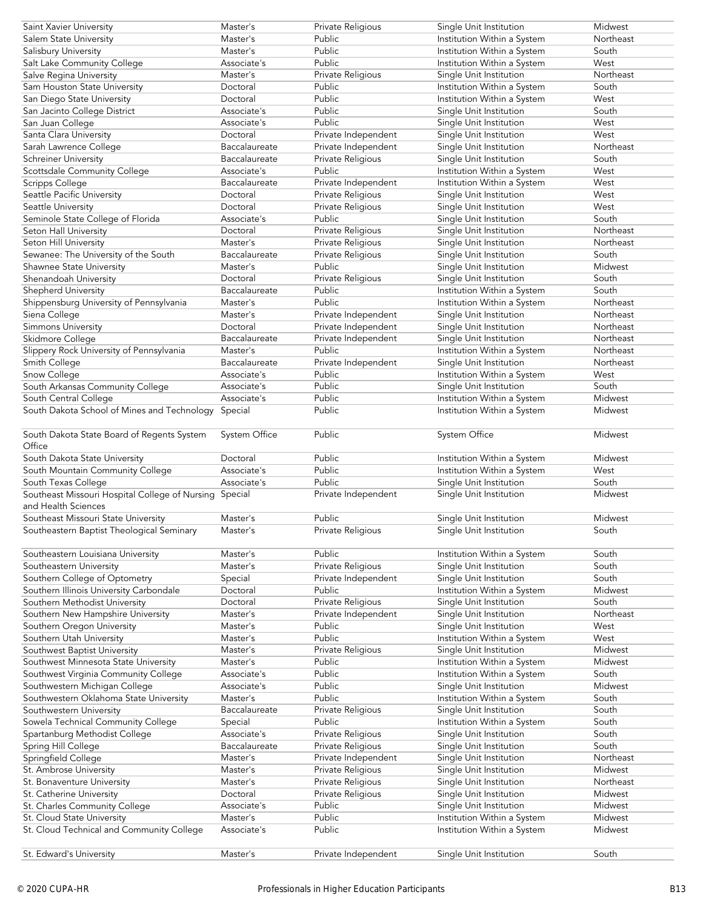| Saint Xavier University                                | Master's      | Private Religious   | Single Unit Institution     | Midwest   |
|--------------------------------------------------------|---------------|---------------------|-----------------------------|-----------|
| Salem State University                                 | Master's      | Public              | Institution Within a System | Northeast |
| Salisbury University                                   | Master's      | Public              | Institution Within a System | South     |
| Salt Lake Community College                            | Associate's   | Public              | Institution Within a System | West      |
| Salve Regina University                                | Master's      | Private Religious   | Single Unit Institution     | Northeast |
| Sam Houston State University                           | Doctoral      | Public              | Institution Within a System | South     |
| San Diego State University                             | Doctoral      | Public              | Institution Within a System | West      |
| San Jacinto College District                           | Associate's   | Public              | Single Unit Institution     | South     |
| San Juan College                                       | Associate's   | Public              | Single Unit Institution     | West      |
| Santa Clara University                                 | Doctoral      | Private Independent | Single Unit Institution     | West      |
| Sarah Lawrence College                                 | Baccalaureate | Private Independent | Single Unit Institution     | Northeast |
| <b>Schreiner University</b>                            | Baccalaureate | Private Religious   | Single Unit Institution     | South     |
| Scottsdale Community College                           | Associate's   | Public              | Institution Within a System | West      |
| Scripps College                                        | Baccalaureate | Private Independent | Institution Within a System | West      |
| Seattle Pacific University                             | Doctoral      | Private Religious   | Single Unit Institution     | West      |
| Seattle University                                     | Doctoral      | Private Religious   | Single Unit Institution     | West      |
| Seminole State College of Florida                      | Associate's   | Public              | Single Unit Institution     | South     |
|                                                        | Doctoral      | Private Religious   | Single Unit Institution     | Northeast |
| Seton Hall University                                  |               |                     |                             | Northeast |
| Seton Hill University                                  | Master's      | Private Religious   | Single Unit Institution     |           |
| Sewanee: The University of the South                   | Baccalaureate | Private Religious   | Single Unit Institution     | South     |
| Shawnee State University                               | Master's      | Public              | Single Unit Institution     | Midwest   |
| Shenandoah University                                  | Doctoral      | Private Religious   | Single Unit Institution     | South     |
| Shepherd University                                    | Baccalaureate | Public              | Institution Within a System | South     |
| Shippensburg University of Pennsylvania                | Master's      | Public              | Institution Within a System | Northeast |
| Siena College                                          | Master's      | Private Independent | Single Unit Institution     | Northeast |
| Simmons University                                     | Doctoral      | Private Independent | Single Unit Institution     | Northeast |
| Skidmore College                                       | Baccalaureate | Private Independent | Single Unit Institution     | Northeast |
| Slippery Rock University of Pennsylvania               | Master's      | Public              | Institution Within a System | Northeast |
| Smith College                                          | Baccalaureate | Private Independent | Single Unit Institution     | Northeast |
| Snow College                                           | Associate's   | Public              | Institution Within a System | West      |
| South Arkansas Community College                       | Associate's   | Public              | Single Unit Institution     | South     |
| South Central College                                  | Associate's   | Public              | Institution Within a System | Midwest   |
| South Dakota School of Mines and Technology            | Special       | Public              | Institution Within a System | Midwest   |
|                                                        |               |                     |                             |           |
| South Dakota State Board of Regents System             | System Office | Public              | System Office               | Midwest   |
| Office                                                 |               |                     |                             |           |
| South Dakota State University                          | Doctoral      | Public              | Institution Within a System | Midwest   |
| South Mountain Community College                       | Associate's   | Public              | Institution Within a System | West      |
| South Texas College                                    | Associate's   | Public              | Single Unit Institution     | South     |
| Southeast Missouri Hospital College of Nursing Special |               | Private Independent | Single Unit Institution     | Midwest   |
| and Health Sciences                                    |               |                     |                             |           |
| Southeast Missouri State University                    | Master's      | Public              | Single Unit Institution     | Midwest   |
| Southeastern Baptist Theological Seminary              | Master's      | Private Religious   | Single Unit Institution     | South     |
|                                                        |               |                     |                             |           |
| Southeastern Louisiana University                      | Master's      | Public              | Institution Within a System | South     |
| Southeastern University                                | Master's      | Private Religious   | Single Unit Institution     | South     |
| Southern College of Optometry                          |               |                     | Single Unit Institution     | South     |
|                                                        | Special       | Private Independent |                             |           |
| Southern Illinois University Carbondale                | Doctoral      | Public              | Institution Within a System | Midwest   |
| Southern Methodist University                          | Doctoral      | Private Religious   | Single Unit Institution     | South     |
| Southern New Hampshire University                      | Master's      | Private Independent | Single Unit Institution     | Northeast |
| Southern Oregon University                             | Master's      | Public              | Single Unit Institution     | West      |
| Southern Utah University                               | Master's      | Public              | Institution Within a System | West      |
| Southwest Baptist University                           | Master's      | Private Religious   | Single Unit Institution     | Midwest   |
| Southwest Minnesota State University                   | Master's      | Public              | Institution Within a System | Midwest   |
| Southwest Virginia Community College                   | Associate's   | Public              | Institution Within a System | South     |
| Southwestern Michigan College                          | Associate's   | Public              | Single Unit Institution     | Midwest   |
| Southwestern Oklahoma State University                 | Master's      | Public              | Institution Within a System | South     |
| Southwestern University                                | Baccalaureate | Private Religious   | Single Unit Institution     | South     |
| Sowela Technical Community College                     | Special       | Public              | Institution Within a System | South     |
| Spartanburg Methodist College                          | Associate's   | Private Religious   | Single Unit Institution     | South     |
| Spring Hill College                                    | Baccalaureate | Private Religious   | Single Unit Institution     | South     |
| Springfield College                                    |               |                     |                             | Northeast |
| St. Ambrose University                                 | Master's      | Private Independent | Single Unit Institution     |           |
| St. Bonaventure University                             | Master's      | Private Religious   | Single Unit Institution     | Midwest   |
|                                                        | Master's      | Private Religious   |                             | Northeast |
|                                                        | Doctoral      |                     | Single Unit Institution     | Midwest   |
| St. Catherine University                               |               | Private Religious   | Single Unit Institution     |           |
| St. Charles Community College                          | Associate's   | Public              | Single Unit Institution     | Midwest   |
| St. Cloud State University                             | Master's      | Public              | Institution Within a System | Midwest   |
| St. Cloud Technical and Community College              | Associate's   | Public              | Institution Within a System | Midwest   |
| St. Edward's University                                | Master's      | Private Independent | Single Unit Institution     | South     |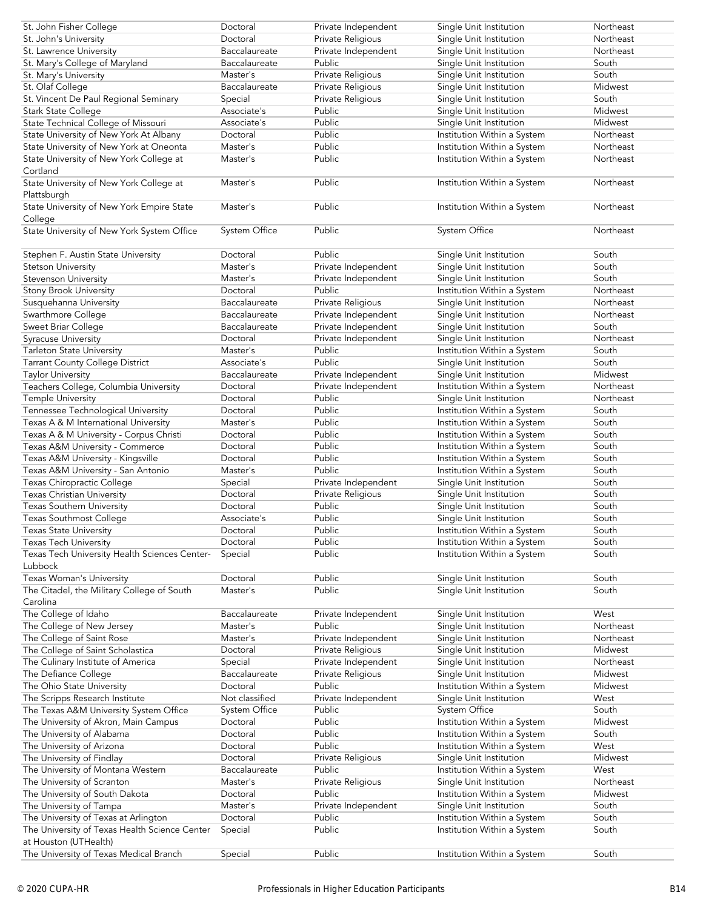| St. John Fisher College                                         | Doctoral             | Private Independent | Single Unit Institution     | Northeast |
|-----------------------------------------------------------------|----------------------|---------------------|-----------------------------|-----------|
| St. John's University                                           | Doctoral             | Private Religious   | Single Unit Institution     | Northeast |
|                                                                 |                      |                     |                             |           |
| St. Lawrence University                                         | Baccalaureate        | Private Independent | Single Unit Institution     | Northeast |
| St. Mary's College of Maryland                                  | Baccalaureate        | Public              | Single Unit Institution     | South     |
| St. Mary's University                                           | Master's             | Private Religious   | Single Unit Institution     | South     |
| St. Olaf College                                                | Baccalaureate        | Private Religious   | Single Unit Institution     | Midwest   |
| St. Vincent De Paul Regional Seminary                           | Special              | Private Religious   | Single Unit Institution     | South     |
|                                                                 |                      |                     |                             |           |
| Stark State College                                             | Associate's          | Public              | Single Unit Institution     | Midwest   |
| State Technical College of Missouri                             | Associate's          | Public              | Single Unit Institution     | Midwest   |
| State University of New York At Albany                          | Doctoral             | Public              | Institution Within a System | Northeast |
| State University of New York at Oneonta                         | Master's             | Public              | Institution Within a System | Northeast |
|                                                                 | Master's             | Public              | Institution Within a System | Northeast |
| State University of New York College at                         |                      |                     |                             |           |
| Cortland                                                        |                      |                     |                             |           |
| State University of New York College at                         | Master's             | Public              | Institution Within a System | Northeast |
| Plattsburgh                                                     |                      |                     |                             |           |
| State University of New York Empire State                       | Master's             | Public              | Institution Within a System | Northeast |
|                                                                 |                      |                     |                             |           |
| College                                                         |                      |                     |                             |           |
| State University of New York System Office                      | <b>System Office</b> | Public              | System Office               | Northeast |
|                                                                 |                      |                     |                             |           |
| Stephen F. Austin State University                              | Doctoral             | Public              | Single Unit Institution     | South     |
|                                                                 | Master's             |                     |                             | South     |
| Stetson University                                              |                      | Private Independent | Single Unit Institution     |           |
| Stevenson University                                            | Master's             | Private Independent | Single Unit Institution     | South     |
| Stony Brook University                                          | Doctoral             | Public              | Institution Within a System | Northeast |
| Susquehanna University                                          | Baccalaureate        | Private Religious   | Single Unit Institution     | Northeast |
|                                                                 | Baccalaureate        |                     |                             | Northeast |
| Swarthmore College                                              |                      | Private Independent | Single Unit Institution     |           |
| Sweet Briar College                                             | Baccalaureate        | Private Independent | Single Unit Institution     | South     |
| Syracuse University                                             | Doctoral             | Private Independent | Single Unit Institution     | Northeast |
| Tarleton State University                                       | Master's             | Public              | Institution Within a System | South     |
|                                                                 | Associate's          | Public              |                             | South     |
| <b>Tarrant County College District</b>                          |                      |                     | Single Unit Institution     |           |
| <b>Taylor University</b>                                        | Baccalaureate        | Private Independent | Single Unit Institution     | Midwest   |
| Teachers College, Columbia University                           | Doctoral             | Private Independent | Institution Within a System | Northeast |
| <b>Temple University</b>                                        | Doctoral             | Public              | Single Unit Institution     | Northeast |
| Tennessee Technological University                              | Doctoral             | Public              | Institution Within a System | South     |
|                                                                 |                      |                     |                             |           |
| Texas A & M International University                            | Master's             | Public              | Institution Within a System | South     |
| Texas A & M University - Corpus Christi                         | Doctoral             | Public              | Institution Within a System | South     |
| Texas A&M University - Commerce                                 | Doctoral             | Public              | Institution Within a System | South     |
| Texas A&M University - Kingsville                               | Doctoral             | Public              | Institution Within a System | South     |
|                                                                 | Master's             | Public              |                             |           |
| Texas A&M University - San Antonio                              |                      |                     | Institution Within a System | South     |
| Texas Chiropractic College                                      | Special              | Private Independent | Single Unit Institution     | South     |
| <b>Texas Christian University</b>                               | Doctoral             | Private Religious   | Single Unit Institution     | South     |
| <b>Texas Southern University</b>                                | Doctoral             | Public              | Single Unit Institution     | South     |
|                                                                 |                      | Public              |                             |           |
| Texas Southmost College                                         | Associate's          |                     | Single Unit Institution     | South     |
| Texas State University                                          | Doctoral             | Public              | Institution Within a System | South     |
| Texas Tech University                                           | Doctoral             | Public              | Institution Within a System | South     |
| Texas Tech University Health Sciences Center-                   | Special              | Public              | Institution Within a System | South     |
| Lubbock                                                         |                      |                     |                             |           |
|                                                                 |                      |                     |                             |           |
| Texas Woman's University                                        | Doctoral             | Public              | Single Unit Institution     | South     |
| The Citadel, the Military College of South                      | Master's             | Public              | Single Unit Institution     | South     |
| Carolina                                                        |                      |                     |                             |           |
| The College of Idaho                                            | Baccalaureate        | Private Independent | Single Unit Institution     | West      |
| The College of New Jersey                                       | Master's             | Public              | Single Unit Institution     | Northeast |
|                                                                 |                      |                     |                             |           |
| The College of Saint Rose                                       | Master's             | Private Independent | Single Unit Institution     | Northeast |
| The College of Saint Scholastica                                | Doctoral             | Private Religious   | Single Unit Institution     | Midwest   |
| The Culinary Institute of America                               | Special              | Private Independent | Single Unit Institution     | Northeast |
| The Defiance College                                            | Baccalaureate        | Private Religious   | Single Unit Institution     | Midwest   |
|                                                                 | Doctoral             | Public              | Institution Within a System | Midwest   |
| The Ohio State University                                       |                      |                     |                             |           |
| The Scripps Research Institute                                  | Not classified       | Private Independent | Single Unit Institution     | West      |
| The Texas A&M University System Office                          | System Office        | Public              | System Office               | South     |
| The University of Akron, Main Campus                            | Doctoral             | Public              | Institution Within a System | Midwest   |
| The University of Alabama                                       | Doctoral             | Public              | Institution Within a System | South     |
|                                                                 |                      |                     |                             |           |
| The University of Arizona                                       | Doctoral             | Public              | Institution Within a System | West      |
| The University of Findlay                                       | Doctoral             | Private Religious   | Single Unit Institution     | Midwest   |
| The University of Montana Western                               | Baccalaureate        | Public              | Institution Within a System | West      |
| The University of Scranton                                      |                      | Private Religious   | Single Unit Institution     | Northeast |
|                                                                 |                      |                     |                             |           |
|                                                                 | Master's             |                     |                             |           |
| The University of South Dakota                                  | Doctoral             | Public              | Institution Within a System | Midwest   |
| The University of Tampa                                         | Master's             | Private Independent | Single Unit Institution     | South     |
|                                                                 | Doctoral             | Public              |                             | South     |
| The University of Texas at Arlington                            |                      |                     | Institution Within a System |           |
| The University of Texas Health Science Center                   | Special              | Public              | Institution Within a System | South     |
| at Houston (UTHealth)<br>The University of Texas Medical Branch | Special              | Public              | Institution Within a System | South     |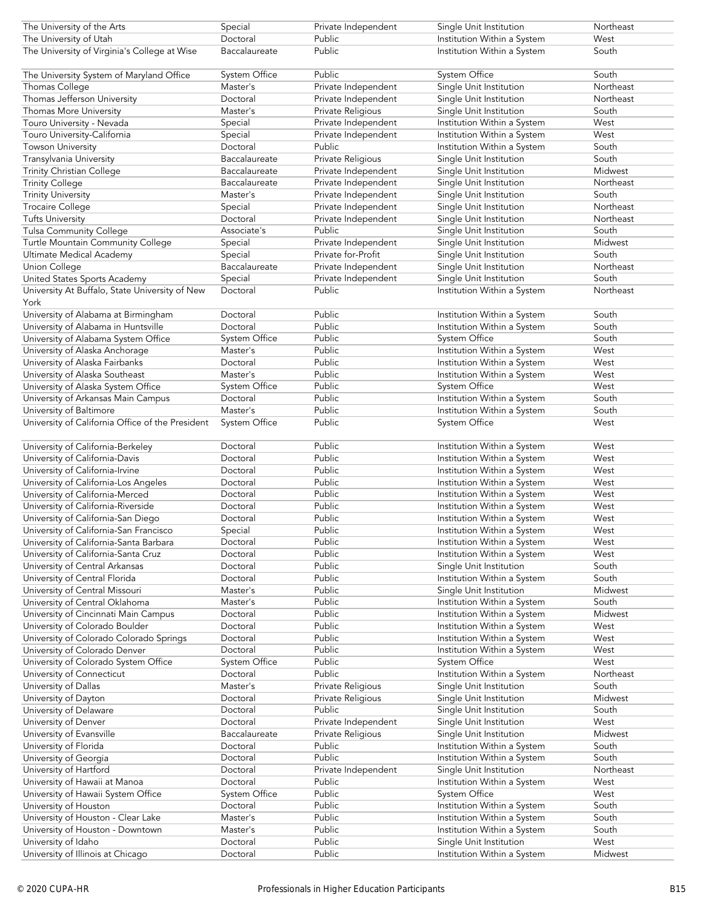| The University of the Arts                       | Special       | Private Independent | Single Unit Institution     | Northeast |
|--------------------------------------------------|---------------|---------------------|-----------------------------|-----------|
| The University of Utah                           | Doctoral      | Public              |                             | West      |
|                                                  |               |                     | Institution Within a System |           |
| The University of Virginia's College at Wise     | Baccalaureate | <b>Public</b>       | Institution Within a System | South     |
| The University System of Maryland Office         | System Office | Public              | System Office               | South     |
| Thomas College                                   | Master's      | Private Independent | Single Unit Institution     | Northeast |
| Thomas Jefferson University                      | Doctoral      |                     |                             | Northeast |
|                                                  |               | Private Independent | Single Unit Institution     |           |
| Thomas More University                           | Master's      | Private Religious   | Single Unit Institution     | South     |
| Touro University - Nevada                        | Special       | Private Independent | Institution Within a System | West      |
| Touro University-California                      | Special       | Private Independent | Institution Within a System | West      |
| <b>Towson University</b>                         | Doctoral      | Public              | Institution Within a System | South     |
| Transylvania University                          | Baccalaureate | Private Religious   | Single Unit Institution     | South     |
| Trinity Christian College                        | Baccalaureate | Private Independent | Single Unit Institution     | Midwest   |
|                                                  |               |                     |                             |           |
| <b>Trinity College</b>                           | Baccalaureate | Private Independent | Single Unit Institution     | Northeast |
| <b>Trinity University</b>                        | Master's      | Private Independent | Single Unit Institution     | South     |
| <b>Trocaire College</b>                          | Special       | Private Independent | Single Unit Institution     | Northeast |
| <b>Tufts University</b>                          | Doctoral      | Private Independent | Single Unit Institution     | Northeast |
| <b>Tulsa Community College</b>                   | Associate's   | Public              | Single Unit Institution     | South     |
| Turtle Mountain Community College                | Special       | Private Independent | Single Unit Institution     | Midwest   |
|                                                  | Special       | Private for-Profit  |                             | South     |
| Ultimate Medical Academy                         |               |                     | Single Unit Institution     |           |
| Union College                                    | Baccalaureate | Private Independent | Single Unit Institution     | Northeast |
| United States Sports Academy                     | Special       | Private Independent | Single Unit Institution     | South     |
| University At Buffalo, State University of New   | Doctoral      | Public              | Institution Within a System | Northeast |
| York                                             |               |                     |                             |           |
| University of Alabama at Birmingham              | Doctoral      | Public              | Institution Within a System | South     |
| University of Alabama in Huntsville              | Doctoral      | Public              | Institution Within a System | South     |
|                                                  |               |                     |                             |           |
| University of Alabama System Office              | System Office | Public              | System Office               | South     |
| University of Alaska Anchorage                   | Master's      | Public              | Institution Within a System | West      |
| University of Alaska Fairbanks                   | Doctoral      | Public              | Institution Within a System | West      |
| University of Alaska Southeast                   | Master's      | Public              | Institution Within a System | West      |
| University of Alaska System Office               | System Office | Public              | <b>System Office</b>        | West      |
| University of Arkansas Main Campus               | Doctoral      | Public              | Institution Within a System | South     |
|                                                  | Master's      | Public              |                             | South     |
| University of Baltimore                          |               |                     | Institution Within a System |           |
| University of California Office of the President | System Office | Public              | System Office               | West      |
|                                                  |               | Public              |                             |           |
| University of California-Berkeley                | Doctoral      |                     | Institution Within a System | West      |
| University of California-Davis                   | Doctoral      | Public              | Institution Within a System | West      |
| University of California-Irvine                  | Doctoral      | Public              | Institution Within a System | West      |
| University of California-Los Angeles             | Doctoral      | Public              | Institution Within a System | West      |
| University of California-Merced                  | Doctoral      | Public              | Institution Within a System | West      |
| University of California-Riverside               | Doctoral      | Public              | Institution Within a System | West      |
| University of California-San Diego               | Doctoral      | Public              | Institution Within a System | West      |
|                                                  |               |                     |                             |           |
| University of California-San Francisco           | Special       | Public              | Institution Within a System | West      |
| University of California-Santa Barbara           | Doctoral      | Public              | Institution Within a System | West      |
| University of California-Santa Cruz              | Doctoral      | Public              | Institution Within a System | West      |
| University of Central Arkansas                   | Doctoral      | Public              | Single Unit Institution     | South     |
| University of Central Florida                    | Doctoral      | Public              | Institution Within a System | South     |
| University of Central Missouri                   | Master's      | Public              | Single Unit Institution     | Midwest   |
|                                                  |               |                     |                             |           |
| University of Central Oklahoma                   | Master's      | Public              | Institution Within a System | South     |
| University of Cincinnati Main Campus             | Doctoral      | Public              | Institution Within a System | Midwest   |
| University of Colorado Boulder                   | Doctoral      | Public              | Institution Within a System | West      |
| University of Colorado Colorado Springs          | Doctoral      | Public              | Institution Within a System | West      |
| University of Colorado Denver                    | Doctoral      | Public              | Institution Within a System | West      |
| University of Colorado System Office             | System Office | Public              | System Office               | West      |
|                                                  | Doctoral      | Public              | Institution Within a System | Northeast |
| University of Connecticut                        |               |                     |                             |           |
| University of Dallas                             | Master's      | Private Religious   | Single Unit Institution     | South     |
| University of Dayton                             | Doctoral      | Private Religious   | Single Unit Institution     | Midwest   |
| University of Delaware                           | Doctoral      | Public              | Single Unit Institution     | South     |
| University of Denver                             | Doctoral      | Private Independent | Single Unit Institution     | West      |
| University of Evansville                         | Baccalaureate | Private Religious   | Single Unit Institution     | Midwest   |
| University of Florida                            | Doctoral      | Public              | Institution Within a System | South     |
|                                                  | Doctoral      | Public              |                             | South     |
| University of Georgia                            |               |                     | Institution Within a System |           |
| University of Hartford                           | Doctoral      | Private Independent | Single Unit Institution     | Northeast |
| University of Hawaii at Manoa                    | Doctoral      | Public              | Institution Within a System | West      |
| University of Hawaii System Office               | System Office | Public              | System Office               | West      |
| University of Houston                            | Doctoral      | Public              | Institution Within a System | South     |
| University of Houston - Clear Lake               | Master's      | Public              | Institution Within a System | South     |
|                                                  |               |                     |                             |           |
| University of Houston - Downtown                 | Master's      | Public              | Institution Within a System | South     |
| University of Idaho                              | Doctoral      | Public              | Single Unit Institution     | West      |
| University of Illinois at Chicago                | Doctoral      | Public              | Institution Within a System | Midwest   |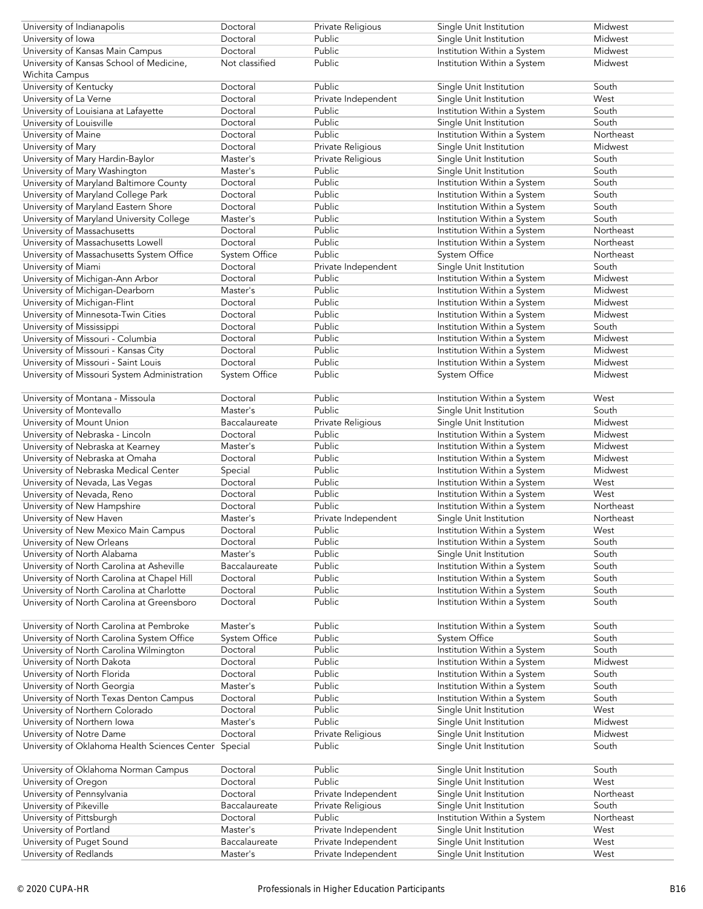| University of Indianapolis                    | Doctoral       | Private Religious   | Single Unit Institution     | Midwest   |
|-----------------------------------------------|----------------|---------------------|-----------------------------|-----------|
| University of Iowa                            | Doctoral       | Public              | Single Unit Institution     | Midwest   |
| University of Kansas Main Campus              | Doctoral       | Public              | Institution Within a System | Midwest   |
|                                               |                |                     |                             |           |
| University of Kansas School of Medicine,      | Not classified | Public              | Institution Within a System | Midwest   |
| Wichita Campus                                |                |                     |                             |           |
| University of Kentucky                        | Doctoral       | Public              | Single Unit Institution     | South     |
| University of La Verne                        | Doctoral       | Private Independent | Single Unit Institution     | West      |
| University of Louisiana at Lafayette          | Doctoral       | Public              | Institution Within a System | South     |
| University of Louisville                      | Doctoral       | Public              | Single Unit Institution     | South     |
| University of Maine                           | Doctoral       | Public              | Institution Within a System | Northeast |
| University of Mary                            | Doctoral       | Private Religious   | Single Unit Institution     | Midwest   |
|                                               |                |                     |                             |           |
| University of Mary Hardin-Baylor              | Master's       | Private Religious   | Single Unit Institution     | South     |
| University of Mary Washington                 | Master's       | Public              | Single Unit Institution     | South     |
| University of Maryland Baltimore County       | Doctoral       | Public              | Institution Within a System | South     |
| University of Maryland College Park           | Doctoral       | Public              | Institution Within a System | South     |
| University of Maryland Eastern Shore          | Doctoral       | Public              | Institution Within a System | South     |
| University of Maryland University College     | Master's       | Public              | Institution Within a System | South     |
| University of Massachusetts                   | Doctoral       | Public              | Institution Within a System | Northeast |
|                                               |                | Public              |                             | Northeast |
| University of Massachusetts Lowell            | Doctoral       |                     | Institution Within a System |           |
| University of Massachusetts System Office     | System Office  | Public              | System Office               | Northeast |
| University of Miami                           | Doctoral       | Private Independent | Single Unit Institution     | South     |
| University of Michigan-Ann Arbor              | Doctoral       | Public              | Institution Within a System | Midwest   |
| University of Michigan-Dearborn               | Master's       | Public              | Institution Within a System | Midwest   |
| University of Michigan-Flint                  | Doctoral       | Public              | Institution Within a System | Midwest   |
| University of Minnesota-Twin Cities           | Doctoral       | Public              | Institution Within a System | Midwest   |
|                                               |                | Public              |                             | South     |
| University of Mississippi                     | Doctoral       |                     | Institution Within a System |           |
| University of Missouri - Columbia             | Doctoral       | Public              | Institution Within a System | Midwest   |
| University of Missouri - Kansas City          | Doctoral       | Public              | Institution Within a System | Midwest   |
| University of Missouri - Saint Louis          | Doctoral       | Public              | Institution Within a System | Midwest   |
| University of Missouri System Administration  | System Office  | Public              | System Office               | Midwest   |
|                                               |                |                     |                             |           |
| University of Montana - Missoula              | Doctoral       | Public              | Institution Within a System | West      |
| University of Montevallo                      | Master's       | Public              | Single Unit Institution     | South     |
|                                               |                |                     |                             |           |
| University of Mount Union                     | Baccalaureate  | Private Religious   | Single Unit Institution     | Midwest   |
| University of Nebraska - Lincoln              | Doctoral       | Public              | Institution Within a System | Midwest   |
| University of Nebraska at Kearney             | Master's       | Public              | Institution Within a System | Midwest   |
| University of Nebraska at Omaha               | Doctoral       | Public              | Institution Within a System | Midwest   |
| University of Nebraska Medical Center         | Special        | Public              | Institution Within a System | Midwest   |
| University of Nevada, Las Vegas               | Doctoral       | Public              | Institution Within a System | West      |
| University of Nevada, Reno                    | Doctoral       | Public              | Institution Within a System | West      |
|                                               |                |                     |                             |           |
| University of New Hampshire                   | Doctoral       | Public              | Institution Within a System | Northeast |
| University of New Haven                       | Master's       | Private Independent | Single Unit Institution     | Northeast |
| University of New Mexico Main Campus          | Doctoral       | Public              | Institution Within a System | West      |
| University of New Orleans                     | Doctoral       | Public              | Institution Within a System | South     |
| University of North Alabama                   | Master's       | Public              | Single Unit Institution     | South     |
| University of North Carolina at Asheville     | Baccalaureate  | Public              | Institution Within a System | South     |
| University of North Carolina at Chapel Hill   | Doctoral       | Public              | Institution Within a System | South     |
| University of North Carolina at Charlotte     | Doctoral       | Public              | Institution Within a System | South     |
|                                               | Doctoral       | Public              |                             | South     |
| University of North Carolina at Greensboro    |                |                     | Institution Within a System |           |
|                                               |                |                     |                             |           |
| University of North Carolina at Pembroke      | Master's       | Public              | Institution Within a System | South     |
| University of North Carolina System Office    | System Office  | Public              | System Office               | South     |
| University of North Carolina Wilmington       | Doctoral       | Public              | Institution Within a System | South     |
| University of North Dakota                    | Doctoral       | Public              | Institution Within a System | Midwest   |
| University of North Florida                   | Doctoral       | Public              | Institution Within a System | South     |
| University of North Georgia                   | Master's       | Public              | Institution Within a System | South     |
|                                               | Doctoral       | Public              |                             | South     |
| University of North Texas Denton Campus       |                |                     | Institution Within a System |           |
| University of Northern Colorado               | Doctoral       | Public              | Single Unit Institution     | West      |
| University of Northern Iowa                   | Master's       | Public              | Single Unit Institution     | Midwest   |
| University of Notre Dame                      | Doctoral       | Private Religious   | Single Unit Institution     | Midwest   |
| University of Oklahoma Health Sciences Center | Special        | Public              | Single Unit Institution     | South     |
|                                               |                |                     |                             |           |
| University of Oklahoma Norman Campus          | Doctoral       | Public              | Single Unit Institution     | South     |
| University of Oregon                          | Doctoral       | Public              | Single Unit Institution     | West      |
|                                               | Doctoral       |                     |                             | Northeast |
| University of Pennsylvania                    |                | Private Independent | Single Unit Institution     |           |
| University of Pikeville                       | Baccalaureate  | Private Religious   | Single Unit Institution     | South     |
| University of Pittsburgh                      | Doctoral       | Public              | Institution Within a System | Northeast |
| University of Portland                        |                |                     |                             |           |
|                                               | Master's       | Private Independent | Single Unit Institution     | West      |
| University of Puget Sound                     | Baccalaureate  | Private Independent | Single Unit Institution     | West      |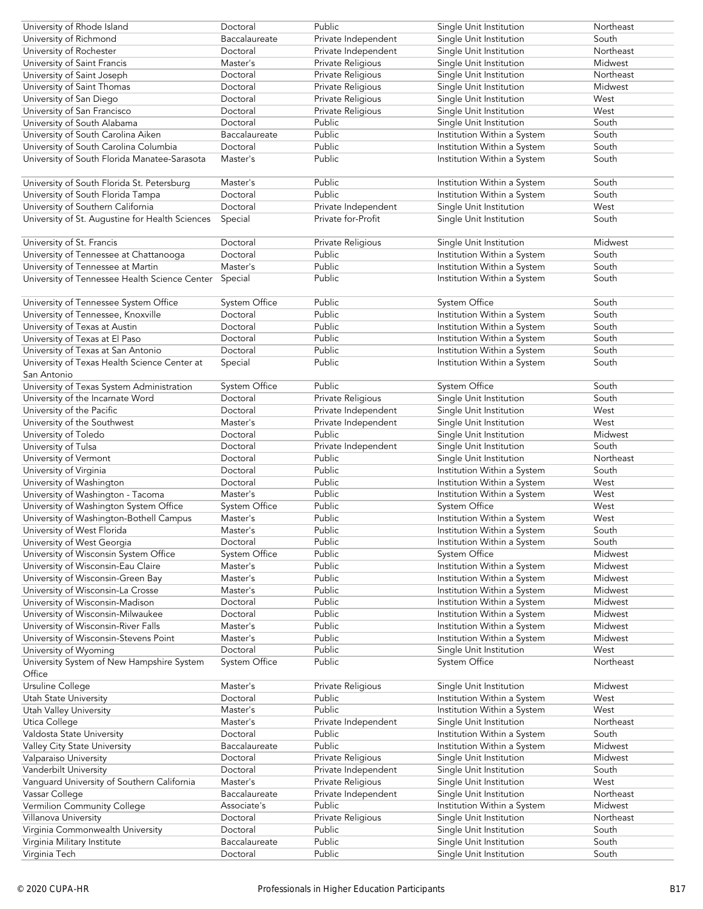| University of Rhode Island                            | Doctoral                  | Public              | Single Unit Institution                                | Northeast        |
|-------------------------------------------------------|---------------------------|---------------------|--------------------------------------------------------|------------------|
| University of Richmond                                | Baccalaureate             | Private Independent | Single Unit Institution                                | South            |
| University of Rochester                               | Doctoral                  | Private Independent | Single Unit Institution                                | Northeast        |
| University of Saint Francis                           | Master's                  | Private Religious   | Single Unit Institution                                | Midwest          |
| University of Saint Joseph                            | Doctoral                  | Private Religious   | Single Unit Institution                                | Northeast        |
| University of Saint Thomas                            | Doctoral                  | Private Religious   | Single Unit Institution                                | Midwest          |
| University of San Diego                               | Doctoral                  | Private Religious   | Single Unit Institution                                | West             |
| University of San Francisco                           | Doctoral                  | Private Religious   | Single Unit Institution                                | West             |
| University of South Alabama                           | Doctoral                  | Public              | Single Unit Institution                                | South            |
| University of South Carolina Aiken                    | Baccalaureate             | Public              | Institution Within a System                            | South            |
| University of South Carolina Columbia                 | Doctoral                  | Public              | Institution Within a System                            | South            |
| University of South Florida Manatee-Sarasota          | Master's                  | Public              | Institution Within a System                            | South            |
|                                                       |                           |                     |                                                        |                  |
| University of South Florida St. Petersburg            | Master's                  | Public              | Institution Within a System                            | South            |
| University of South Florida Tampa                     | Doctoral                  | Public              | Institution Within a System                            | South            |
| University of Southern California                     | Doctoral                  | Private Independent | Single Unit Institution                                | West             |
| University of St. Augustine for Health Sciences       | Special                   | Private for-Profit  | Single Unit Institution                                | South            |
|                                                       |                           |                     |                                                        |                  |
| University of St. Francis                             | Doctoral                  | Private Religious   | Single Unit Institution                                | Midwest          |
| University of Tennessee at Chattanooga                | Doctoral                  | Public              | Institution Within a System                            | South            |
| University of Tennessee at Martin                     | Master's                  | Public              | Institution Within a System                            | South            |
| University of Tennessee Health Science Center         | Special                   | Public              | Institution Within a System                            | South            |
| University of Tennessee System Office                 | <b>System Office</b>      | Public              | System Office                                          | South            |
| University of Tennessee, Knoxville                    | Doctoral                  | Public              | Institution Within a System                            | South            |
| University of Texas at Austin                         | Doctoral                  | Public              | Institution Within a System                            | South            |
| University of Texas at El Paso                        | Doctoral                  | Public              | Institution Within a System                            | South            |
| University of Texas at San Antonio                    | Doctoral                  | Public              | Institution Within a System                            | South            |
| University of Texas Health Science Center at          | Special                   | Public              | Institution Within a System                            | South            |
| San Antonio                                           |                           |                     |                                                        |                  |
| University of Texas System Administration             | System Office             | Public              | System Office                                          | South            |
| University of the Incarnate Word                      | Doctoral                  | Private Religious   | Single Unit Institution                                | South            |
| University of the Pacific                             | Doctoral                  | Private Independent | Single Unit Institution                                | West             |
| University of the Southwest                           | Master's                  | Private Independent | Single Unit Institution                                | West             |
| University of Toledo                                  | Doctoral                  | Public              | Single Unit Institution                                | Midwest          |
| University of Tulsa                                   | Doctoral                  | Private Independent | Single Unit Institution                                | South            |
| University of Vermont                                 | Doctoral                  | Public              | Single Unit Institution                                | Northeast        |
| University of Virginia                                | Doctoral                  | Public              | Institution Within a System                            | South            |
| University of Washington                              | Doctoral                  | Public              | Institution Within a System                            | West             |
| University of Washington - Tacoma                     | Master's                  | Public              | Institution Within a System                            | West             |
| University of Washington System Office                | System Office             | Public              | <b>System Office</b>                                   | West             |
| University of Washington-Bothell Campus               | Master's                  | Public              | Institution Within a System                            | West             |
| University of West Florida                            | Master's                  | Public              | Institution Within a System                            | South            |
| University of West Georgia                            | Doctoral                  | Public              | Institution Within a System                            | South            |
| University of Wisconsin System Office                 | System Office             | Public              | System Office                                          | Midwest          |
| University of Wisconsin-Eau Claire                    | Master's                  | Public              | Institution Within a System                            | Midwest          |
| University of Wisconsin-Green Bay                     | Master's                  | Public              | Institution Within a System                            | Midwest          |
| University of Wisconsin-La Crosse                     | Master's                  | Public              | Institution Within a System                            | Midwest          |
| University of Wisconsin-Madison                       | Doctoral                  | Public              | Institution Within a System                            | Midwest          |
| University of Wisconsin-Milwaukee                     | Doctoral                  | Public              | Institution Within a System                            | Midwest          |
| University of Wisconsin-River Falls                   | Master's                  | Public              | Institution Within a System                            | Midwest          |
| University of Wisconsin-Stevens Point                 | Master's                  | Public              | Institution Within a System                            | Midwest          |
| University of Wyoming                                 | Doctoral                  | Public              | Single Unit Institution                                | West             |
| University System of New Hampshire System             | System Office             | Public              | System Office                                          | Northeast        |
| Office                                                |                           |                     |                                                        |                  |
| Ursuline College                                      | Master's                  | Private Religious   | Single Unit Institution                                | Midwest          |
| Utah State University                                 | Doctoral                  | Public              | Institution Within a System                            | West             |
| Utah Valley University                                | Master's                  | Public              | Institution Within a System                            | West             |
| Utica College                                         | Master's                  | Private Independent | Single Unit Institution                                | Northeast        |
| Valdosta State University                             | Doctoral<br>Baccalaureate | Public<br>Public    | Institution Within a System                            | South<br>Midwest |
| Valley City State University<br>Valparaiso University | Doctoral                  | Private Religious   | Institution Within a System<br>Single Unit Institution | Midwest          |
| Vanderbilt University                                 | Doctoral                  | Private Independent | Single Unit Institution                                | South            |
| Vanguard University of Southern California            | Master's                  | Private Religious   | Single Unit Institution                                | West             |
| Vassar College                                        | Baccalaureate             | Private Independent | Single Unit Institution                                | Northeast        |
| Vermilion Community College                           | Associate's               | Public              | Institution Within a System                            | Midwest          |
| Villanova University                                  | Doctoral                  | Private Religious   | Single Unit Institution                                | Northeast        |
| Virginia Commonwealth University                      | Doctoral                  | Public              | Single Unit Institution                                | South            |
| Virginia Military Institute                           | Baccalaureate             | Public              | Single Unit Institution                                | South            |
| Virginia Tech                                         | Doctoral                  | Public              | Single Unit Institution                                | South            |
|                                                       |                           |                     |                                                        |                  |